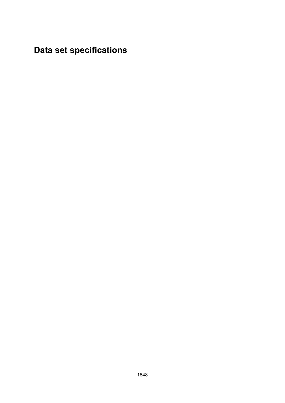**Data set specifications**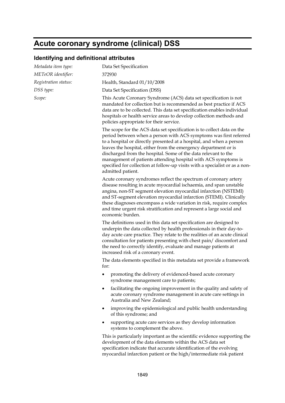## **Acute coronary syndrome (clinical) DSS**

### **Identifying and definitional attributes**

| Metadata item type:  | Data Set Specification                                                                                                                                                                                                                                                                                                                                                                                                                                                                                                         |
|----------------------|--------------------------------------------------------------------------------------------------------------------------------------------------------------------------------------------------------------------------------------------------------------------------------------------------------------------------------------------------------------------------------------------------------------------------------------------------------------------------------------------------------------------------------|
| METeOR identifier:   | 372930                                                                                                                                                                                                                                                                                                                                                                                                                                                                                                                         |
| Registration status: | Health, Standard 01/10/2008                                                                                                                                                                                                                                                                                                                                                                                                                                                                                                    |
| DSS type:            | Data Set Specification (DSS)                                                                                                                                                                                                                                                                                                                                                                                                                                                                                                   |
| Scope:               | This Acute Coronary Syndrome (ACS) data set specification is not<br>mandated for collection but is recommended as best practice if ACS<br>data are to be collected. This data set specification enables individual<br>hospitals or health service areas to develop collection methods and<br>policies appropriate for their service.                                                                                                                                                                                           |
|                      | The scope for the ACS data set specification is to collect data on the<br>period between when a person with ACS symptoms was first referred<br>to a hospital or directly presented at a hospital, and when a person<br>leaves the hospital, either from the emergency department or is<br>discharged from the hospital. Some of the data relevant to the<br>management of patients attending hospital with ACS symptoms is<br>specified for collection at follow-up visits with a specialist or as a non-<br>admitted patient. |
|                      | Acute coronary syndromes reflect the spectrum of coronary artery<br>disease resulting in acute myocardial ischaemia, and span unstable<br>angina, non-ST segment elevation myocardial infarction (NSTEMI)<br>and ST-segment elevation myocardial infarction (STEMI). Clinically<br>these diagnoses encompass a wide variation in risk, require complex<br>and time urgent risk stratification and represent a large social and<br>economic burden.                                                                             |
|                      | The definitions used in this data set specification are designed to<br>underpin the data collected by health professionals in their day-to-<br>day acute care practice. They relate to the realities of an acute clinical<br>consultation for patients presenting with chest pain/discomfort and<br>the need to correctly identify, evaluate and manage patients at<br>increased risk of a coronary event.                                                                                                                     |
|                      | The data elements specified in this metadata set provide a framework<br>for:                                                                                                                                                                                                                                                                                                                                                                                                                                                   |
|                      | promoting the delivery of evidenced-based acute coronary<br>syndrome management care to patients;                                                                                                                                                                                                                                                                                                                                                                                                                              |
|                      | facilitating the ongoing improvement in the quality and safety of<br>acute coronary syndrome management in acute care settings in<br>Australia and New Zealand;                                                                                                                                                                                                                                                                                                                                                                |
|                      | improving the epidemiological and public health understanding<br>of this syndrome; and                                                                                                                                                                                                                                                                                                                                                                                                                                         |
|                      | supporting acute care services as they develop information<br>systems to complement the above.                                                                                                                                                                                                                                                                                                                                                                                                                                 |
|                      | This is particularly important as the scientific evidence supporting the<br>development of the data elements within the ACS data set<br>specification indicate that accurate identification of the evolving                                                                                                                                                                                                                                                                                                                    |

myocardial infarction patient or the high/intermediate risk patient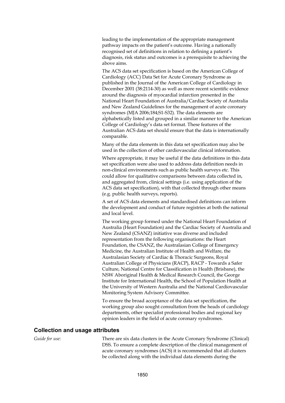leading to the implementation of the appropriate management pathway impacts on the patient's outcome. Having a nationally recognised set of definitions in relation to defining a patient's diagnosis, risk status and outcomes is a prerequisite to achieving the above aims.

The ACS data set specification is based on the American College of Cardiology (ACC) Data Set for Acute Coronary Syndrome as published in the Journal of the American College of Cardiology in December 2001 (38:2114-30) as well as more recent scientific evidence around the diagnosis of myocardial infarction presented in the National Heart Foundation of Australia/Cardiac Society of Australia and New Zealand Guidelines for the management of acute coronary syndromes (MJA 2006;184;S1-S32). The data elements are alphabetically listed and grouped in a similar manner to the American College of Cardiology's data set format. These features of the Australian ACS data set should ensure that the data is internationally comparable.

Many of the data elements in this data set specification may also be used in the collection of other cardiovascular clinical information.

Where appropriate, it may be useful if the data definitions in this data set specification were also used to address data definition needs in non-clinical environments such as public health surveys etc. This could allow for qualitative comparisons between data collected in, and aggregated from, clinical settings (i.e. using application of the ACS data set specification), with that collected through other means (e.g. public health surveys, reports).

A set of ACS data elements and standardised definitions can inform the development and conduct of future registries at both the national and local level.

The working group formed under the National Heart Foundation of Australia (Heart Foundation) and the Cardiac Society of Australia and New Zealand (CSANZ) initiative was diverse and included representation from the following organisations: the Heart Foundation, the CSANZ, the Australasian College of Emergency Medicine, the Australian Institute of Health and Welfare, the Australasian Society of Cardiac & Thoracic Surgeons, Royal Australian College of Physicians (RACP), RACP - Towards a Safer Culture, National Centre for Classification in Health (Brisbane), the NSW Aboriginal Health & Medical Research Council, the George Institute for International Health, the School of Population Health at the University of Western Australia and the National Cardiovascular Monitoring System Advisory Committee.

To ensure the broad acceptance of the data set specification, the working group also sought consultation from the heads of cardiology departments, other specialist professional bodies and regional key opinion leaders in the field of acute coronary syndromes.

#### **Collection and usage attributes**

*Guide for use:* There are six data clusters in the Acute Coronary Syndrome (Clinical) DSS. To ensure a complete description of the clinical management of acute coronary syndromes (ACS) it is recommended that all clusters be collected along with the individual data elements during the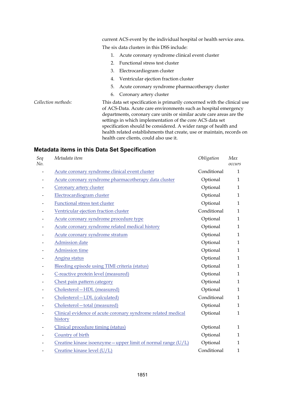current ACS event by the individual hospital or health service area. The six data clusters in this DSS include: 1. Acute coronary syndrome clinical event cluster 2. Functional stress test cluster 3. Electrocardiogram cluster 4. Ventricular ejection fraction cluster 5. Acute coronary syndrome pharmacotherapy cluster 6. Coronary artery cluster *Collection methods:* This data set specification is primarily concerned with the clinical use of ACS-Data. Acute care environments such as hospital emergency departments, coronary care units or similar acute care areas are the settings in which implementation of the core ACS data set specification should be considered. A wider range of health and health related establishments that create, use or maintain, records on health care clients, could also use it.

| Seq<br>No. | Metadata item                                                           | Obligation  | Max<br>occurs |
|------------|-------------------------------------------------------------------------|-------------|---------------|
|            | Acute coronary syndrome clinical event cluster                          | Conditional | $\mathbf{1}$  |
|            | Acute coronary syndrome pharmacotherapy data cluster                    | Optional    | 1             |
|            | Coronary artery cluster                                                 | Optional    | $\mathbf{1}$  |
|            | Electrocardiogram cluster                                               | Optional    | $\mathbf{1}$  |
|            | <b>Functional stress test cluster</b>                                   | Optional    | $\mathbf{1}$  |
|            | Ventricular ejection fraction cluster                                   | Conditional | $\mathbf{1}$  |
|            | Acute coronary syndrome procedure type                                  | Optional    | $\mathbf{1}$  |
|            | Acute coronary syndrome related medical history                         | Optional    | $\mathbf{1}$  |
|            | Acute coronary syndrome stratum                                         | Optional    | $\mathbf{1}$  |
|            | <b>Admission</b> date                                                   | Optional    | $\mathbf{1}$  |
|            | <b>Admission time</b>                                                   | Optional    | $\mathbf{1}$  |
|            | Angina status                                                           | Optional    | $\mathbf{1}$  |
|            | Bleeding episode using TIMI criteria (status)                           | Optional    | $\mathbf{1}$  |
|            | C-reactive protein level (measured)                                     | Optional    | $\mathbf{1}$  |
|            | Chest pain pattern category                                             | Optional    | $\mathbf{1}$  |
|            | Cholesterol-HDL (measured)                                              | Optional    | $\mathbf{1}$  |
|            | Cholesterol-LDL (calculated)                                            | Conditional | $\mathbf{1}$  |
|            | Cholesterol-total (measured)                                            | Optional    | $\mathbf{1}$  |
|            | Clinical evidence of acute coronary syndrome related medical<br>history | Optional    | $\mathbf{1}$  |
|            | Clinical procedure timing (status)                                      | Optional    | $\mathbf{1}$  |
|            | Country of birth                                                        | Optional    | $\mathbf{1}$  |
|            | Creatine kinase isoenzyme - upper limit of normal range $(U/L)$         | Optional    | $\mathbf{1}$  |
|            | Creatine kinase level (U/L)                                             | Conditional | 1             |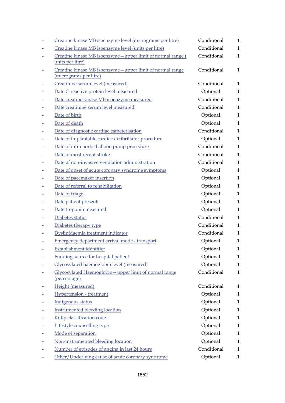| Creatine kinase MB isoenzyme level (micrograms per litre)                            | Conditional | $\mathbf{1}$ |
|--------------------------------------------------------------------------------------|-------------|--------------|
| Creatine kinase MB isoenzyme level (units per litre)                                 | Conditional | $\mathbf{1}$ |
| Creatine kinase MB isoenzyme - upper limit of normal range (<br>units per litre)     | Conditional | $\mathbf{1}$ |
| Creatine kinase MB isoenzyme - upper limit of normal range<br>(micrograms per litre) | Conditional | $\mathbf{1}$ |
| Creatinine serum level (measured)                                                    | Conditional | $\mathbf{1}$ |
| Date C-reactive protein level measured                                               | Optional    | $\mathbf{1}$ |
| Date creatine kinase MB isoenzyme measured                                           | Conditional | $\mathbf{1}$ |
| Date creatinine serum level measured                                                 | Conditional | $\mathbf{1}$ |
| Date of birth                                                                        | Optional    | $\mathbf{1}$ |
| Date of death                                                                        | Optional    | $\mathbf{1}$ |
| Date of diagnostic cardiac catheterisation                                           | Conditional | $\mathbf{1}$ |
| Date of implantable cardiac defibrillator procedure                                  | Optional    | $\mathbf{1}$ |
| Date of intra-aortic balloon pump procedure                                          | Conditional | $\mathbf{1}$ |
| Date of most recent stroke                                                           | Conditional | $\mathbf{1}$ |
| Date of non-invasive ventilation administration                                      | Conditional | $\mathbf{1}$ |
| Date of onset of acute coronary syndrome symptoms                                    | Optional    | $\mathbf{1}$ |
| Date of pacemaker insertion                                                          | Optional    | $\mathbf{1}$ |
| Date of referral to rehabilitation                                                   | Optional    | $\mathbf{1}$ |
| Date of triage                                                                       | Optional    | $\mathbf{1}$ |
| Date patient presents                                                                | Optional    | $\mathbf{1}$ |
| Date troponin measured                                                               | Optional    | $\mathbf{1}$ |
| Diabetes status                                                                      | Conditional | $\mathbf{1}$ |
| Diabetes therapy type                                                                | Conditional | $\mathbf{1}$ |
| Dyslipidaemia treatment indicator                                                    | Conditional | $\mathbf{1}$ |
| Emergency department arrival mode - transport                                        | Optional    | $\mathbf{1}$ |
| Establishment identifier                                                             | Optional    | $\mathbf{1}$ |
| Funding source for hospital patient                                                  | Optional    | $\mathbf{1}$ |
| Glycosylated haemoglobin level (measured)                                            | Optional    | $\mathbf{1}$ |
| Glycosylated Haemoglobin-upper limit of normal range<br>(percentage)                 | Conditional | $\mathbf{1}$ |
| Height (measured)                                                                    | Conditional | 1            |
| <b>Hypertension</b> - treatment                                                      | Optional    | 1            |
| Indigenous status                                                                    | Optional    | 1            |
| <b>Instrumented bleeding location</b>                                                | Optional    | $\mathbf{1}$ |
| Killip classification code                                                           | Optional    | 1            |
| Lifestyle counselling type                                                           | Optional    | 1            |
| Mode of separation                                                                   | Optional    | $\mathbf{1}$ |
| Non-instrumented bleeding location                                                   | Optional    | $\mathbf{1}$ |
| Number of episodes of angina in last 24 hours                                        | Conditional | 1            |
| Other/Underlying cause of acute coronary syndrome                                    | Optional    | 1            |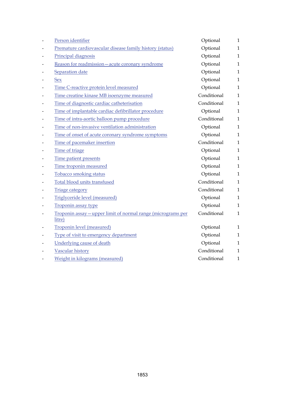| Person identifier                                                      | Optional    | $\mathbf{1}$ |
|------------------------------------------------------------------------|-------------|--------------|
| Premature cardiovascular disease family history (status)               | Optional    | $\mathbf{1}$ |
| Principal diagnosis                                                    | Optional    | $\mathbf{1}$ |
| Reason for readmission-acute coronary syndrome                         | Optional    | $\mathbf{1}$ |
| Separation date                                                        | Optional    | $\mathbf{1}$ |
| <b>Sex</b>                                                             | Optional    | $\mathbf{1}$ |
| Time C-reactive protein level measured                                 | Optional    | $\mathbf{1}$ |
| Time creatine kinase MB isoenzyme measured                             | Conditional | $\mathbf{1}$ |
| Time of diagnostic cardiac catheterisation                             | Conditional | $\mathbf{1}$ |
| Time of implantable cardiac defibrillator procedure                    | Optional    | $\mathbf{1}$ |
| Time of intra-aortic balloon pump procedure                            | Conditional | $\mathbf{1}$ |
| Time of non-invasive ventilation administration                        | Optional    | $\mathbf{1}$ |
| Time of onset of acute coronary syndrome symptoms                      | Optional    | $\mathbf{1}$ |
| Time of pacemaker insertion                                            | Conditional | $\mathbf{1}$ |
| Time of triage                                                         | Optional    | $\mathbf{1}$ |
| Time patient presents                                                  | Optional    | 1            |
| Time troponin measured                                                 | Optional    | $\mathbf{1}$ |
| <b>Tobacco smoking status</b>                                          | Optional    | $\mathbf{1}$ |
| Total blood units transfused                                           | Conditional | $\mathbf{1}$ |
| <b>Triage category</b>                                                 | Conditional | $\mathbf{1}$ |
| Triglyceride level (measured)                                          | Optional    | $\mathbf{1}$ |
| Troponin assay type                                                    | Optional    | $\mathbf{1}$ |
| Troponin assay - upper limit of normal range (micrograms per<br>litre) | Conditional | $\mathbf{1}$ |
| <b>Troponin level (measured)</b>                                       | Optional    | 1            |
| Type of visit to emergency department                                  | Optional    | $\mathbf{1}$ |
| <b>Underlying cause of death</b>                                       | Optional    | $\mathbf{1}$ |
| Vascular history                                                       | Conditional | $\mathbf{1}$ |
| Weight in kilograms (measured)                                         | Conditional | $\mathbf 1$  |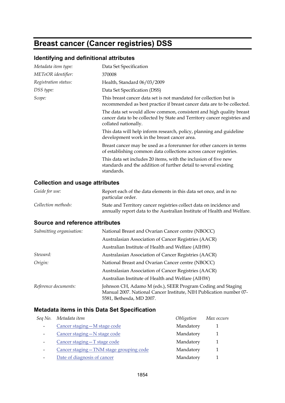## **Breast cancer (Cancer registries) DSS**

## **Identifying and definitional attributes**

| Metadata item type:  | Data Set Specification                                                                                                                                                  |
|----------------------|-------------------------------------------------------------------------------------------------------------------------------------------------------------------------|
| METeOR identifier:   | 370008                                                                                                                                                                  |
| Registration status: | Health, Standard 06/03/2009                                                                                                                                             |
| DSS type:            | Data Set Specification (DSS)                                                                                                                                            |
| Scope:               | This breast cancer data set is not mandated for collection but is<br>recommended as best practice if breast cancer data are to be collected.                            |
|                      | The data set would allow common, consistent and high quality breast<br>cancer data to be collected by State and Territory cancer registries and<br>collated nationally. |
|                      | This data will help inform research, policy, planning and guideline<br>development work in the breast cancer area.                                                      |
|                      | Breast cancer may be used as a forerunner for other cancers in terms<br>of establishing common data collections across cancer registries.                               |
|                      | This data set includes 20 items, with the inclusion of five new<br>standards and the addition of further detail to several existing<br>standards.                       |
|                      |                                                                                                                                                                         |

## **Collection and usage attributes**

| Report each of the data elements in this data set once, and in no<br>particular order.                                                         |
|------------------------------------------------------------------------------------------------------------------------------------------------|
| State and Territory cancer registries collect data on incidence and<br>annually report data to the Australian Institute of Health and Welfare. |
|                                                                                                                                                |

#### **Source and reference attributes**

| Submitting organisation: | National Breast and Ovarian Cancer centre (NBOCC)                                                                                                             |
|--------------------------|---------------------------------------------------------------------------------------------------------------------------------------------------------------|
|                          | Australasian Association of Cancer Registries (AACR)                                                                                                          |
|                          | Australian Institute of Health and Welfare (AIHW)                                                                                                             |
| Steward:                 | Australasian Association of Cancer Registries (AACR)                                                                                                          |
| Origin:                  | National Breast and Ovarian Cancer centre (NBOCC)                                                                                                             |
|                          | Australasian Association of Cancer Registries (AACR)                                                                                                          |
|                          | Australian Institute of Health and Welfare (AIHW)                                                                                                             |
| Reference documents:     | Johnson CH, Adamo M (eds.), SEER Program Coding and Staging<br>Manual 2007. National Cancer Institute, NIH Publication number 07-<br>5581, Bethesda, MD 2007. |

| Seq No. Metadata item                    | Obligation | Max occurs |
|------------------------------------------|------------|------------|
| Cancer staging - M stage code            | Mandatory  |            |
| Cancer staging - N stage code            | Mandatory  |            |
| Cancer staging - T stage code            | Mandatory  |            |
| Cancer staging - TNM stage grouping code | Mandatory  |            |
| Date of diagnosis of cancer              | Mandatory  |            |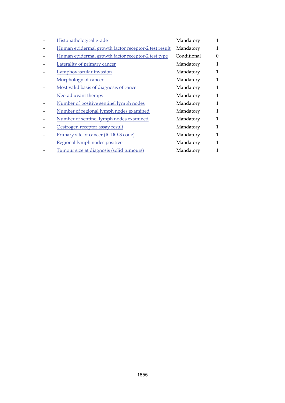| Histopathological grade                              | Mandatory   | 1            |
|------------------------------------------------------|-------------|--------------|
| Human epidermal growth factor receptor-2 test result | Mandatory   | 1            |
| Human epidermal growth factor receptor-2 test type   | Conditional | $\Omega$     |
| Laterality of primary cancer                         | Mandatory   | 1            |
| Lymphovascular invasion                              | Mandatory   | 1            |
| Morphology of cancer                                 | Mandatory   | 1            |
| Most valid basis of diagnosis of cancer              | Mandatory   | $\mathbf{1}$ |
| Neo-adjuvant therapy                                 | Mandatory   | 1            |
| Number of positive sentinel lymph nodes              | Mandatory   | $\mathbf{1}$ |
| Number of regional lymph nodes examined              | Mandatory   | 1            |
| Number of sentinel lymph nodes examined              | Mandatory   | $\mathbf{1}$ |
| Oestrogen receptor assay result                      | Mandatory   | 1            |
| Primary site of cancer (ICDO-3 code)                 | Mandatory   | 1            |
| Regional lymph nodes positive                        | Mandatory   | 1            |
| Tumour size at diagnosis (solid tumours)             | Mandatory   |              |
|                                                      |             |              |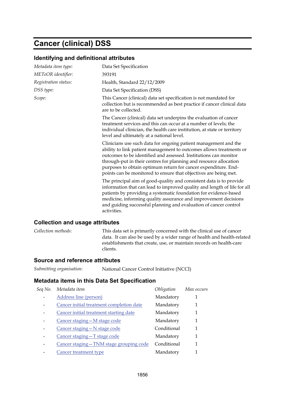## **Cancer (clinical) DSS**

#### **Identifying and definitional attributes**

| Metadata item type:  | Data Set Specification                                                                                                                                                                                                                                                                                                                                                                                                |
|----------------------|-----------------------------------------------------------------------------------------------------------------------------------------------------------------------------------------------------------------------------------------------------------------------------------------------------------------------------------------------------------------------------------------------------------------------|
| METeOR identifier:   | 393191                                                                                                                                                                                                                                                                                                                                                                                                                |
| Registration status: | Health, Standard 22/12/2009                                                                                                                                                                                                                                                                                                                                                                                           |
| DSS type:            | Data Set Specification (DSS)                                                                                                                                                                                                                                                                                                                                                                                          |
| Scope:               | This Cancer (clinical) data set specification is not mandated for<br>collection but is recommended as best practice if cancer clinical data<br>are to be collected.                                                                                                                                                                                                                                                   |
|                      | The Cancer (clinical) data set underpins the evaluation of cancer<br>treatment services and this can occur at a number of levels; the<br>individual clinician, the health care institution, at state or territory<br>level and ultimately at a national level.                                                                                                                                                        |
|                      | Clinicians use such data for ongoing patient management and the<br>ability to link patient management to outcomes allows treatments or<br>outcomes to be identified and assessed. Institutions can monitor<br>through-put in their centres for planning and resource allocation<br>purposes to obtain optimum return for cancer expenditure. End-<br>points can be monitored to ensure that objectives are being met. |
|                      | The principal aim of good-quality and consistent data is to provide<br>information that can lead to improved quality and length of life for all<br>patients by providing a systematic foundation for evidence-based<br>medicine, informing quality assurance and improvement decisions<br>and guiding successful planning and evaluation of cancer control<br>activities.                                             |
|                      |                                                                                                                                                                                                                                                                                                                                                                                                                       |

#### **Collection and usage attributes**

*Collection methods:* This data set is primarily concerned with the clinical use of cancer data. It can also be used by a wider range of health and health-related establishments that create, use, or maintain records on health-care clients.

#### **Source and reference attributes**

| Submitting organisation: | National Cancer Control Initiative (NCCI) |
|--------------------------|-------------------------------------------|
|--------------------------|-------------------------------------------|

| Seq No. | Metadata item                            | Obligation  | Max occurs |
|---------|------------------------------------------|-------------|------------|
|         | Address line (person)                    | Mandatory   |            |
|         | Cancer initial treatment completion date | Mandatory   | 1          |
|         | Cancer initial treatment starting date   | Mandatory   | 1          |
|         | Cancer staging - M stage code            | Mandatory   | 1          |
|         | Cancer staging - N stage code            | Conditional | 1          |
|         | Cancer staging - T stage code            | Mandatory   | 1          |
|         | Cancer staging-TNM stage grouping code   | Conditional | 1          |
|         | Cancer treatment type                    | Mandatory   | 1          |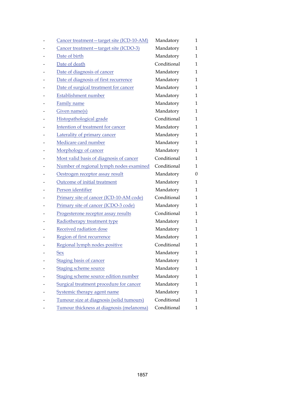| Cancer treatment-target site (ICD-10-AM) | Mandatory   | 1            |
|------------------------------------------|-------------|--------------|
| Cancer treatment - target site (ICDO-3)  | Mandatory   | 1            |
| Date of birth                            | Mandatory   | 1            |
| Date of death                            | Conditional | 1            |
| Date of diagnosis of cancer              | Mandatory   | 1            |
| Date of diagnosis of first recurrence    | Mandatory   | 1            |
| Date of surgical treatment for cancer    | Mandatory   | 1            |
| Establishment number                     | Mandatory   | 1            |
| <b>Family name</b>                       | Mandatory   | 1            |
| Given name(s)                            | Mandatory   | $\mathbf{1}$ |
| Histopathological grade                  | Conditional | 1            |
| Intention of treatment for cancer        | Mandatory   | 1            |
| Laterality of primary cancer             | Mandatory   | 1            |
| Medicare card number                     | Mandatory   | $\mathbf{1}$ |
| Morphology of cancer                     | Mandatory   | 1            |
| Most valid basis of diagnosis of cancer  | Conditional | 1            |
| Number of regional lymph nodes examined  | Conditional | 1            |
| Oestrogen receptor assay result          | Mandatory   | $\theta$     |
| Outcome of initial treatment             | Mandatory   | 1            |
| Person identifier                        | Mandatory   | 1            |
| Primary site of cancer (ICD-10-AM code)  | Conditional | 1            |
| Primary site of cancer (ICDO-3 code)     | Mandatory   | 1            |
| Progesterone receptor assay results      | Conditional | 1            |
| Radiotherapy treatment type              | Mandatory   | 1            |
| Received radiation dose                  | Mandatory   | 1            |
| Region of first recurrence               | Mandatory   | 1            |
| Regional lymph nodes positive            | Conditional | 1            |
| <u>Sex</u>                               | Mandatory   | 1            |
| <b>Staging basis of cancer</b>           | Mandatory   | 1            |
| <b>Staging scheme source</b>             | Mandatory   | 1            |
| Staging scheme source edition number     | Mandatory   | 1            |
| Surgical treatment procedure for cancer  | Mandatory   | 1            |
| <b>Systemic therapy agent name</b>       | Mandatory   | 1            |
| Tumour size at diagnosis (solid tumours) | Conditional | 1            |
| Tumour thickness at diagnosis (melanoma) | Conditional | 1            |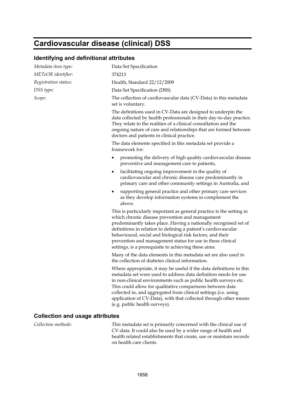## **Cardiovascular disease (clinical) DSS**

#### **Identifying and definitional attributes**

| Metadata item type:                    | Data Set Specification                                                                                                                                                                                                                                                                                                                                                                                                                            |  |  |
|----------------------------------------|---------------------------------------------------------------------------------------------------------------------------------------------------------------------------------------------------------------------------------------------------------------------------------------------------------------------------------------------------------------------------------------------------------------------------------------------------|--|--|
| METeOR identifier:                     | 374213                                                                                                                                                                                                                                                                                                                                                                                                                                            |  |  |
| Registration status:                   | Health, Standard 22/12/2009                                                                                                                                                                                                                                                                                                                                                                                                                       |  |  |
| DSS type:                              | Data Set Specification (DSS)                                                                                                                                                                                                                                                                                                                                                                                                                      |  |  |
| Scope:                                 | The collection of cardiovascular data (CV-Data) in this metadata<br>set is voluntary.                                                                                                                                                                                                                                                                                                                                                             |  |  |
|                                        | The definitions used in CV-Data are designed to underpin the<br>data collected by health professionals in their day-to-day practice.<br>They relate to the realities of a clinical consultation and the<br>ongoing nature of care and relationships that are formed between<br>doctors and patients in clinical practice.                                                                                                                         |  |  |
|                                        | The data elements specified in this metadata set provide a<br>framework for:                                                                                                                                                                                                                                                                                                                                                                      |  |  |
|                                        | promoting the delivery of high quality cardiovascular disease<br>preventive and management care to patients,                                                                                                                                                                                                                                                                                                                                      |  |  |
|                                        | facilitating ongoing improvement in the quality of<br>٠<br>cardiovascular and chronic disease care predominantly in<br>primary care and other community settings in Australia, and                                                                                                                                                                                                                                                                |  |  |
|                                        | supporting general practice and other primary care services<br>as they develop information systems to complement the<br>above.                                                                                                                                                                                                                                                                                                                    |  |  |
|                                        | This is particularly important as general practice is the setting in<br>which chronic disease prevention and management<br>predominantly takes place. Having a nationally recognised set of<br>definitions in relation to defining a patient's cardiovascular<br>behavioural, social and biological risk factors, and their<br>prevention and management status for use in these clinical<br>settings, is a prerequisite to achieving these aims. |  |  |
|                                        | Many of the data elements in this metadata set are also used in<br>the collection of diabetes clinical information.                                                                                                                                                                                                                                                                                                                               |  |  |
|                                        | Where appropriate, it may be useful if the data definitions in this<br>metadata set were used to address data definition needs for use<br>in non-clinical environments such as public health surveys etc.<br>This could allow for qualitative comparisons between data<br>collected in, and aggregated from clinical settings (i.e. using<br>application of CV-Data), with that collected through other means<br>(e.g. public health surveys).    |  |  |
| <b>Collection and usage attributes</b> |                                                                                                                                                                                                                                                                                                                                                                                                                                                   |  |  |

*Collection methods:* This metadata set is primarily concerned with the clinical use of CV-data. It could also be used by a wider range of health and health related establishments that create, use or maintain records on health care clients.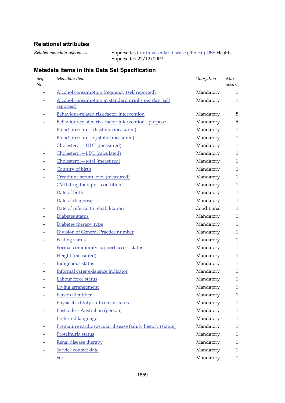## **Relational attributes**

*Related metadata references:* Supersedes [Cardiovascular disease \(clinical\) DSS](http://meteor.aihw.gov.au/content/index.phtml/itemId/353668) Health,

Superseded 22/12/2009

| Seq<br>No.               | Metadata item                                                     | Obligation  | Max<br>occurs |
|--------------------------|-------------------------------------------------------------------|-------------|---------------|
|                          | Alcohol consumption frequency (self reported)                     | Mandatory   | 1             |
|                          | Alcohol consumption in standard drinks per day (self<br>reported) | Mandatory   | 1             |
|                          | Behaviour-related risk factor intervention                        | Mandatory   | $\,8\,$       |
|                          | Behaviour-related risk factor intervention - purpose              | Mandatory   | 5             |
|                          | Blood pressure - diastolic (measured)                             | Mandatory   | $\mathbf{1}$  |
|                          | Blood pressure - systolic (measured)                              | Mandatory   | $\mathbf{1}$  |
|                          | Cholesterol-HDL (measured)                                        | Mandatory   | 1             |
|                          | Cholesterol-LDL (calculated)                                      | Mandatory   | $\mathbf{1}$  |
|                          | Cholesterol-total (measured)                                      | Mandatory   | $\mathbf{1}$  |
|                          | Country of birth                                                  | Mandatory   | $\mathbf{1}$  |
|                          | Creatinine serum level (measured)                                 | Mandatory   | $\mathbf{1}$  |
|                          | CVD drug therapy - condition                                      | Mandatory   | $\mathbf{1}$  |
|                          | Date of birth                                                     | Mandatory   | $\mathbf{1}$  |
|                          | Date of diagnosis                                                 | Mandatory   | $\mathbf{1}$  |
|                          | Date of referral to rehabilitation                                | Conditional | $\mathbf{1}$  |
|                          | Diabetes status                                                   | Mandatory   | $\mathbf{1}$  |
| $\overline{\phantom{0}}$ | Diabetes therapy type                                             | Mandatory   | $\mathbf{1}$  |
|                          | Division of General Practice number                               | Mandatory   | $\mathbf{1}$  |
| -                        | <b>Fasting status</b>                                             | Mandatory   | $\mathbf{1}$  |
|                          | Formal community support access status                            | Mandatory   | $\mathbf{1}$  |
|                          | Height (measured)                                                 | Mandatory   | $\mathbf{1}$  |
|                          | Indigenous status                                                 | Mandatory   | $\mathbf{1}$  |
|                          | Informal carer existence indicator                                | Mandatory   | $\mathbf{1}$  |
|                          | Labour force status                                               | Mandatory   | $\mathbf{1}$  |
|                          | Living arrangement                                                | Mandatory   | $\mathbf{1}$  |
|                          | Person identifier                                                 | Mandatory   | 1             |
|                          | Physical activity sufficiency status                              | Mandatory   | 1             |
|                          | Postcode-Australian (person)                                      | Mandatory   | $\mathbf{1}$  |
|                          | Preferred language                                                | Mandatory   | $\mathbf{1}$  |
|                          | Premature cardiovascular disease family history (status)          | Mandatory   | $\mathbf{1}$  |
|                          | Proteinuria status                                                | Mandatory   | 1             |
|                          | Renal disease therapy                                             | Mandatory   | 1             |
|                          | Service contact date                                              | Mandatory   | $\mathbf{1}$  |
|                          | Sex                                                               | Mandatory   | $\mathbf{1}$  |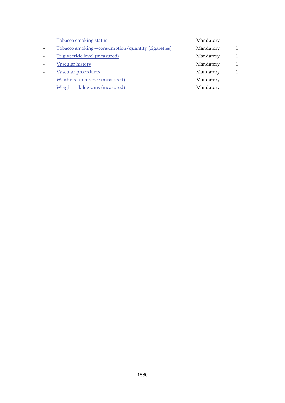| Tobacco smoking - consumption/quantity (cigarettes)<br>Mandatory |              |
|------------------------------------------------------------------|--------------|
| Triglyceride level (measured)<br>Mandatory                       | $\mathbf{1}$ |
| Vascular history<br>Mandatory                                    | $\mathbf{1}$ |
| Vascular procedures<br>Mandatory                                 |              |
| Waist circumference (measured)<br>Mandatory                      | 1            |
| Weight in kilograms (measured)<br>Mandatory                      |              |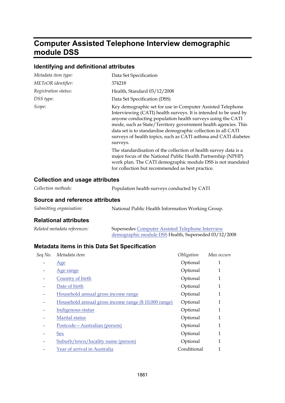## **Computer Assisted Telephone Interview demographic module DSS**

## **Identifying and definitional attributes**

| Metadata item type:  | Data Set Specification                                                                                                                                                                                                                                                                                                                                                                                         |
|----------------------|----------------------------------------------------------------------------------------------------------------------------------------------------------------------------------------------------------------------------------------------------------------------------------------------------------------------------------------------------------------------------------------------------------------|
| METeOR identifier:   | 374218                                                                                                                                                                                                                                                                                                                                                                                                         |
| Registration status: | Health, Standard 03/12/2008                                                                                                                                                                                                                                                                                                                                                                                    |
| DSS type:            | Data Set Specification (DSS)                                                                                                                                                                                                                                                                                                                                                                                   |
| Scope:               | Key demographic set for use in Computer Assisted Telephone<br>Interviewing (CATI) health surveys. It is intended to be used by<br>anyone conducting population health surveys using the CATI<br>mode, such as State/Territory government health agencies. This<br>data set is to standardise demographic collection in all CATI<br>surveys of health topics, such as CATI asthma and CATI diabetes<br>surveys. |
|                      | The standardisation of the collection of health survey data is a<br>major focus of the National Public Health Partnership (NPHP)<br>work plan. The CATI demographic module DSS is not mandated<br>for collection but recommended as best practice.                                                                                                                                                             |

### **Collection and usage attributes**

| Collection methods: | Population health surveys conducted by CATI |
|---------------------|---------------------------------------------|
|                     |                                             |

#### **Source and reference attributes**

| Submitting organisation: | National Public Health Information Working Group. |
|--------------------------|---------------------------------------------------|
|--------------------------|---------------------------------------------------|

#### **Relational attributes**

| Related metadata references: | <b>Supersedes Computer Assisted Telephone Interview</b> |
|------------------------------|---------------------------------------------------------|
|                              | demographic module DSS Health, Superseded 03/12/2008    |

| Metadata item                                        | Obligation  | Max occurs |
|------------------------------------------------------|-------------|------------|
| Age                                                  | Optional    | 1          |
| Age range                                            | Optional    | 1          |
| Country of birth                                     | Optional    | 1          |
| Date of birth                                        | Optional    | 1          |
| Household annual gross income range                  | Optional    | 1          |
| Household annual gross income range (\$10,000 range) | Optional    | 1          |
| Indigenous status                                    | Optional    | 1          |
| Marital status                                       | Optional    | 1          |
| Postcode - Australian (person)                       | Optional    | 1          |
| <b>Sex</b>                                           | Optional    | 1          |
| Suburb/town/locality name (person)                   | Optional    | 1          |
| Year of arrival in Australia                         | Conditional | 1          |
|                                                      |             |            |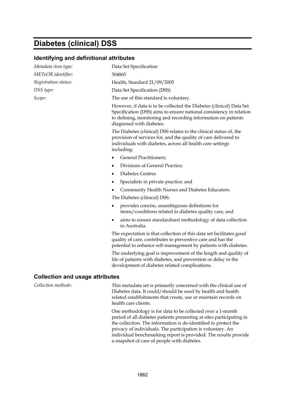## **Diabetes (clinical) DSS**

#### **Identifying and definitional attributes**

| Metadata item type:                    | Data Set Specification                                                                                                                                                                                                                   |
|----------------------------------------|------------------------------------------------------------------------------------------------------------------------------------------------------------------------------------------------------------------------------------------|
| METeOR identifier:                     | 304865                                                                                                                                                                                                                                   |
| Registration status:                   | Health, Standard 21/09/2005                                                                                                                                                                                                              |
| DSS type:                              | Data Set Specification (DSS)                                                                                                                                                                                                             |
| Scope:                                 | The use of this standard is voluntary.                                                                                                                                                                                                   |
|                                        | However, if data is to be collected the Diabetes (clinical) Data Set<br>Specification (DSS) aims to ensure national consistency in relation<br>to defining, monitoring and recording information on patients<br>diagnosed with diabetes. |
|                                        | The Diabetes (clinical) DSS relates to the clinical status of, the<br>provision of services for, and the quality of care delivered to<br>individuals with diabetes, across all health care settings<br>including:                        |
|                                        | <b>General Practitioners;</b><br>٠                                                                                                                                                                                                       |
|                                        | Divisions of General Practice;<br>٠                                                                                                                                                                                                      |
|                                        | <b>Diabetes Centres</b><br>٠                                                                                                                                                                                                             |
|                                        | Specialists in private practice; and<br>$\bullet$                                                                                                                                                                                        |
|                                        | Community Health Nurses and Diabetes Educators.                                                                                                                                                                                          |
|                                        | The Diabetes (clinical) DSS:                                                                                                                                                                                                             |
|                                        | provides concise, unambiguous definitions for<br>items/conditions related to diabetes quality care, and                                                                                                                                  |
|                                        | aims to ensure standardised methodology of data collection<br>٠<br>in Australia.                                                                                                                                                         |
|                                        | The expectation is that collection of this data set facilitates good<br>quality of care, contributes to preventive care and has the<br>potential to enhance self-management by patients with diabetes.                                   |
|                                        | The underlying goal is improvement of the length and quality of<br>life of patients with diabetes, and prevention or delay in the<br>development of diabetes related complications.                                                      |
| <b>Collection and usage attributes</b> |                                                                                                                                                                                                                                          |

*Collection methods:* This metadata set is primarily concerned with the clinical use of Diabetes data. It could/should be used by health and health related establishments that create, use or maintain records on health care clients.

> One methodology is for data to be collected over a 1-month period of all diabetes patients presenting at sites participating in the collection. The information is de-identified to protect the privacy of individuals. The participation is voluntary. An individual benchmarking report is provided. The results provide a snapshot of care of people with diabetes.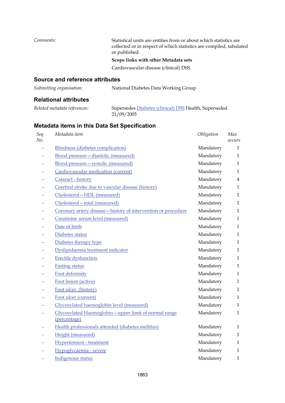| Comments:                              | Statistical units are entities from or about which statistics are<br>collected or in respect of which statistics are compiled, tabulated<br>or published. |
|----------------------------------------|-----------------------------------------------------------------------------------------------------------------------------------------------------------|
|                                        | Scope links with other Metadata sets                                                                                                                      |
|                                        | Cardiovascular disease (clinical) DSS.                                                                                                                    |
| <b>Source and reference attributes</b> |                                                                                                                                                           |

## *Submitting organisation:* National Diabetes Data Working Group

## **Relational attributes**

|  | Related metadata references: | Sι |  |
|--|------------------------------|----|--|
|  |                              |    |  |

*Related metadata references:* Supersedes [Diabetes \(clinical\) DSS](http://meteor.aihw.gov.au/content/index.phtml/itemId/273054) Health, Superseded 21/09/2005

| Seq<br>No. | Metadata item                                                        | Obligation | Max<br>occurs  |
|------------|----------------------------------------------------------------------|------------|----------------|
|            | <b>Blindness (diabetes complication)</b>                             | Mandatory  | $\mathbf{1}$   |
|            | Blood pressure-diastolic (measured)                                  | Mandatory  | $\mathbf{1}$   |
|            | Blood pressure - systolic (measured)                                 | Mandatory  | $\mathbf{1}$   |
|            | Cardiovascular medication (current)                                  | Mandatory  | $\mathbf{1}$   |
|            | Cataract - history                                                   | Mandatory  | $\overline{4}$ |
|            | Cerebral stroke due to vascular disease (history)                    | Mandatory  | $\mathbf{1}$   |
|            | Cholesterol-HDL (measured)                                           | Mandatory  | $\mathbf{1}$   |
|            | Cholesterol-total (measured)                                         | Mandatory  | $\mathbf{1}$   |
|            | Coronary artery disease - history of intervention or procedure       | Mandatory  | $\mathbf{1}$   |
|            | Creatinine serum level (measured)                                    | Mandatory  | $\mathbf{1}$   |
|            | Date of birth                                                        | Mandatory  | $\mathbf{1}$   |
|            | Diabetes status                                                      | Mandatory  | $\mathbf{1}$   |
|            | Diabetes therapy type                                                | Mandatory  | $\mathbf{1}$   |
|            | Dyslipidaemia treatment indicator                                    | Mandatory  | $\mathbf{1}$   |
|            | <b>Erectile dysfunction</b>                                          | Mandatory  | $\mathbf{1}$   |
|            | <b>Fasting status</b>                                                | Mandatory  | $\mathbf{1}$   |
|            | Foot deformity                                                       | Mandatory  | $\mathbf{1}$   |
|            | Foot lesion (active)                                                 | Mandatory  | $\mathbf{1}$   |
|            | Foot ulcer (history)                                                 | Mandatory  | $\mathbf{1}$   |
|            | Foot ulcer (current)                                                 | Mandatory  | $\mathbf{1}$   |
|            | Glycosylated haemoglobin level (measured)                            | Mandatory  | $\mathbf{1}$   |
|            | Glycosylated Haemoglobin-upper limit of normal range<br>(percentage) | Mandatory  | $\mathbf{1}$   |
|            | Health professionals attended (diabetes mellitus)                    | Mandatory  | 1              |
|            | Height (measured)                                                    | Mandatory  | $\mathbf{1}$   |
|            | <b>Hypertension</b> - treatment                                      | Mandatory  | $\mathbf{1}$   |
|            | Hypoglycaemia - severe                                               | Mandatory  | 1              |
|            | Indigenous status                                                    | Mandatory  | $\mathbf{1}$   |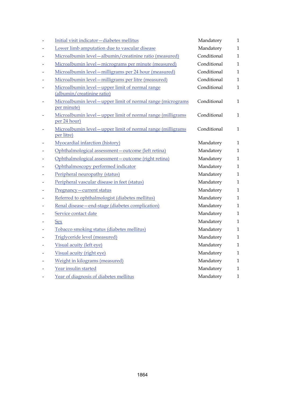|                          | Initial visit indicator-diabetes mellitus                                      | Mandatory   | $\mathbf{1}$ |
|--------------------------|--------------------------------------------------------------------------------|-------------|--------------|
|                          | Lower limb amputation due to vascular disease                                  | Mandatory   | $\mathbf{1}$ |
|                          | Microalbumin level - albumin/creatinine ratio (measured)                       | Conditional | $\mathbf{1}$ |
|                          | Microalbumin level - micrograms per minute (measured)                          | Conditional | $\mathbf{1}$ |
|                          | Microalbumin level - milligrams per 24 hour (measured)                         | Conditional | $\mathbf{1}$ |
|                          | Microalbumin level - milligrams per litre (measured)                           | Conditional | $\mathbf{1}$ |
|                          | Microalbumin level - upper limit of normal range<br>(albumin/creatinine ratio) | Conditional | $\mathbf{1}$ |
|                          | Microalbumin level - upper limit of normal range (micrograms<br>per minute)    | Conditional | $\mathbf{1}$ |
|                          | Microalbumin level - upper limit of normal range (milligrams<br>per 24 hour)   | Conditional | $\mathbf{1}$ |
| $\overline{\phantom{0}}$ | Microalbumin level - upper limit of normal range (milligrams<br>per litre)     | Conditional | $\mathbf{1}$ |
|                          | Myocardial infarction (history)                                                | Mandatory   | 1            |
|                          | Ophthalmological assessment - outcome (left retina)                            | Mandatory   | $\mathbf{1}$ |
|                          | Ophthalmological assessment-outcome (right retina)                             | Mandatory   | $\mathbf{1}$ |
|                          | Ophthalmoscopy performed indicator                                             | Mandatory   | $\mathbf{1}$ |
|                          | Peripheral neuropathy (status)                                                 | Mandatory   | $\mathbf{1}$ |
|                          | Peripheral vascular disease in feet (status)                                   | Mandatory   | $\mathbf{1}$ |
|                          | Pregnancy - current status                                                     | Mandatory   | $\mathbf{1}$ |
|                          | Referred to ophthalmologist (diabetes mellitus)                                | Mandatory   | $\mathbf{1}$ |
|                          | Renal disease - end-stage (diabetes complication)                              | Mandatory   | $\mathbf{1}$ |
|                          | Service contact date                                                           | Mandatory   | $\mathbf{1}$ |
|                          | <u>Sex</u>                                                                     | Mandatory   | $\mathbf{1}$ |
|                          | Tobacco smoking status (diabetes mellitus)                                     | Mandatory   | $\mathbf{1}$ |
|                          | Triglyceride level (measured)                                                  | Mandatory   | $\mathbf{1}$ |
|                          | Visual acuity (left eye)                                                       | Mandatory   | 1            |
|                          | Visual acuity (right eye)                                                      | Mandatory   | $\mathbf{1}$ |
|                          | Weight in kilograms (measured)                                                 | Mandatory   | $\mathbf{1}$ |
|                          | Year insulin started                                                           | Mandatory   | $\mathbf{1}$ |
|                          | Year of diagnosis of diabetes mellitus                                         | Mandatory   | 1            |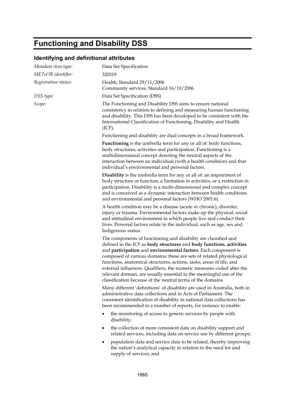# **Functioning and Disability DSS**

## **Identifying and definitional attributes**

| Metadata item type:  | Data Set Specification                                                                                                                                                                                                                                                                                                                                                                                                                                                                                                                                                   |
|----------------------|--------------------------------------------------------------------------------------------------------------------------------------------------------------------------------------------------------------------------------------------------------------------------------------------------------------------------------------------------------------------------------------------------------------------------------------------------------------------------------------------------------------------------------------------------------------------------|
| METeOR identifier:   | 320319                                                                                                                                                                                                                                                                                                                                                                                                                                                                                                                                                                   |
| Registration status: | Health, Standard 29/11/2006<br>Community services, Standard 16/10/2006                                                                                                                                                                                                                                                                                                                                                                                                                                                                                                   |
| DSS type:            | Data Set Specification (DSS)                                                                                                                                                                                                                                                                                                                                                                                                                                                                                                                                             |
| Scope:               | The Functioning and Disability DSS aims to ensure national<br>consistency in relation to defining and measuring human functioning<br>and disability. This DSS has been developed to be consistent with the<br>International Classification of Functioning, Disability and Health<br>(ICF).                                                                                                                                                                                                                                                                               |
|                      | Functioning and disability are dual concepts in a broad framework.                                                                                                                                                                                                                                                                                                                                                                                                                                                                                                       |
|                      | <b>Functioning</b> is the umbrella term for any or all of: body functions,<br>body structures, activities and participation. Functioning is a<br>multidimensional concept denoting the neutral aspects of the<br>interaction between an individual (with a health condition) and that<br>individual's environmental and personal factors.                                                                                                                                                                                                                                |
|                      | <b>Disability</b> is the umbrella term for any or all of: an impairment of<br>body structure or function, a limitation in activities, or a restriction in<br>participation. Disability is a multi-dimensional and complex concept<br>and is conceived as a dynamic interaction between health conditions<br>and environmental and personal factors (WHO 2001:6).                                                                                                                                                                                                         |
|                      | A health condition may be a disease (acute or chronic), disorder,<br>injury or trauma. Environmental factors make up the physical, social<br>and attitudinal environment in which people live and conduct their<br>lives. Personal factors relate to the individual, such as age, sex and<br>Indigenous status.                                                                                                                                                                                                                                                          |
|                      | The components of functioning and disability are classified and<br>defined in the ICF as body structures and body functions, activities<br>and participation and environmental factors. Each component is<br>composed of various domains; these are sets of related physiological<br>functions, anatomical structures, actions, tasks, areas of life, and<br>external influences. Qualifiers, the numeric measures coded after the<br>relevant domain, are usually essential to the meaningful use of the<br>classification because of the neutral terms of the domains. |
|                      | Many different 'definitions' of disability are used in Australia, both in<br>administrative data collections and in Acts of Parliament. The<br>consistent identification of disability in national data collections has<br>been recommended in a number of reports, for instance to enable:                                                                                                                                                                                                                                                                              |
|                      | the monitoring of access to generic services by people with<br>disability;                                                                                                                                                                                                                                                                                                                                                                                                                                                                                               |
|                      | the collection of more consistent data on disability support and<br>٠<br>related services, including data on service use by different groups;                                                                                                                                                                                                                                                                                                                                                                                                                            |
|                      | population data and service data to be related, thereby improving<br>the nation's analytical capacity in relation to the need for and<br>supply of services; and                                                                                                                                                                                                                                                                                                                                                                                                         |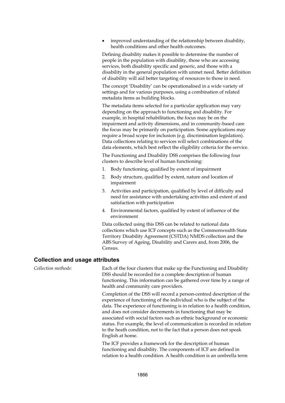improved understanding of the relationship between disability, health conditions and other health outcomes.

Defining disability makes it possible to determine the number of people in the population with disability, those who are accessing services, both disability specific and generic, and those with a disability in the general population with unmet need. Better definition of disability will aid better targeting of resources to those in need.

The concept 'Disability' can be operationalised in a wide variety of settings and for various purposes, using a combination of related metadata items as building blocks.

The metadata items selected for a particular application may vary depending on the approach to functioning and disability. For example, in hospital rehabilitation, the focus may be on the impairment and activity dimensions, and in community-based care the focus may be primarily on participation. Some applications may require a broad scope for inclusion (e.g. discrimination legislation). Data collections relating to services will select combinations of the data elements, which best reflect the eligibility criteria for the service.

The Functioning and Disability DSS comprises the following four clusters to describe level of human functioning:

- 1. Body functioning, qualified by extent of impairment
- 2. Body structure, qualified by extent, nature and location of impairment
- 3. Activities and participation, qualified by level of difficulty and need for assistance with undertaking activities and extent of and satisfaction with participation
- 4. Environmental factors, qualified by extent of influence of the environment

Data collected using this DSS can be related to national data collections which use ICF concepts such as the Commonwealth State Territory Disability Agreement (CSTDA) NMDS collection and the ABS Survey of Ageing, Disability and Carers and, from 2006, the Census.

#### **Collection and usage attributes**

*Collection methods:* Each of the four clusters that make up the Functioning and Disability DSS should be recorded for a complete description of human functioning. This information can be gathered over time by a range of health and community care providers.

> Completion of the DSS will record a person-centred description of the experience of functioning of the individual who is the subject of the data. The experience of functioning is in relation to a health condition, and does not consider decrements in functioning that may be associated with social factors such as ethnic background or economic status. For example, the level of communication is recorded in relation to the heath condition, not to the fact that a person does not speak English at home.

The ICF provides a framework for the description of human functioning and disability. The components of ICF are defined in relation to a health condition. A health condition is an umbrella term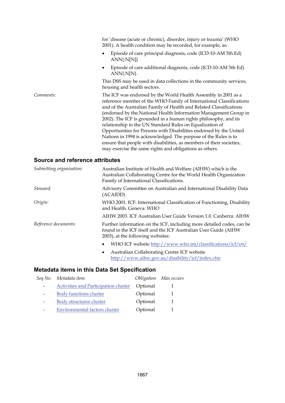|           | for 'disease (acute or chronic), disorder, injury or trauma' (WHO<br>2001). A health condition may be recorded, for example, as:                                                                                                                                                                                                                                                                                                                                                                                                                                                                                                                                                            |
|-----------|---------------------------------------------------------------------------------------------------------------------------------------------------------------------------------------------------------------------------------------------------------------------------------------------------------------------------------------------------------------------------------------------------------------------------------------------------------------------------------------------------------------------------------------------------------------------------------------------------------------------------------------------------------------------------------------------|
|           | Episode of care principal diagnosis, code (ICD-10-AM 5th Ed)<br>$ANN{N[N]}$                                                                                                                                                                                                                                                                                                                                                                                                                                                                                                                                                                                                                 |
|           | Episode of care additional diagnosis, code (ICD-10-AM 5th Ed)<br>$\bullet$<br>$ANN{N[N]}$ .                                                                                                                                                                                                                                                                                                                                                                                                                                                                                                                                                                                                 |
|           | This DSS may be used in data collections in the community services,<br>housing and health sectors.                                                                                                                                                                                                                                                                                                                                                                                                                                                                                                                                                                                          |
| Comments: | The ICF was endorsed by the World Health Assembly in 2001 as a<br>reference member of the WHO Family of International Classifications<br>and of the Australian Family of Health and Related Classifications<br>(endorsed by the National Health Information Management Group in<br>2002). The ICF is grounded in a human rights philosophy, and its<br>relationship to the UN Standard Rules on Equalization of<br>Opportunities for Persons with Disabilities endorsed by the United<br>Nations in 1994 is acknowledged. The purpose of the Rules is to<br>ensure that people with disabilities, as members of their societies,<br>may exercise the same rights and obligations as others. |

### **Source and reference attributes**

| Submitting organisation: | Australian Institute of Health and Welfare (AIHW) which is the<br>Australian Collaborating Centre for the World Health Organization<br>Family of International Classifications. |  |
|--------------------------|---------------------------------------------------------------------------------------------------------------------------------------------------------------------------------|--|
| Steward:                 | Advisory Committee on Australian and International Disability Data<br>(ACAIDD)                                                                                                  |  |
| Origin:                  | WHO 2001. ICF: International Classification of Functioning, Disability<br>and Health. Geneva: WHO                                                                               |  |
|                          | AIHW 2003. ICF Australian User Guide Version 1.0. Canberra: AIHW                                                                                                                |  |
| Reference documents:     | Further information on the ICF, including more detailed codes, can be<br>found in the ICF itself and the ICF Australian User Guide (AIHW<br>2003), at the following websites:   |  |
|                          | WHO ICF website http://www.who.int/classifications/icf/en/<br>٠                                                                                                                 |  |
|                          | Australian Collaborating Centre ICF website<br>$\bullet$<br>http://www.aihw.gov.au/disability/icf/index.cfm                                                                     |  |

|                          | Seq No. Metadata item                       |          | Obligation Max occurs |
|--------------------------|---------------------------------------------|----------|-----------------------|
|                          | <b>Activities and Participation cluster</b> | Optional |                       |
| $\overline{\phantom{0}}$ | <b>Body functions cluster</b>               | Optional |                       |
| $\overline{\phantom{a}}$ | Body structures cluster                     | Optional |                       |
|                          | <b>Environmental factors cluster</b>        | Optional |                       |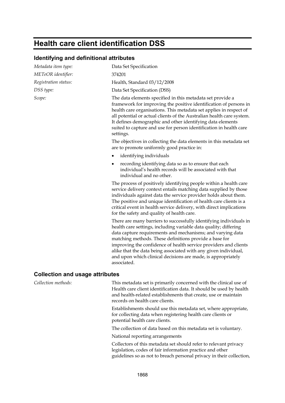## **Health care client identification DSS**

#### **Identifying and definitional attributes**

| Metadata item type:                    | Data Set Specification                                                                                                                                                                                                                                                                                                                                                                                                                                                                                                                               |
|----------------------------------------|------------------------------------------------------------------------------------------------------------------------------------------------------------------------------------------------------------------------------------------------------------------------------------------------------------------------------------------------------------------------------------------------------------------------------------------------------------------------------------------------------------------------------------------------------|
| METeOR identifier:                     | 374201                                                                                                                                                                                                                                                                                                                                                                                                                                                                                                                                               |
| Registration status:                   | Health, Standard 03/12/2008                                                                                                                                                                                                                                                                                                                                                                                                                                                                                                                          |
| DSS type:                              | Data Set Specification (DSS)                                                                                                                                                                                                                                                                                                                                                                                                                                                                                                                         |
| Scope:                                 | The data elements specified in this metadata set provide a<br>framework for improving the positive identification of persons in<br>health care organisations. This metadata set applies in respect of<br>all potential or actual clients of the Australian health care system.<br>It defines demographic and other identifying data elements<br>suited to capture and use for person identification in health care<br>settings.<br>The objectives in collecting the data elements in this metadata set<br>are to promote uniformly good practice in: |
|                                        | identifying individuals                                                                                                                                                                                                                                                                                                                                                                                                                                                                                                                              |
|                                        | recording identifying data so as to ensure that each<br>٠<br>individual's health records will be associated with that<br>individual and no other.                                                                                                                                                                                                                                                                                                                                                                                                    |
|                                        | The process of positively identifying people within a health care<br>service delivery context entails matching data supplied by those<br>individuals against data the service provider holds about them.<br>The positive and unique identification of health care clients is a<br>critical event in health service delivery, with direct implications<br>for the safety and quality of health care.                                                                                                                                                  |
|                                        | There are many barriers to successfully identifying individuals in<br>health care settings, including variable data quality; differing<br>data capture requirements and mechanisms; and varying data<br>matching methods. These definitions provide a base for<br>improving the confidence of health service providers and clients<br>alike that the data being associated with any given individual,<br>and upon which clinical decisions are made, is appropriately<br>associated.                                                                 |
| <b>Collection and usage attributes</b> |                                                                                                                                                                                                                                                                                                                                                                                                                                                                                                                                                      |
| Collection methods:                    | This motadata set is primarily concerned with the clinical use of                                                                                                                                                                                                                                                                                                                                                                                                                                                                                    |

*Collection methods:* This metadata set is primarily concerned with the clinical use of Health care client identification data. It should be used by health and health-related establishments that create, use or maintain records on health care clients.

> Establishments should use this metadata set, where appropriate, for collecting data when registering health care clients or potential health care clients.

The collection of data based on this metadata set is voluntary.

National reporting arrangements

Collectors of this metadata set should refer to relevant privacy legislation, codes of fair information practice and other guidelines so as not to breach personal privacy in their collection,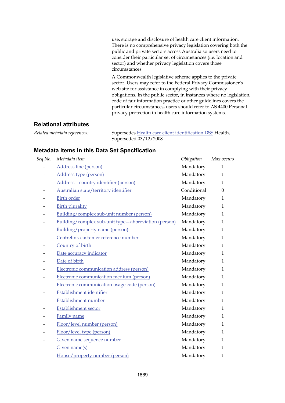use, storage and disclosure of health care client information. There is no comprehensive privacy legislation covering both the public and private sectors across Australia so users need to consider their particular set of circumstances (i.e. location and sector) and whether privacy legislation covers those circumstances.

A Commonwealth legislative scheme applies to the private sector. Users may refer to the Federal Privacy Commissioner's web site for assistance in complying with their privacy obligations. In the public sector, in instances where no legislation, code of fair information practice or other guidelines covers the particular circumstances, users should refer to AS 4400 Personal privacy protection in health care information systems.

#### **Relational attributes**

*Related metadata references:* Supersedes [Health care client identification DSS](http://meteor.aihw.gov.au/content/index.phtml/itemId/288765) Health, Superseded 03/12/2008

| Seq No. | Metadata item                                        | Obligation  | Max occurs   |
|---------|------------------------------------------------------|-------------|--------------|
|         | Address line (person)                                | Mandatory   | $\mathbf{1}$ |
|         | Address type (person)                                | Mandatory   | $\mathbf{1}$ |
|         | Address-country identifier (person)                  | Mandatory   | 1            |
|         | Australian state/territory identifier                | Conditional | $\Omega$     |
|         | <b>Birth order</b>                                   | Mandatory   | $\mathbf{1}$ |
|         | <b>Birth plurality</b>                               | Mandatory   | $\mathbf{1}$ |
|         | Building/complex sub-unit number (person)            | Mandatory   | $\mathbf{1}$ |
|         | Building/complex sub-unit type-abbreviation (person) | Mandatory   | $\mathbf{1}$ |
|         | Building/property name (person)                      | Mandatory   | 1            |
|         | Centrelink customer reference number                 | Mandatory   | $\mathbf{1}$ |
|         | Country of birth                                     | Mandatory   | $\mathbf{1}$ |
|         | Date accuracy indicator                              | Mandatory   | $\mathbf{1}$ |
|         | Date of birth                                        | Mandatory   | $\mathbf{1}$ |
|         | Electronic communication address (person)            | Mandatory   | $\mathbf{1}$ |
|         | Electronic communication medium (person)             | Mandatory   | $\mathbf{1}$ |
|         | Electronic communication usage code (person)         | Mandatory   | $\mathbf{1}$ |
|         | Establishment identifier                             | Mandatory   | $\mathbf{1}$ |
|         | Establishment number                                 | Mandatory   | $\mathbf{1}$ |
|         | <b>Establishment sector</b>                          | Mandatory   | $\mathbf{1}$ |
|         | Family name                                          | Mandatory   | $\mathbf{1}$ |
|         | Floor/level number (person)                          | Mandatory   | $\mathbf{1}$ |
|         | Floor/level type (person)                            | Mandatory   | $\mathbf{1}$ |
|         | Given name sequence number                           | Mandatory   | $\mathbf{1}$ |
|         | Given name(s)                                        | Mandatory   | $\mathbf{1}$ |
|         | House/property number (person)                       | Mandatory   | $\mathbf{1}$ |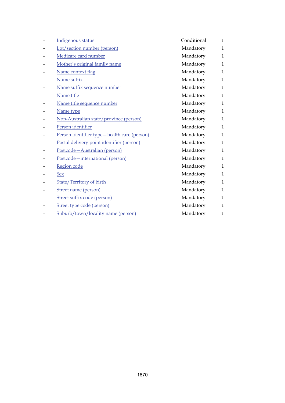| Indigenous status                           | Conditional | $\mathbf{1}$ |
|---------------------------------------------|-------------|--------------|
| Lot/section number (person)                 | Mandatory   | $\mathbf{1}$ |
| Medicare card number                        | Mandatory   | $\mathbf{1}$ |
| Mother's original family name               | Mandatory   | $\mathbf{1}$ |
| Name context flag                           | Mandatory   | $\mathbf{1}$ |
| Name suffix                                 | Mandatory   | $\mathbf{1}$ |
| Name suffix sequence number                 | Mandatory   | $\mathbf{1}$ |
| Name title                                  | Mandatory   | $\mathbf{1}$ |
| Name title sequence number                  | Mandatory   | $\mathbf{1}$ |
| Name type                                   | Mandatory   | $\mathbf{1}$ |
| Non-Australian state/province (person)      | Mandatory   | $\mathbf{1}$ |
| Person identifier                           | Mandatory   | $\mathbf{1}$ |
| Person identifier type-health care (person) | Mandatory   | $\mathbf{1}$ |
| Postal delivery point identifier (person)   | Mandatory   | $\mathbf{1}$ |
| Postcode-Australian (person)                | Mandatory   | $\mathbf{1}$ |
| Postcode-international (person)             | Mandatory   | $\mathbf{1}$ |
| Region code                                 | Mandatory   | $\mathbf{1}$ |
| <b>Sex</b>                                  | Mandatory   | $\mathbf{1}$ |
| <b>State/Territory of birth</b>             | Mandatory   | $\mathbf{1}$ |
| Street name (person)                        | Mandatory   | $\mathbf{1}$ |
| Street suffix code (person)                 | Mandatory   | $\mathbf{1}$ |
| Street type code (person)                   | Mandatory   | $\mathbf{1}$ |
| Suburb/town/locality name (person)          | Mandatory   | $\mathbf{1}$ |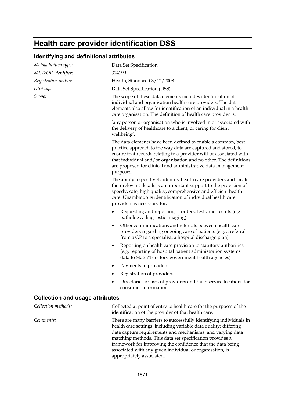# **Health care provider identification DSS**

## **Identifying and definitional attributes**

| Metadata item type:                    | Data Set Specification                                                                                                                                                                                                                                                                                                                                                                                                  |
|----------------------------------------|-------------------------------------------------------------------------------------------------------------------------------------------------------------------------------------------------------------------------------------------------------------------------------------------------------------------------------------------------------------------------------------------------------------------------|
| METeOR identifier:                     | 374199                                                                                                                                                                                                                                                                                                                                                                                                                  |
| Registration status:                   | Health, Standard 03/12/2008                                                                                                                                                                                                                                                                                                                                                                                             |
| DSS type:                              | Data Set Specification (DSS)                                                                                                                                                                                                                                                                                                                                                                                            |
| Scope:                                 | The scope of these data elements includes identification of<br>individual and organisation health care providers. The data<br>elements also allow for identification of an individual in a health<br>care organisation. The definition of health care provider is:                                                                                                                                                      |
|                                        | 'any person or organisation who is involved in or associated with<br>the delivery of healthcare to a client, or caring for client<br>wellbeing'.                                                                                                                                                                                                                                                                        |
|                                        | The data elements have been defined to enable a common, best<br>practice approach to the way data are captured and stored, to<br>ensure that records relating to a provider will be associated with<br>that individual and/or organisation and no other. The definitions<br>are proposed for clinical and administrative data management<br>purposes.                                                                   |
|                                        | The ability to positively identify health care providers and locate<br>their relevant details is an important support to the provision of<br>speedy, safe, high quality, comprehensive and efficient health<br>care. Unambiguous identification of individual health care<br>providers is necessary for:                                                                                                                |
|                                        | Requesting and reporting of orders, tests and results (e.g.<br>pathology, diagnostic imaging)                                                                                                                                                                                                                                                                                                                           |
|                                        | Other communications and referrals between health care<br>$\bullet$<br>providers regarding ongoing care of patients (e.g. a referral<br>from a GP to a specialist, a hospital discharge plan)                                                                                                                                                                                                                           |
|                                        | Reporting on health care provision to statutory authorities<br>$\bullet$<br>(e.g. reporting of hospital patient administration systems<br>data to State/Territory government health agencies)                                                                                                                                                                                                                           |
|                                        | Payments to providers<br>٠                                                                                                                                                                                                                                                                                                                                                                                              |
|                                        | Registration of providers                                                                                                                                                                                                                                                                                                                                                                                               |
|                                        | Directories or lists of providers and their service locations for<br>consumer information.                                                                                                                                                                                                                                                                                                                              |
| <b>Collection and usage attributes</b> |                                                                                                                                                                                                                                                                                                                                                                                                                         |
| Collection methods:                    | Collected at point of entry to health care for the purposes of the<br>identification of the provider of that health care.                                                                                                                                                                                                                                                                                               |
| Comments:                              | There are many barriers to successfully identifying individuals in<br>health care settings, including variable data quality; differing<br>data capture requirements and mechanisms; and varying data<br>matching methods. This data set specification provides a<br>framework for improving the confidence that the data being<br>associated with any given individual or organisation, is<br>appropriately associated. |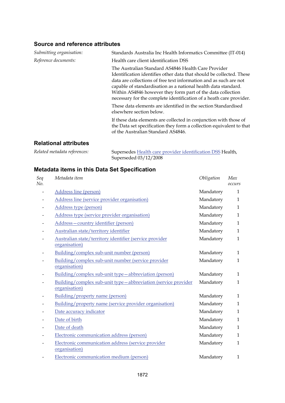### **Source and reference attributes**

| Submitting organisation: | Standards Australia Inc Health Informatics Committee (IT-014)                                                                                                                                                                                                                                                                                                                                            |
|--------------------------|----------------------------------------------------------------------------------------------------------------------------------------------------------------------------------------------------------------------------------------------------------------------------------------------------------------------------------------------------------------------------------------------------------|
| Reference documents:     | Health care client identification DSS                                                                                                                                                                                                                                                                                                                                                                    |
|                          | The Australian Standard AS4846 Health Care Provider<br>Identification identifies other data that should be collected. These<br>data are collections of free text information and as such are not<br>capable of standardisation as a national health data standard.<br>Within AS4846 however they form part of the data collection<br>necessary for the complete identification of a heath care provider. |
|                          | These data elements are identified in the section Standardised<br>elsewhere section below.                                                                                                                                                                                                                                                                                                               |
|                          | If these data elements are collected in conjunction with those of<br>the Data set specification they form a collection equivalent to that<br>of the Australian Standard AS4846.                                                                                                                                                                                                                          |

### **Relational attributes**

| Related metadata references: | Supersedes Health care provider identification DSS Health, |
|------------------------------|------------------------------------------------------------|
|                              | Superseded $03/12/2008$                                    |

| Seq<br>No. | Metadata item                                                                  | Obligation | Max<br>occurs |
|------------|--------------------------------------------------------------------------------|------------|---------------|
|            | Address line (person)                                                          | Mandatory  | $\mathbf{1}$  |
|            | Address line (service provider organisation)                                   | Mandatory  | $\mathbf{1}$  |
|            | Address type (person)                                                          | Mandatory  | $\mathbf{1}$  |
|            | Address type (service provider organisation)                                   | Mandatory  | $\mathbf{1}$  |
|            | Address-country identifier (person)                                            | Mandatory  | $\mathbf{1}$  |
|            | Australian state/territory identifier                                          | Mandatory  | $\mathbf{1}$  |
|            | Australian state/territory identifier (service provider<br>organisation)       | Mandatory  | $\mathbf{1}$  |
|            | Building/complex sub-unit number (person)                                      | Mandatory  | $\mathbf{1}$  |
|            | Building/complex sub-unit number (service provider<br>organisation)            | Mandatory  | $\mathbf{1}$  |
|            | Building/complex sub-unit type-abbreviation (person)                           | Mandatory  | $\mathbf{1}$  |
|            | Building/complex sub-unit type-abbreviation (service provider<br>organisation) | Mandatory  | $\mathbf{1}$  |
|            | Building/property name (person)                                                | Mandatory  | $\mathbf{1}$  |
|            | Building/property name (service provider organisation)                         | Mandatory  | $\mathbf{1}$  |
|            | Date accuracy indicator                                                        | Mandatory  | $\mathbf{1}$  |
|            | Date of birth                                                                  | Mandatory  | $\mathbf{1}$  |
|            | Date of death                                                                  | Mandatory  | $\mathbf{1}$  |
|            | Electronic communication address (person)                                      | Mandatory  | $\mathbf{1}$  |
|            | Electronic communication address (service provider<br>organisation)            | Mandatory  | $\mathbf{1}$  |
|            | Electronic communication medium (person)                                       | Mandatory  | $\mathbf{1}$  |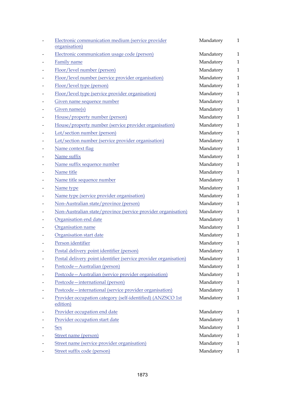| Electronic communication medium (service provider<br>organisation)     | Mandatory | 1            |
|------------------------------------------------------------------------|-----------|--------------|
| Electronic communication usage code (person)                           | Mandatory | $\mathbf{1}$ |
| Family name                                                            | Mandatory | $\mathbf{1}$ |
| Floor/level number (person)                                            | Mandatory | $\mathbf{1}$ |
| Floor/level number (service provider organisation)                     | Mandatory | $\mathbf{1}$ |
| Floor/level type (person)                                              | Mandatory | $\mathbf{1}$ |
| Floor/level type (service provider organisation)                       | Mandatory | $\mathbf{1}$ |
| Given name sequence number                                             | Mandatory | $\mathbf{1}$ |
| Given name(s)                                                          | Mandatory | $\mathbf{1}$ |
| House/property number (person)                                         | Mandatory | $\mathbf{1}$ |
| House/property number (service provider organisation)                  | Mandatory | $\mathbf{1}$ |
| Lot/section number (person)                                            | Mandatory | $\mathbf{1}$ |
| Lot/section number (service provider organisation)                     | Mandatory | $\mathbf{1}$ |
| Name context flag                                                      | Mandatory | $\mathbf{1}$ |
| Name suffix                                                            | Mandatory | $\mathbf{1}$ |
| Name suffix sequence number                                            | Mandatory | $\mathbf{1}$ |
| Name title                                                             | Mandatory | $\mathbf{1}$ |
| Name title sequence number                                             | Mandatory | $\mathbf{1}$ |
| Name type                                                              | Mandatory | $\mathbf{1}$ |
| Name type (service provider organisation)                              | Mandatory | $\mathbf{1}$ |
| Non-Australian state/province (person)                                 | Mandatory | $\mathbf{1}$ |
| Non-Australian state/province (service provider organisation)          | Mandatory | $\mathbf{1}$ |
| Organisation end date                                                  | Mandatory | $\mathbf{1}$ |
| Organisation name                                                      | Mandatory | $\mathbf{1}$ |
| Organisation start date                                                | Mandatory | $\mathbf{1}$ |
| Person identifier                                                      | Mandatory | $\mathbf{1}$ |
| Postal delivery point identifier (person)                              | Mandatory | 1            |
| Postal delivery point identifier (service provider organisation)       | Mandatory | 1            |
| Postcode-Australian (person)                                           | Mandatory | $\mathbf{1}$ |
| Postcode-Australian (service provider organisation)                    | Mandatory | 1            |
| Postcode-international (person)                                        | Mandatory | 1            |
| Postcode-international (service provider organisation)                 | Mandatory | 1            |
| Provider occupation category (self-identified) (ANZSCO 1st<br>edition) | Mandatory | $\mathbf{1}$ |
| Provider occupation end date                                           | Mandatory | 1            |
| Provider occupation start date                                         | Mandatory | 1            |
| <u>Sex</u>                                                             | Mandatory | 1            |
| Street name (person)                                                   | Mandatory | 1            |
| Street name (service provider organisation)                            | Mandatory | 1            |
| Street suffix code (person)                                            | Mandatory | 1            |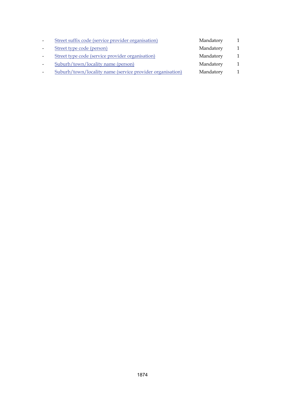| $\overline{\phantom{a}}$ | Street suffix code (service provider organisation)        | Mandatory |              |
|--------------------------|-----------------------------------------------------------|-----------|--------------|
| $\overline{\phantom{a}}$ | Street type code (person)                                 | Mandatory | 1            |
| $\overline{\phantom{a}}$ | Street type code (service provider organisation)          | Mandatory | 1            |
| $\overline{\phantom{a}}$ | Suburb/town/locality name (person)                        | Mandatory | $\mathbf{1}$ |
|                          | Suburb/town/locality name (service provider organisation) | Mandatory |              |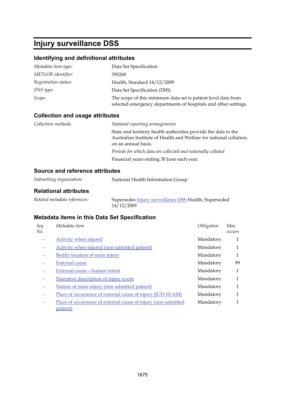## **Injury surveillance DSS**

## **Identifying and definitional attributes**

| Metadata item type:  | Data Set Specification                                                                                                           |
|----------------------|----------------------------------------------------------------------------------------------------------------------------------|
| METeOR identifier:   | 393268                                                                                                                           |
| Registration status: | Health, Standard 14/12/2009                                                                                                      |
| DSS type:            | Data Set Specification (DSS)                                                                                                     |
| Scope:               | The scope of this minimum data set is patient level data from<br>selected emergency departments of hospitals and other settings. |

## **Collection and usage attributes**

| National reporting arrangements                                                                                                                             |
|-------------------------------------------------------------------------------------------------------------------------------------------------------------|
| State and territory health authorities provide the data to the<br>Australian Institute of Health and Welfare for national collation,<br>on an annual basis. |
| Periods for which data are collected and nationally collated                                                                                                |
| Financial years ending 30 June each year.                                                                                                                   |
|                                                                                                                                                             |

## **Source and reference attributes**

| Submitting organisation:     | National Health Information Group                                   |  |  |
|------------------------------|---------------------------------------------------------------------|--|--|
| <b>Relational attributes</b> |                                                                     |  |  |
| Related metadata references: | Supersedes Injury surveillance DSS Health, Superseded<br>14/12/2009 |  |  |

| Seq<br>No.                   | Metadata item                                                             | Obligation | Max<br>occurs |
|------------------------------|---------------------------------------------------------------------------|------------|---------------|
|                              | Activity when injured                                                     | Mandatory  |               |
|                              | Activity when injured (non-admitted patient)                              | Mandatory  | 1             |
|                              | Bodily location of main injury                                            | Mandatory  | 1             |
|                              | <b>External cause</b>                                                     | Mandatory  | 99            |
| $\qquad \qquad \blacksquare$ | External cause – human intent                                             | Mandatory  | 1             |
| -                            | Narrative description of injury event                                     | Mandatory  | 1             |
| $\qquad \qquad \blacksquare$ | Nature of main injury (non-admitted patient)                              | Mandatory  | 1             |
|                              | Place of occurrence of external cause of injury (ICD-10-AM)               | Mandatory  | 1             |
|                              | Place of occurrence of external cause of injury (non-admitted<br>patient) | Mandatory  | 1             |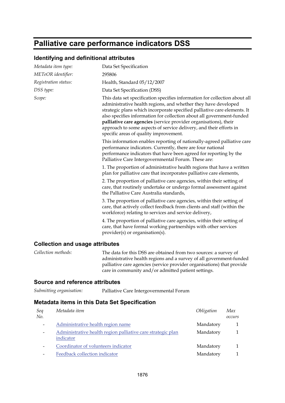## **Palliative care performance indicators DSS**

### **Identifying and definitional attributes**

| Metadata item type:                    | Data Set Specification                                                                                                                                                                                                                                                                                                                                                                                                                                                                |
|----------------------------------------|---------------------------------------------------------------------------------------------------------------------------------------------------------------------------------------------------------------------------------------------------------------------------------------------------------------------------------------------------------------------------------------------------------------------------------------------------------------------------------------|
| METeOR identifier:                     | 295806                                                                                                                                                                                                                                                                                                                                                                                                                                                                                |
|                                        |                                                                                                                                                                                                                                                                                                                                                                                                                                                                                       |
| Registration status:                   | Health, Standard 05/12/2007                                                                                                                                                                                                                                                                                                                                                                                                                                                           |
| DSS type:                              | Data Set Specification (DSS)                                                                                                                                                                                                                                                                                                                                                                                                                                                          |
| Scope:                                 | This data set specification specifies information for collection about all<br>administrative health regions, and whether they have developed<br>strategic plans which incorporate specified palliative care elements. It<br>also specifies information for collection about all government-funded<br>palliative care agencies (service provider organisations), their<br>approach to some aspects of service delivery, and their efforts in<br>specific areas of quality improvement. |
|                                        | This information enables reporting of nationally-agreed palliative care<br>performance indicators. Currently, there are four national<br>performance indicators that have been agreed for reporting by the<br>Palliative Care Intergovernmental Forum. These are:                                                                                                                                                                                                                     |
|                                        | 1. The proportion of administrative health regions that have a written<br>plan for palliative care that incorporates palliative care elements,                                                                                                                                                                                                                                                                                                                                        |
|                                        | 2. The proportion of palliative care agencies, within their setting of<br>care, that routinely undertake or undergo formal assessment against<br>the Palliative Care Australia standards,                                                                                                                                                                                                                                                                                             |
|                                        | 3. The proportion of palliative care agencies, within their setting of<br>care, that actively collect feedback from clients and staff (within the<br>workforce) relating to services and service delivery,                                                                                                                                                                                                                                                                            |
|                                        | 4. The proportion of palliative care agencies, within their setting of<br>care, that have formal working partnerships with other services<br>provider(s) or organisation(s).                                                                                                                                                                                                                                                                                                          |
| <b>Collection and usage attributes</b> |                                                                                                                                                                                                                                                                                                                                                                                                                                                                                       |
| Collection methods:                    | The data for this DSS are obtained from two sources: a survey of                                                                                                                                                                                                                                                                                                                                                                                                                      |

administrative health regions and a survey of all government-funded palliative care agencies (service provider organisations) that provide care in community and/or admitted patient settings.

### **Source and reference attributes**

| Seq<br>No.                   | Metadata item                                                            | Obligation | Max<br>occurs |
|------------------------------|--------------------------------------------------------------------------|------------|---------------|
|                              | Administrative health region name                                        | Mandatory  |               |
| $\qquad \qquad \blacksquare$ | Administrative health region palliative care strategic plan<br>indicator | Mandatory  |               |
|                              | Coordinator of volunteers indicator                                      | Mandatory  |               |
|                              | Feedback collection indicator                                            | Mandatory  |               |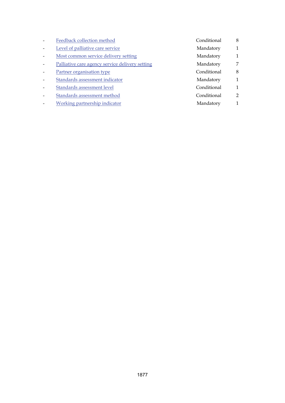| Feedback collection method                      | Conditional | 8              |
|-------------------------------------------------|-------------|----------------|
| Level of palliative care service                | Mandatory   | 1              |
| Most common service delivery setting            | Mandatory   | 1              |
| Palliative care agency service delivery setting | Mandatory   | 7              |
| Partner organisation type                       | Conditional | 8              |
| Standards assessment indicator                  | Mandatory   | 1              |
| Standards assessment level                      | Conditional | 1              |
| Standards assessment method                     | Conditional | $\overline{2}$ |
| Working partnership indicator                   | Mandatory   | $\mathbf{1}$   |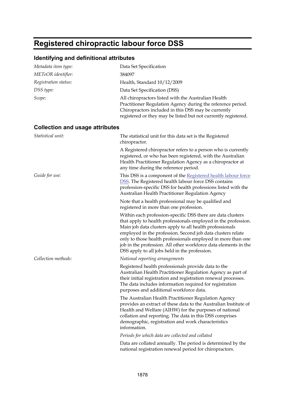## <span id="page-30-0"></span>**Registered chiropractic labour force DSS**

## **Identifying and definitional attributes**

| Metadata item type:                    | Data Set Specification                                                                                                                                                                                                                                                                                                                                                                                                                       |
|----------------------------------------|----------------------------------------------------------------------------------------------------------------------------------------------------------------------------------------------------------------------------------------------------------------------------------------------------------------------------------------------------------------------------------------------------------------------------------------------|
| METeOR identifier:                     | 384097                                                                                                                                                                                                                                                                                                                                                                                                                                       |
| Registration status:                   | Health, Standard 10/12/2009                                                                                                                                                                                                                                                                                                                                                                                                                  |
| DSS type:                              | Data Set Specification (DSS)                                                                                                                                                                                                                                                                                                                                                                                                                 |
| Scope:                                 | All chiropractors listed with the Australian Health<br>Practitioner Regulation Agency during the reference period.<br>Chiropractors included in this DSS may be currently<br>registered or they may be listed but not currently registered.                                                                                                                                                                                                  |
| <b>Collection and usage attributes</b> |                                                                                                                                                                                                                                                                                                                                                                                                                                              |
| Statistical unit:                      | The statistical unit for this data set is the Registered<br>chiropractor.                                                                                                                                                                                                                                                                                                                                                                    |
|                                        | A Registered chiropractor refers to a person who is currently<br>registered, or who has been registered, with the Australian<br>Health Practitioner Regulation Agency as a chiropractor at<br>any time during the reference period.                                                                                                                                                                                                          |
| Guide for use:                         | This DSS is a component of the Registered health labour force<br><b>DSS.</b> The Registered health labour force DSS contains<br>profession-specific DSS for health professions listed with the<br>Australian Health Practitioner Regulation Agency                                                                                                                                                                                           |
|                                        | Note that a health professional may be qualified and<br>registered in more than one profession.                                                                                                                                                                                                                                                                                                                                              |
|                                        | Within each profession-specific DSS there are data clusters<br>that apply to health professionals employed in the profession.<br>Main job data clusters apply to all health professionals<br>employed in the profession. Second job data clusters relate<br>only to those health professionals employed in more than one<br>job in the profession. All other workforce data elements in the<br>DSS apply to all jobs held in the profession. |
| Collection methods:                    | National reporting arrangements                                                                                                                                                                                                                                                                                                                                                                                                              |
|                                        | Registered health professionals provide data to the<br>Australian Health Practitioner Regulation Agency as part of<br>their initial registration and registration renewal processes.<br>The data includes information required for registration<br>purposes and additional workforce data.                                                                                                                                                   |
|                                        | The Australian Health Practitioner Regulation Agency<br>provides an extract of these data to the Australian Institute of<br>Health and Welfare (AIHW) for the purposes of national<br>collation and reporting. The data in this DSS comprises<br>demographic, registration and work characteristics<br>information.                                                                                                                          |
|                                        | Periods for which data are collected and collated                                                                                                                                                                                                                                                                                                                                                                                            |
|                                        | Data are collated annually. The period is determined by the<br>national registration renewal period for chiropractors.                                                                                                                                                                                                                                                                                                                       |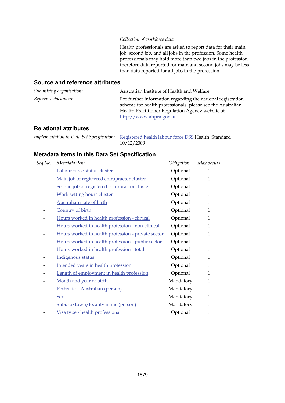#### *Collection of workforce data*

Health professionals are asked to report data for their main job, second job, and all jobs in the profession. Some health professionals may hold more than two jobs in the profession therefore data reported for main and second jobs may be less than data reported for all jobs in the profession.

#### **Source and reference attributes**

| Submitting organisation:    | Australian Institute of Health and Welfare                                                                                                                                                               |
|-----------------------------|----------------------------------------------------------------------------------------------------------------------------------------------------------------------------------------------------------|
| <i>Reference documents:</i> | For further information regarding the national registration<br>scheme for health professionals, please see the Australian<br>Health Practitioner Regulation Agency website at<br>http://www.ahpra.gov.au |

#### **Relational attributes**

| Implementation in Data Set Specification: Registered health labour force DSS Health, Standard |
|-----------------------------------------------------------------------------------------------|
| 10/12/2009                                                                                    |

| Seq No. | Metadata item                                      | Obligation | Max occurs   |
|---------|----------------------------------------------------|------------|--------------|
|         | Labour force status cluster                        | Optional   | 1            |
|         | Main job of registered chiropractor cluster        | Optional   | 1            |
|         | Second job of registered chiropractor cluster      | Optional   | 1            |
|         | <b>Work setting hours cluster</b>                  | Optional   | 1            |
|         | <b>Australian state of birth</b>                   | Optional   | 1            |
|         | Country of birth                                   | Optional   | $\mathbf 1$  |
|         | Hours worked in health profession - clinical       | Optional   | $\mathbf{1}$ |
|         | Hours worked in health profession - non-clinical   | Optional   | 1            |
|         | Hours worked in health profession - private sector | Optional   | 1            |
|         | Hours worked in health profession - public sector  | Optional   | 1            |
|         | Hours worked in health profession - total          | Optional   | $\mathbf 1$  |
|         | Indigenous status                                  | Optional   | 1            |
|         | Intended years in health profession                | Optional   | 1            |
|         | Length of employment in health profession          | Optional   | 1            |
|         | Month and year of birth                            | Mandatory  | 1            |
|         | Postcode-Australian (person)                       | Mandatory  | $\mathbf 1$  |
|         | <b>Sex</b>                                         | Mandatory  | 1            |
|         | Suburb/town/locality name (person)                 | Mandatory  | $\mathbf 1$  |
|         | Visa type - health professional                    | Optional   | 1            |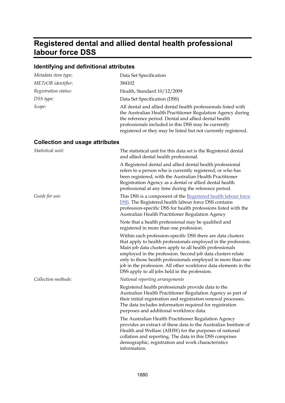## <span id="page-32-0"></span>**Registered dental and allied dental health professional labour force DSS**

## **Identifying and definitional attributes**

| Metadata item type:                    | Data Set Specification                                                                                                                                                                                                                                                                                                                                                                                                                       |
|----------------------------------------|----------------------------------------------------------------------------------------------------------------------------------------------------------------------------------------------------------------------------------------------------------------------------------------------------------------------------------------------------------------------------------------------------------------------------------------------|
| METeOR identifier:                     | 384102                                                                                                                                                                                                                                                                                                                                                                                                                                       |
| Registration status:                   | Health, Standard 10/12/2009                                                                                                                                                                                                                                                                                                                                                                                                                  |
| DSS type:                              | Data Set Specification (DSS)                                                                                                                                                                                                                                                                                                                                                                                                                 |
| Scope:                                 | All dental and allied dental health professionals listed with<br>the Australian Health Practitioner Regulation Agency during<br>the reference period. Dental and allied dental health<br>professionals included in this DSS may be currently<br>registered or they may be listed but not currently registered.                                                                                                                               |
| <b>Collection and usage attributes</b> |                                                                                                                                                                                                                                                                                                                                                                                                                                              |
| Statistical unit:                      | The statistical unit for this data set is the Registered dental<br>and allied dental health professional.                                                                                                                                                                                                                                                                                                                                    |
|                                        | A Registered dental and allied dental health professional<br>refers to a person who is currently registered, or who has<br>been registered, with the Australian Health Practitioner<br>Registration Agency as a dental or allied dental health<br>professional at any time during the reference period.                                                                                                                                      |
| Guide for use:                         | This DSS is a component of the Registered health labour force<br>DSS. The Registered health labour force DSS contains<br>profession-specific DSS for health professions listed with the<br>Australian Health Practitioner Regulation Agency                                                                                                                                                                                                  |
|                                        | Note that a health professional may be qualified and<br>registered in more than one profession.                                                                                                                                                                                                                                                                                                                                              |
|                                        | Within each profession-specific DSS there are data clusters<br>that apply to health professionals employed in the profession.<br>Main job data clusters apply to all health professionals<br>employed in the profession. Second job data clusters relate<br>only to those health professionals employed in more than one<br>job in the profession. All other workforce data elements in the<br>DSS apply to all jobs held in the profession. |
| Collection methods:                    | National reporting arrangements                                                                                                                                                                                                                                                                                                                                                                                                              |
|                                        | Registered health professionals provide data to the<br>Australian Health Practitioner Regulation Agency as part of<br>their initial registration and registration renewal processes.<br>The data includes information required for registration<br>purposes and additional workforce data.                                                                                                                                                   |
|                                        | The Australian Health Practitioner Regulation Agency<br>provides an extract of these data to the Australian Institute of<br>Health and Welfare (AIHW) for the purposes of national<br>collation and reporting. The data in this DSS comprises<br>demographic, registration and work characteristics<br>information.                                                                                                                          |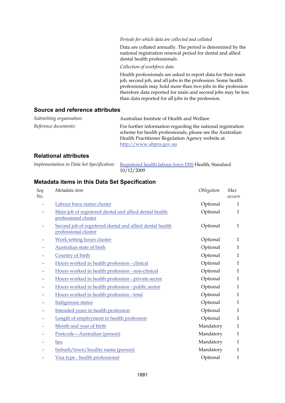#### *Periods for which data are collected and collated*

Data are collated annually. The period is determined by the national registration renewal period for dental and allied dental health professionals.

*Collection of workforce data*

Health professionals are asked to report data for their main job, second job, and all jobs in the profession. Some health professionals may hold more than two jobs in the profession therefore data reported for main and second jobs may be less than data reported for all jobs in the profession.

#### **Source and reference attributes**

| Submitting organisation: | Australian Institute of Health and Welfare                                                                                                                                    |
|--------------------------|-------------------------------------------------------------------------------------------------------------------------------------------------------------------------------|
| Reference documents:     | For further information regarding the national registration<br>scheme for health professionals, please see the Australian<br>Health Practitioner Regulation Agency website at |
|                          | http://www.ahpra.gov.au                                                                                                                                                       |

### **Relational attributes**

| Implementation in Data Set Specification: Registered health labour force DSS Health, Standard |
|-----------------------------------------------------------------------------------------------|
| 10/12/2009                                                                                    |

| Seq<br>No. | Metadata item                                                                    | Obligation | Max<br>occurs |
|------------|----------------------------------------------------------------------------------|------------|---------------|
|            | Labour force status cluster                                                      | Optional   | $\mathbf{1}$  |
|            | Main job of registered dental and allied dental health<br>professional cluster   | Optional   | $\mathbf{1}$  |
|            | Second job of registered dental and allied dental health<br>professional cluster | Optional   | 1             |
|            | <b>Work setting hours cluster</b>                                                | Optional   | $\mathbf{1}$  |
|            | <b>Australian state of birth</b>                                                 | Optional   | $\mathbf{1}$  |
|            | Country of birth                                                                 | Optional   | $\mathbf{1}$  |
|            | Hours worked in health profession - clinical                                     | Optional   | $\mathbf{1}$  |
|            | Hours worked in health profession - non-clinical                                 | Optional   | 1             |
|            | Hours worked in health profession - private sector                               | Optional   | $\mathbf{1}$  |
|            | Hours worked in health profession - public sector                                | Optional   | $\mathbf{1}$  |
|            | Hours worked in health profession - total                                        | Optional   | $\mathbf{1}$  |
|            | Indigenous status                                                                | Optional   | $\mathbf{1}$  |
|            | Intended years in health profession                                              | Optional   | $\mathbf{1}$  |
|            | Length of employment in health profession                                        | Optional   | $\mathbf{1}$  |
|            | Month and year of birth                                                          | Mandatory  | $\mathbf{1}$  |
|            | Postcode-Australian (person)                                                     | Mandatory  | $\mathbf{1}$  |
|            | Sex                                                                              | Mandatory  | $\mathbf{1}$  |
|            | Suburb/town/locality name (person)                                               | Mandatory  | $\mathbf{1}$  |
|            | Visa type - health professional                                                  | Optional   | $\mathbf{1}$  |
|            |                                                                                  |            |               |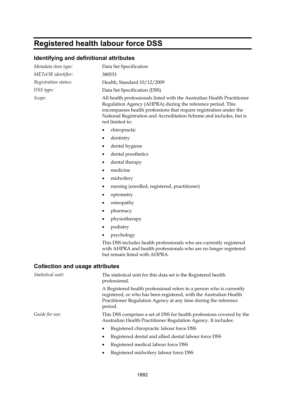# <span id="page-34-0"></span>**Registered health labour force DSS**

## **Identifying and definitional attributes**

| Metadata item type:                    | Data Set Specification                                                                                                                                                                                                                                                                                 |  |
|----------------------------------------|--------------------------------------------------------------------------------------------------------------------------------------------------------------------------------------------------------------------------------------------------------------------------------------------------------|--|
| METeOR identifier:                     | 380533                                                                                                                                                                                                                                                                                                 |  |
| Registration status:                   | Health, Standard 10/12/2009                                                                                                                                                                                                                                                                            |  |
| DSS type:                              | Data Set Specification (DSS)                                                                                                                                                                                                                                                                           |  |
| Scope:                                 | All health professionals listed with the Australian Health Practitioner<br>Regulation Agency (AHPRA) during the reference period. This<br>encompasses health professions that require registration under the<br>National Registration and Accreditation Scheme and includes, but is<br>not limited to: |  |
|                                        | chiropractic<br>$\bullet$                                                                                                                                                                                                                                                                              |  |
|                                        | dentistry<br>٠                                                                                                                                                                                                                                                                                         |  |
|                                        | dental hygiene                                                                                                                                                                                                                                                                                         |  |
|                                        | dental prosthetics<br>٠                                                                                                                                                                                                                                                                                |  |
|                                        | dental therapy<br>٠                                                                                                                                                                                                                                                                                    |  |
|                                        | medicine<br>٠                                                                                                                                                                                                                                                                                          |  |
|                                        | midwifery<br>٠                                                                                                                                                                                                                                                                                         |  |
|                                        | nursing (enrolled, registered, practitioner)                                                                                                                                                                                                                                                           |  |
|                                        | optometry<br>٠                                                                                                                                                                                                                                                                                         |  |
|                                        | osteopathy                                                                                                                                                                                                                                                                                             |  |
|                                        | pharmacy<br>٠                                                                                                                                                                                                                                                                                          |  |
|                                        | physiotherapy<br>٠                                                                                                                                                                                                                                                                                     |  |
|                                        | podiatry                                                                                                                                                                                                                                                                                               |  |
|                                        | psychology                                                                                                                                                                                                                                                                                             |  |
|                                        | This DSS includes health professionals who are currently registered<br>with AHPRA and health professionals who are no longer registered<br>but remain listed with AHPRA.                                                                                                                               |  |
| <b>Collection and usage attributes</b> |                                                                                                                                                                                                                                                                                                        |  |
| Statistical unit:                      | The statistical unit for this data set is the Registered health<br>professional.                                                                                                                                                                                                                       |  |
|                                        | A Registered health professional refers to a person who is currently<br>registered, or who has been registered, with the Australian Health<br>Practitioner Regulation Agency at any time during the reference<br>period.                                                                               |  |
| Guide for use:                         | This DSS comprises a set of DSS for health professions covered by the<br>Australian Health Practitioner Regulation Agency. It includes:                                                                                                                                                                |  |
|                                        | Registered chiropractic labour force DSS                                                                                                                                                                                                                                                               |  |
|                                        | Registered dental and allied dental labour force DSS                                                                                                                                                                                                                                                   |  |
|                                        | Registered medical labour force DSS                                                                                                                                                                                                                                                                    |  |
|                                        | Registered midwifery labour force DSS                                                                                                                                                                                                                                                                  |  |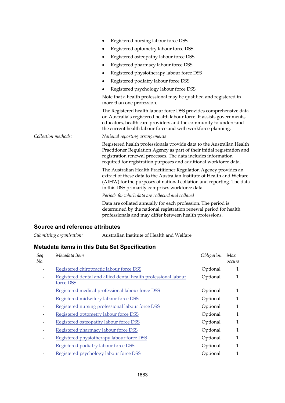|                     | Registered nursing labour force DSS                                                                                                                                                                                                                                                     |  |
|---------------------|-----------------------------------------------------------------------------------------------------------------------------------------------------------------------------------------------------------------------------------------------------------------------------------------|--|
|                     | Registered optometry labour force DSS<br>٠                                                                                                                                                                                                                                              |  |
|                     | Registered osteopathy labour force DSS<br>٠                                                                                                                                                                                                                                             |  |
|                     | Registered pharmacy labour force DSS<br>٠                                                                                                                                                                                                                                               |  |
|                     | Registered physiotherapy labour force DSS<br>٠                                                                                                                                                                                                                                          |  |
|                     | Registered podiatry labour force DSS<br>٠                                                                                                                                                                                                                                               |  |
|                     | Registered psychology labour force DSS<br>٠                                                                                                                                                                                                                                             |  |
|                     | Note that a health professional may be qualified and registered in<br>more than one profession.                                                                                                                                                                                         |  |
|                     | The Registered health labour force DSS provides comprehensive data<br>on Australia's registered health labour force. It assists governments,<br>educators, health care providers and the community to understand<br>the current health labour force and with workforce planning.        |  |
| Collection methods: | National reporting arrangements                                                                                                                                                                                                                                                         |  |
|                     | Registered health professionals provide data to the Australian Health<br>Practitioner Regulation Agency as part of their initial registration and<br>registration renewal processes. The data includes information<br>required for registration purposes and additional workforce data. |  |
|                     | The Australian Health Practitioner Regulation Agency provides an<br>extract of these data to the Australian Institute of Health and Welfare<br>(AIHW) for the purposes of national collation and reporting. The data<br>in this DSS primarily comprises workforce data.                 |  |
|                     | Periods for which data are collected and collated                                                                                                                                                                                                                                       |  |
|                     | Data are collated annually for each profession. The period is<br>determined by the national registration renewal period for health<br>professionals and may differ between health professions.                                                                                          |  |

#### **Source and reference attributes**

*Submitting organisation:* Australian Institute of Health and Welfare

| Seq<br>No. | Metadata item                                                               | Obligation | Max<br>occurs |
|------------|-----------------------------------------------------------------------------|------------|---------------|
|            | Registered chiropractic labour force DSS                                    | Optional   | 1             |
|            | Registered dental and allied dental health professional labour<br>force DSS | Optional   | 1             |
|            | Registered medical professional labour force DSS                            | Optional   | 1             |
|            | Registered midwifery labour force DSS                                       | Optional   | 1             |
|            | Registered nursing professional labour force DSS                            | Optional   | 1             |
|            | Registered optometry labour force DSS                                       | Optional   | 1             |
|            | Registered osteopathy labour force DSS                                      | Optional   | 1             |
|            | Registered pharmacy labour force DSS                                        | Optional   | 1             |
|            | Registered physiotherapy labour force DSS                                   | Optional   | 1             |
|            | Registered podiatry labour force DSS                                        | Optional   | 1             |
|            | Registered psychology labour force DSS                                      | Optional   | 1             |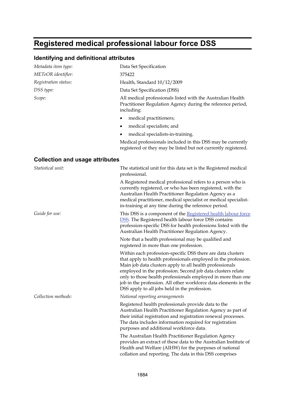# **Registered medical professional labour force DSS**

| Metadata item type:                    | Data Set Specification                                                                                                                                                                                                                                                                                                                                                                                                                       |
|----------------------------------------|----------------------------------------------------------------------------------------------------------------------------------------------------------------------------------------------------------------------------------------------------------------------------------------------------------------------------------------------------------------------------------------------------------------------------------------------|
| METeOR identifier:                     | 375422                                                                                                                                                                                                                                                                                                                                                                                                                                       |
| Registration status:                   | Health, Standard 10/12/2009                                                                                                                                                                                                                                                                                                                                                                                                                  |
| DSS type:                              | Data Set Specification (DSS)                                                                                                                                                                                                                                                                                                                                                                                                                 |
| Scope:                                 | All medical professionals listed with the Australian Health<br>Practitioner Regulation Agency during the reference period,<br>including:                                                                                                                                                                                                                                                                                                     |
|                                        | medical practitioners;<br>٠                                                                                                                                                                                                                                                                                                                                                                                                                  |
|                                        | medical specialists; and<br>٠                                                                                                                                                                                                                                                                                                                                                                                                                |
|                                        | medical specialists-in-training.<br>٠                                                                                                                                                                                                                                                                                                                                                                                                        |
|                                        | Medical professionals included in this DSS may be currently<br>registered or they may be listed but not currently registered.                                                                                                                                                                                                                                                                                                                |
| <b>Collection and usage attributes</b> |                                                                                                                                                                                                                                                                                                                                                                                                                                              |
| Statistical unit:                      | The statistical unit for this data set is the Registered medical<br>professional.                                                                                                                                                                                                                                                                                                                                                            |
|                                        | A Registered medical professional refers to a person who is<br>currently registered, or who has been registered, with the<br>Australian Health Practitioner Regulation Agency as a<br>medical practitioner, medical specialist or medical specialist-<br>in-training at any time during the reference period.                                                                                                                                |
| Guide for use:                         | This DSS is a component of the Registered health labour force<br><b>DSS.</b> The Registered health labour force DSS contains<br>profession-specific DSS for health professions listed with the<br>Australian Health Practitioner Regulation Agency.                                                                                                                                                                                          |
|                                        | Note that a health professional may be qualified and<br>registered in more than one profession.                                                                                                                                                                                                                                                                                                                                              |
|                                        | Within each profession-specific DSS there are data clusters<br>that apply to health professionals employed in the profession.<br>Main job data clusters apply to all health professionals<br>employed in the profession. Second job data clusters relate<br>only to those health professionals employed in more than one<br>job in the profession. All other workforce data elements in the<br>DSS apply to all jobs held in the profession. |
| Collection methods:                    | National reporting arrangements                                                                                                                                                                                                                                                                                                                                                                                                              |
|                                        | Registered health professionals provide data to the<br>Australian Health Practitioner Regulation Agency as part of<br>their initial registration and registration renewal processes.<br>The data includes information required for registration<br>purposes and additional workforce data.                                                                                                                                                   |
|                                        | The Australian Health Practitioner Regulation Agency<br>provides an extract of these data to the Australian Institute of<br>Health and Welfare (AIHW) for the purposes of national<br>collation and reporting. The data in this DSS comprises                                                                                                                                                                                                |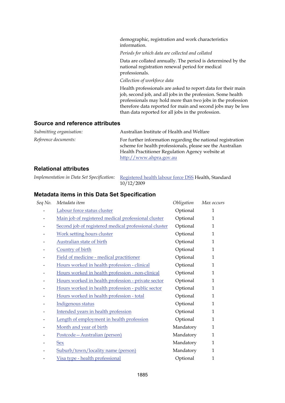demographic, registration and work characteristics information.

*Periods for which data are collected and collated*

Data are collated annually. The period is determined by the national registration renewal period for medical professionals.

*Collection of workforce data*

Health professionals are asked to report data for their main job, second job, and all jobs in the profession. Some health professionals may hold more than two jobs in the profession therefore data reported for main and second jobs may be less than data reported for all jobs in the profession.

### **Source and reference attributes**

| Submitting organisation: | Australian Institute of Health and Welfare                                                                                |
|--------------------------|---------------------------------------------------------------------------------------------------------------------------|
| Reference documents:     | For further information regarding the national registration<br>scheme for health professionals, please see the Australian |
|                          | Health Practitioner Regulation Agency website at                                                                          |
|                          | http://www.ahpra.gov.au                                                                                                   |

### **Relational attributes**

| Implementation in Data Set Specification: Registered health labour force DSS Health, Standard |
|-----------------------------------------------------------------------------------------------|
|                                                                                               |

| 10/12/2009 |  |
|------------|--|
|------------|--|

| Seq No. | Metadata item                                         | Obligation | Max occurs   |
|---------|-------------------------------------------------------|------------|--------------|
|         | Labour force status cluster                           | Optional   | 1            |
|         | Main job of registered medical professional cluster   | Optional   | $\mathbf{1}$ |
|         | Second job of registered medical professional cluster | Optional   | 1            |
|         | <b>Work setting hours cluster</b>                     | Optional   | 1            |
|         | Australian state of birth                             | Optional   | $\mathbf{1}$ |
|         | Country of birth                                      | Optional   | 1            |
|         | Field of medicine - medical practitioner              | Optional   | $\mathbf{1}$ |
|         | Hours worked in health profession - clinical          | Optional   | $\mathbf{1}$ |
|         | Hours worked in health profession - non-clinical      | Optional   | 1            |
|         | Hours worked in health profession - private sector    | Optional   | 1            |
|         | Hours worked in health profession - public sector     | Optional   | 1            |
|         | Hours worked in health profession - total             | Optional   | 1            |
|         | Indigenous status                                     | Optional   | $\mathbf{1}$ |
|         | Intended years in health profession                   | Optional   | $\mathbf{1}$ |
|         | Length of employment in health profession             | Optional   | $\mathbf{1}$ |
|         | Month and year of birth                               | Mandatory  | $\mathbf{1}$ |
|         | Postcode-Australian (person)                          | Mandatory  | $\mathbf{1}$ |
|         | <b>Sex</b>                                            | Mandatory  | 1            |
|         | Suburb/town/locality name (person)                    | Mandatory  | 1            |
|         | Visa type - health professional                       | Optional   | 1            |
|         |                                                       |            |              |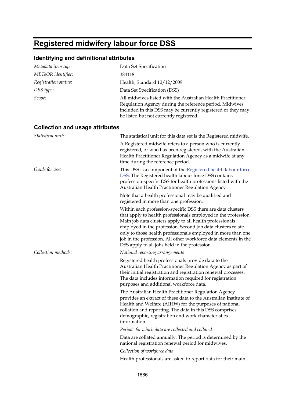# **Registered midwifery labour force DSS**

| Metadata item type:                    | Data Set Specification                                                                                                                                                                                                                                                                                                                                                                                                                       |
|----------------------------------------|----------------------------------------------------------------------------------------------------------------------------------------------------------------------------------------------------------------------------------------------------------------------------------------------------------------------------------------------------------------------------------------------------------------------------------------------|
| METeOR identifier:                     | 384118                                                                                                                                                                                                                                                                                                                                                                                                                                       |
| Registration status:                   | Health, Standard 10/12/2009                                                                                                                                                                                                                                                                                                                                                                                                                  |
| DSS type:                              | Data Set Specification (DSS)                                                                                                                                                                                                                                                                                                                                                                                                                 |
| Scope:                                 | All midwives listed with the Australian Health Practitioner<br>Regulation Agency during the reference period. Midwives<br>included in this DSS may be currently registered or they may<br>be listed but not currently registered.                                                                                                                                                                                                            |
| <b>Collection and usage attributes</b> |                                                                                                                                                                                                                                                                                                                                                                                                                                              |
| Statistical unit:                      | The statistical unit for this data set is the Registered midwife.                                                                                                                                                                                                                                                                                                                                                                            |
|                                        | A Registered midwife refers to a person who is currently<br>registered, or who has been registered, with the Australian<br>Health Practitioner Regulation Agency as a midwife at any<br>time during the reference period.                                                                                                                                                                                                                    |
| Guide for use:                         | This DSS is a component of the Registered health labour force<br>DSS. The Registered health labour force DSS contains<br>profession-specific DSS for health professions listed with the<br>Australian Health Practitioner Regulation Agency                                                                                                                                                                                                  |
|                                        | Note that a health professional may be qualified and<br>registered in more than one profession.                                                                                                                                                                                                                                                                                                                                              |
|                                        | Within each profession-specific DSS there are data clusters<br>that apply to health professionals employed in the profession.<br>Main job data clusters apply to all health professionals<br>employed in the profession. Second job data clusters relate<br>only to those health professionals employed in more than one<br>job in the profession. All other workforce data elements in the<br>DSS apply to all jobs held in the profession. |
| Collection methods:                    | National reporting arrangements                                                                                                                                                                                                                                                                                                                                                                                                              |
|                                        | Registered health professionals provide data to the<br>Australian Health Practitioner Regulation Agency as part of<br>their initial registration and registration renewal processes.<br>The data includes information required for registration<br>purposes and additional workforce data.                                                                                                                                                   |
|                                        | The Australian Health Practitioner Regulation Agency<br>provides an extract of these data to the Australian Institute of<br>Health and Welfare (AIHW) for the purposes of national<br>collation and reporting. The data in this DSS comprises<br>demographic, registration and work characteristics<br>information.                                                                                                                          |
|                                        | Periods for which data are collected and collated                                                                                                                                                                                                                                                                                                                                                                                            |
|                                        | Data are collated annually. The period is determined by the<br>national registration renewal period for midwives.                                                                                                                                                                                                                                                                                                                            |
|                                        | Collection of workforce data                                                                                                                                                                                                                                                                                                                                                                                                                 |
|                                        | Health professionals are asked to report data for their main                                                                                                                                                                                                                                                                                                                                                                                 |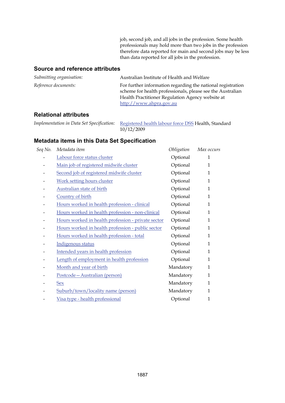job, second job, and all jobs in the profession. Some health professionals may hold more than two jobs in the profession therefore data reported for main and second jobs may be less than data reported for all jobs in the profession.

### **Source and reference attributes**

| Submitting organisation: | Australian Institute of Health and Welfare                                                                                                                                                               |
|--------------------------|----------------------------------------------------------------------------------------------------------------------------------------------------------------------------------------------------------|
| Reference documents:     | For further information regarding the national registration<br>scheme for health professionals, please see the Australian<br>Health Practitioner Regulation Agency website at<br>http://www.ahpra.gov.au |

### **Relational attributes**

| Implementation in Data Set Specification: Registered health labour force DSS Health, Standard |
|-----------------------------------------------------------------------------------------------|
| 10/12/2009                                                                                    |

| Seq No. | Metadata item                                      | Obligation | Max occurs   |
|---------|----------------------------------------------------|------------|--------------|
|         | Labour force status cluster                        | Optional   | 1            |
|         | Main job of registered midwife cluster             | Optional   | $\mathbf 1$  |
|         | Second job of registered midwife cluster           | Optional   | $\mathbf 1$  |
|         | <b>Work setting hours cluster</b>                  | Optional   | $\mathbf 1$  |
|         | Australian state of birth                          | Optional   | $\mathbf 1$  |
|         | Country of birth                                   | Optional   | $\mathbf 1$  |
|         | Hours worked in health profession - clinical       | Optional   | $\mathbf 1$  |
|         | Hours worked in health profession - non-clinical   | Optional   | $\mathbf 1$  |
|         | Hours worked in health profession - private sector | Optional   | 1            |
|         | Hours worked in health profession - public sector  | Optional   | 1            |
|         | Hours worked in health profession - total          | Optional   | 1            |
|         | Indigenous status                                  | Optional   | $\mathbf 1$  |
|         | Intended years in health profession                | Optional   | 1            |
|         | Length of employment in health profession          | Optional   | $\mathbf 1$  |
|         | Month and year of birth                            | Mandatory  | $\mathbf 1$  |
|         | Postcode-Australian (person)                       | Mandatory  | $\mathbf 1$  |
|         | <b>Sex</b>                                         | Mandatory  | $\mathbf 1$  |
|         | Suburb/town/locality name (person)                 | Mandatory  | $\mathbf 1$  |
|         | Visa type - health professional                    | Optional   | $\mathbf{1}$ |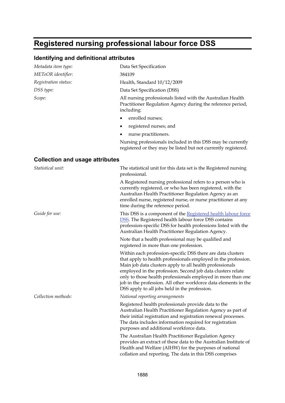# **Registered nursing professional labour force DSS**

| Metadata item type:                    | Data Set Specification                                                                                                                                                                                                                                                                                                                                                                                                                       |
|----------------------------------------|----------------------------------------------------------------------------------------------------------------------------------------------------------------------------------------------------------------------------------------------------------------------------------------------------------------------------------------------------------------------------------------------------------------------------------------------|
| METeOR identifier:                     | 384109                                                                                                                                                                                                                                                                                                                                                                                                                                       |
| Registration status:                   | Health, Standard 10/12/2009                                                                                                                                                                                                                                                                                                                                                                                                                  |
| DSS type:                              | Data Set Specification (DSS)                                                                                                                                                                                                                                                                                                                                                                                                                 |
| Scope:                                 | All nursing professionals listed with the Australian Health<br>Practitioner Regulation Agency during the reference period,<br>including:                                                                                                                                                                                                                                                                                                     |
|                                        | enrolled nurses;                                                                                                                                                                                                                                                                                                                                                                                                                             |
|                                        | registered nurses; and<br>٠                                                                                                                                                                                                                                                                                                                                                                                                                  |
|                                        | nurse practitioners.<br>٠                                                                                                                                                                                                                                                                                                                                                                                                                    |
|                                        | Nursing professionals included in this DSS may be currently<br>registered or they may be listed but not currently registered.                                                                                                                                                                                                                                                                                                                |
| <b>Collection and usage attributes</b> |                                                                                                                                                                                                                                                                                                                                                                                                                                              |
| Statistical unit:                      | The statistical unit for this data set is the Registered nursing<br>professional.                                                                                                                                                                                                                                                                                                                                                            |
|                                        | A Registered nursing professional refers to a person who is<br>currently registered, or who has been registered, with the<br>Australian Health Practitioner Regulation Agency as an<br>enrolled nurse, registered nurse, or nurse practitioner at any<br>time during the reference period.                                                                                                                                                   |
| Guide for use:                         | This DSS is a component of the Registered health labour force<br><b>DSS.</b> The Registered health labour force DSS contains<br>profession-specific DSS for health professions listed with the<br>Australian Health Practitioner Regulation Agency.                                                                                                                                                                                          |
|                                        | Note that a health professional may be qualified and<br>registered in more than one profession.                                                                                                                                                                                                                                                                                                                                              |
|                                        | Within each profession-specific DSS there are data clusters<br>that apply to health professionals employed in the profession.<br>Main job data clusters apply to all health professionals<br>employed in the profession. Second job data clusters relate<br>only to those health professionals employed in more than one<br>job in the profession. All other workforce data elements in the<br>DSS apply to all jobs held in the profession. |
| Collection methods:                    | National reporting arrangements                                                                                                                                                                                                                                                                                                                                                                                                              |
|                                        | Registered health professionals provide data to the<br>Australian Health Practitioner Regulation Agency as part of<br>their initial registration and registration renewal processes.<br>The data includes information required for registration<br>purposes and additional workforce data.                                                                                                                                                   |
|                                        | The Australian Health Practitioner Regulation Agency<br>provides an extract of these data to the Australian Institute of<br>Health and Welfare (AIHW) for the purposes of national<br>collation and reporting. The data in this DSS comprises                                                                                                                                                                                                |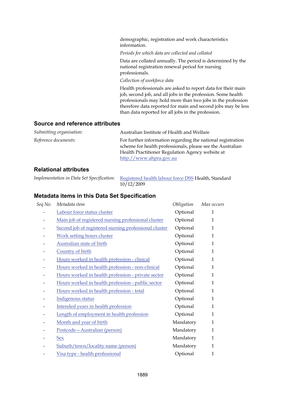demographic, registration and work characteristics information.

*Periods for which data are collected and collated*

Data are collated annually. The period is determined by the national registration renewal period for nursing professionals.

*Collection of workforce data*

Health professionals are asked to report data for their main job, second job, and all jobs in the profession. Some health professionals may hold more than two jobs in the profession therefore data reported for main and second jobs may be less than data reported for all jobs in the profession.

### **Source and reference attributes**

| Submitting organisation: | Australian Institute of Health and Welfare                  |
|--------------------------|-------------------------------------------------------------|
| Reference documents:     | For further information regarding the national registration |
|                          | scheme for health professionals, please see the Australian  |
|                          | Health Practitioner Regulation Agency website at            |
|                          | http://www.ahpra.gov.au                                     |

### **Relational attributes**

| Implementation in Data Set Specification: Registered health labour force DSS Health, Standard |
|-----------------------------------------------------------------------------------------------|
| 10/12/2009                                                                                    |

| Seq No. | Metadata item                                         | Obligation | Max occurs   |
|---------|-------------------------------------------------------|------------|--------------|
|         | Labour force status cluster                           | Optional   | 1            |
|         | Main job of registered nursing professional cluster   | Optional   | $\mathbf{1}$ |
|         | Second job of registered nursing professional cluster | Optional   | 1            |
|         | <b>Work setting hours cluster</b>                     | Optional   | $\mathbf{1}$ |
|         | Australian state of birth                             | Optional   | $\mathbf{1}$ |
|         | Country of birth                                      | Optional   | $\mathbf{1}$ |
|         | Hours worked in health profession - clinical          | Optional   | $\mathbf{1}$ |
|         | Hours worked in health profession - non-clinical      | Optional   | $\mathbf{1}$ |
|         | Hours worked in health profession - private sector    | Optional   | $\mathbf{1}$ |
|         | Hours worked in health profession - public sector     | Optional   | $\mathbf{1}$ |
|         | Hours worked in health profession - total             | Optional   | 1            |
|         | Indigenous status                                     | Optional   | $\mathbf{1}$ |
|         | Intended years in health profession                   | Optional   | 1            |
|         | Length of employment in health profession             | Optional   | $\mathbf{1}$ |
|         | Month and year of birth                               | Mandatory  | $\mathbf{1}$ |
|         | Postcode - Australian (person)                        | Mandatory  | $\mathbf{1}$ |
|         | <b>Sex</b>                                            | Mandatory  | 1            |
|         | Suburb/town/locality name (person)                    | Mandatory  | 1            |
|         | Visa type - health professional                       | Optional   | 1            |
|         |                                                       |            |              |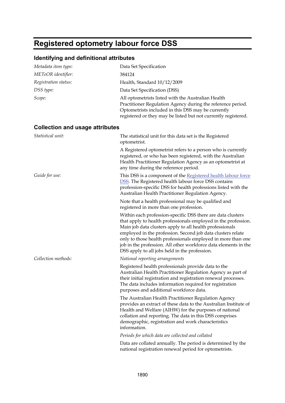## **Registered optometry labour force DSS**

| Metadata item type:                    | Data Set Specification                                                                                                                                                                                                                                                                                                                                                                                                                       |
|----------------------------------------|----------------------------------------------------------------------------------------------------------------------------------------------------------------------------------------------------------------------------------------------------------------------------------------------------------------------------------------------------------------------------------------------------------------------------------------------|
| METeOR identifier:                     | 384124                                                                                                                                                                                                                                                                                                                                                                                                                                       |
| Registration status:                   | Health, Standard 10/12/2009                                                                                                                                                                                                                                                                                                                                                                                                                  |
| DSS type:                              | Data Set Specification (DSS)                                                                                                                                                                                                                                                                                                                                                                                                                 |
| Scope:                                 | All optometrists listed with the Australian Health<br>Practitioner Regulation Agency during the reference period.<br>Optometrists included in this DSS may be currently<br>registered or they may be listed but not currently registered.                                                                                                                                                                                                    |
| <b>Collection and usage attributes</b> |                                                                                                                                                                                                                                                                                                                                                                                                                                              |
| Statistical unit:                      | The statistical unit for this data set is the Registered<br>optometrist.                                                                                                                                                                                                                                                                                                                                                                     |
|                                        | A Registered optometrist refers to a person who is currently<br>registered, or who has been registered, with the Australian<br>Health Practitioner Regulation Agency as an optometrist at<br>any time during the reference period.                                                                                                                                                                                                           |
| Guide for use:                         | This DSS is a component of the Registered health labour force<br><b>DSS.</b> The Registered health labour force DSS contains<br>profession-specific DSS for health professions listed with the<br>Australian Health Practitioner Regulation Agency.                                                                                                                                                                                          |
|                                        | Note that a health professional may be qualified and<br>registered in more than one profession.                                                                                                                                                                                                                                                                                                                                              |
|                                        | Within each profession-specific DSS there are data clusters<br>that apply to health professionals employed in the profession.<br>Main job data clusters apply to all health professionals<br>employed in the profession. Second job data clusters relate<br>only to those health professionals employed in more than one<br>job in the profession. All other workforce data elements in the<br>DSS apply to all jobs held in the profession. |
| Collection methods:                    | National reporting arrangements                                                                                                                                                                                                                                                                                                                                                                                                              |
|                                        | Registered health professionals provide data to the<br>Australian Health Practitioner Regulation Agency as part of<br>their initial registration and registration renewal processes.<br>The data includes information required for registration<br>purposes and additional workforce data.                                                                                                                                                   |
|                                        | The Australian Health Practitioner Regulation Agency<br>provides an extract of these data to the Australian Institute of<br>Health and Welfare (AIHW) for the purposes of national<br>collation and reporting. The data in this DSS comprises<br>demographic, registration and work characteristics<br>information.                                                                                                                          |
|                                        | Periods for which data are collected and collated                                                                                                                                                                                                                                                                                                                                                                                            |
|                                        | Data are collated annually. The period is determined by the<br>national registration renewal period for optometrists.                                                                                                                                                                                                                                                                                                                        |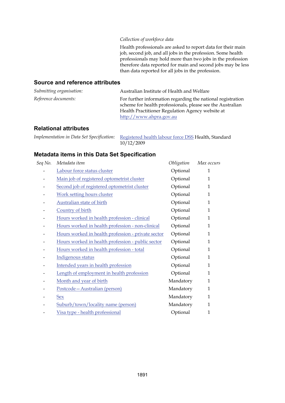#### *Collection of workforce data*

Health professionals are asked to report data for their main job, second job, and all jobs in the profession. Some health professionals may hold more than two jobs in the profession therefore data reported for main and second jobs may be less than data reported for all jobs in the profession.

### **Source and reference attributes**

| Submitting organisation: | Australian Institute of Health and Welfare                                                                                                                                                               |
|--------------------------|----------------------------------------------------------------------------------------------------------------------------------------------------------------------------------------------------------|
| Reference documents:     | For further information regarding the national registration<br>scheme for health professionals, please see the Australian<br>Health Practitioner Regulation Agency website at<br>http://www.ahpra.gov.au |

### **Relational attributes**

| Implementation in Data Set Specification: Registered health labour force DSS Health, Standard |
|-----------------------------------------------------------------------------------------------|
| 10/12/2009                                                                                    |

| Seq No. | Metadata item                                      | Obligation | Max occurs  |
|---------|----------------------------------------------------|------------|-------------|
|         | Labour force status cluster                        | Optional   | 1           |
|         | Main job of registered optometrist cluster         | Optional   | $\mathbf 1$ |
|         | Second job of registered optometrist cluster       | Optional   | 1           |
|         | Work setting hours cluster                         | Optional   | 1           |
|         | <b>Australian state of birth</b>                   | Optional   | $\mathbf 1$ |
|         | Country of birth                                   | Optional   | $\mathbf 1$ |
|         | Hours worked in health profession - clinical       | Optional   | 1           |
|         | Hours worked in health profession - non-clinical   | Optional   | 1           |
|         | Hours worked in health profession - private sector | Optional   | 1           |
|         | Hours worked in health profession - public sector  | Optional   | $\mathbf 1$ |
|         | Hours worked in health profession - total          | Optional   | 1           |
|         | Indigenous status                                  | Optional   | 1           |
|         | Intended years in health profession                | Optional   | 1           |
|         | Length of employment in health profession          | Optional   | $\mathbf 1$ |
|         | Month and year of birth                            | Mandatory  | $\mathbf 1$ |
|         | Postcode-Australian (person)                       | Mandatory  | $\mathbf 1$ |
|         | <b>Sex</b>                                         | Mandatory  | $\mathbf 1$ |
|         | Suburb/town/locality name (person)                 | Mandatory  | $\mathbf 1$ |
|         | Visa type - health professional                    | Optional   | 1           |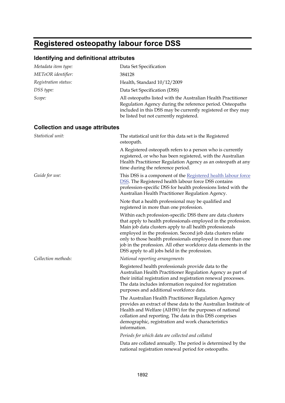# **Registered osteopathy labour force DSS**

| Metadata item type:                    | Data Set Specification                                                                                                                                                                                                                                                                                                                                                                                                                       |
|----------------------------------------|----------------------------------------------------------------------------------------------------------------------------------------------------------------------------------------------------------------------------------------------------------------------------------------------------------------------------------------------------------------------------------------------------------------------------------------------|
| METeOR identifier:                     | 384128                                                                                                                                                                                                                                                                                                                                                                                                                                       |
| Registration status:                   | Health, Standard 10/12/2009                                                                                                                                                                                                                                                                                                                                                                                                                  |
| DSS type:                              | Data Set Specification (DSS)                                                                                                                                                                                                                                                                                                                                                                                                                 |
| Scope:                                 | All osteopaths listed with the Australian Health Practitioner<br>Regulation Agency during the reference period. Osteopaths<br>included in this DSS may be currently registered or they may<br>be listed but not currently registered.                                                                                                                                                                                                        |
| <b>Collection and usage attributes</b> |                                                                                                                                                                                                                                                                                                                                                                                                                                              |
| Statistical unit:                      | The statistical unit for this data set is the Registered<br>osteopath.                                                                                                                                                                                                                                                                                                                                                                       |
|                                        | A Registered osteopath refers to a person who is currently<br>registered, or who has been registered, with the Australian<br>Health Practitioner Regulation Agency as an osteopath at any<br>time during the reference period.                                                                                                                                                                                                               |
| Guide for use:                         | This DSS is a component of the Registered health labour force<br><b>DSS.</b> The Registered health labour force DSS contains<br>profession-specific DSS for health professions listed with the<br>Australian Health Practitioner Regulation Agency.                                                                                                                                                                                          |
|                                        | Note that a health professional may be qualified and<br>registered in more than one profession.                                                                                                                                                                                                                                                                                                                                              |
|                                        | Within each profession-specific DSS there are data clusters<br>that apply to health professionals employed in the profession.<br>Main job data clusters apply to all health professionals<br>employed in the profession. Second job data clusters relate<br>only to those health professionals employed in more than one<br>job in the profession. All other workforce data elements in the<br>DSS apply to all jobs held in the profession. |
| Collection methods:                    | National reporting arrangements                                                                                                                                                                                                                                                                                                                                                                                                              |
|                                        | Registered health professionals provide data to the<br>Australian Health Practitioner Regulation Agency as part of<br>their initial registration and registration renewal processes.<br>The data includes information required for registration<br>purposes and additional workforce data.                                                                                                                                                   |
|                                        | The Australian Health Practitioner Regulation Agency<br>provides an extract of these data to the Australian Institute of<br>Health and Welfare (AIHW) for the purposes of national<br>collation and reporting. The data in this DSS comprises<br>demographic, registration and work characteristics<br>information.                                                                                                                          |
|                                        | Periods for which data are collected and collated                                                                                                                                                                                                                                                                                                                                                                                            |
|                                        | Data are collated annually. The period is determined by the<br>national registration renewal period for osteopaths.                                                                                                                                                                                                                                                                                                                          |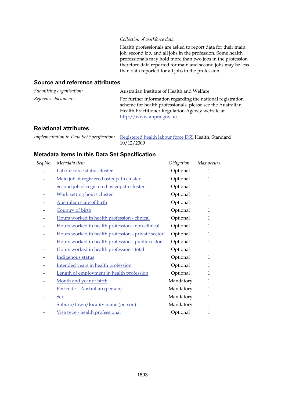#### *Collection of workforce data*

Health professionals are asked to report data for their main job, second job, and all jobs in the profession. Some health professionals may hold more than two jobs in the profession therefore data reported for main and second jobs may be less than data reported for all jobs in the profession.

### **Source and reference attributes**

| Submitting organisation: | Australian Institute of Health and Welfare                                                                                                                                                               |
|--------------------------|----------------------------------------------------------------------------------------------------------------------------------------------------------------------------------------------------------|
| Reference documents:     | For further information regarding the national registration<br>scheme for health professionals, please see the Australian<br>Health Practitioner Regulation Agency website at<br>http://www.ahpra.gov.au |

### **Relational attributes**

| Implementation in Data Set Specification: Registered health labour force DSS Health, Standard |
|-----------------------------------------------------------------------------------------------|
| 10/12/2009                                                                                    |

| Seq No. | Metadata item                                      | Obligation | Max occurs  |
|---------|----------------------------------------------------|------------|-------------|
|         | Labour force status cluster                        | Optional   | 1           |
|         | Main job of registered osteopath cluster           | Optional   | $\mathbf 1$ |
|         | Second job of registered osteopath cluster         | Optional   | 1           |
|         | Work setting hours cluster                         | Optional   | 1           |
|         | <b>Australian state of birth</b>                   | Optional   | $\mathbf 1$ |
|         | Country of birth                                   | Optional   | $\mathbf 1$ |
|         | Hours worked in health profession - clinical       | Optional   | 1           |
|         | Hours worked in health profession - non-clinical   | Optional   | 1           |
|         | Hours worked in health profession - private sector | Optional   | 1           |
|         | Hours worked in health profession - public sector  | Optional   | $\mathbf 1$ |
|         | Hours worked in health profession - total          | Optional   | 1           |
|         | Indigenous status                                  | Optional   | 1           |
|         | Intended years in health profession                | Optional   | 1           |
|         | Length of employment in health profession          | Optional   | $\mathbf 1$ |
|         | Month and year of birth                            | Mandatory  | $\mathbf 1$ |
|         | Postcode-Australian (person)                       | Mandatory  | $\mathbf 1$ |
|         | <b>Sex</b>                                         | Mandatory  | $\mathbf 1$ |
|         | Suburb/town/locality name (person)                 | Mandatory  | $\mathbf 1$ |
|         | Visa type - health professional                    | Optional   | 1           |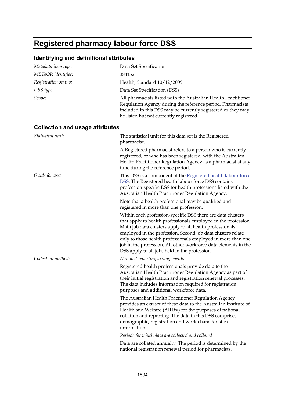## **Registered pharmacy labour force DSS**

| Metadata item type:                    | Data Set Specification                                                                                                                                                                                                                                                                                                                                                                                                                       |
|----------------------------------------|----------------------------------------------------------------------------------------------------------------------------------------------------------------------------------------------------------------------------------------------------------------------------------------------------------------------------------------------------------------------------------------------------------------------------------------------|
| METeOR identifier:                     | 384152                                                                                                                                                                                                                                                                                                                                                                                                                                       |
| Registration status:                   | Health, Standard 10/12/2009                                                                                                                                                                                                                                                                                                                                                                                                                  |
| DSS type:                              | Data Set Specification (DSS)                                                                                                                                                                                                                                                                                                                                                                                                                 |
| Scope:                                 | All pharmacists listed with the Australian Health Practitioner<br>Regulation Agency during the reference period. Pharmacists<br>included in this DSS may be currently registered or they may<br>be listed but not currently registered.                                                                                                                                                                                                      |
| <b>Collection and usage attributes</b> |                                                                                                                                                                                                                                                                                                                                                                                                                                              |
| Statistical unit:                      | The statistical unit for this data set is the Registered<br>pharmacist.                                                                                                                                                                                                                                                                                                                                                                      |
|                                        | A Registered pharmacist refers to a person who is currently<br>registered, or who has been registered, with the Australian<br>Health Practitioner Regulation Agency as a pharmacist at any<br>time during the reference period.                                                                                                                                                                                                              |
| Guide for use:                         | This DSS is a component of the Registered health labour force<br>DSS. The Registered health labour force DSS contains<br>profession-specific DSS for health professions listed with the<br>Australian Health Practitioner Regulation Agency.                                                                                                                                                                                                 |
|                                        | Note that a health professional may be qualified and<br>registered in more than one profession.                                                                                                                                                                                                                                                                                                                                              |
|                                        | Within each profession-specific DSS there are data clusters<br>that apply to health professionals employed in the profession.<br>Main job data clusters apply to all health professionals<br>employed in the profession. Second job data clusters relate<br>only to those health professionals employed in more than one<br>job in the profession. All other workforce data elements in the<br>DSS apply to all jobs held in the profession. |
| Collection methods:                    | National reporting arrangements                                                                                                                                                                                                                                                                                                                                                                                                              |
|                                        | Registered health professionals provide data to the<br>Australian Health Practitioner Regulation Agency as part of<br>their initial registration and registration renewal processes.<br>The data includes information required for registration<br>purposes and additional workforce data.                                                                                                                                                   |
|                                        | The Australian Health Practitioner Regulation Agency<br>provides an extract of these data to the Australian Institute of<br>Health and Welfare (AIHW) for the purposes of national<br>collation and reporting. The data in this DSS comprises<br>demographic, registration and work characteristics<br>information.                                                                                                                          |
|                                        | Periods for which data are collected and collated                                                                                                                                                                                                                                                                                                                                                                                            |
|                                        | Data are collated annually. The period is determined by the<br>national registration renewal period for pharmacists.                                                                                                                                                                                                                                                                                                                         |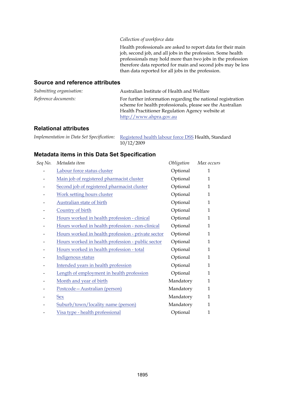#### *Collection of workforce data*

Health professionals are asked to report data for their main job, second job, and all jobs in the profession. Some health professionals may hold more than two jobs in the profession therefore data reported for main and second jobs may be less than data reported for all jobs in the profession.

### **Source and reference attributes**

| Submitting organisation: | Australian Institute of Health and Welfare                                                                                                                                                               |
|--------------------------|----------------------------------------------------------------------------------------------------------------------------------------------------------------------------------------------------------|
| Reference documents:     | For further information regarding the national registration<br>scheme for health professionals, please see the Australian<br>Health Practitioner Regulation Agency website at<br>http://www.ahpra.gov.au |

### **Relational attributes**

| Implementation in Data Set Specification: Registered health labour force DSS Health, Standard |
|-----------------------------------------------------------------------------------------------|
| 10/12/2009                                                                                    |

| Seq No. | Metadata item                                      | Obligation | Max occurs   |
|---------|----------------------------------------------------|------------|--------------|
|         | Labour force status cluster                        | Optional   | 1            |
|         | Main job of registered pharmacist cluster          | Optional   | 1            |
|         | Second job of registered pharmacist cluster        | Optional   | 1            |
|         | <b>Work setting hours cluster</b>                  | Optional   | 1            |
|         | <b>Australian state of birth</b>                   | Optional   | 1            |
|         | Country of birth                                   | Optional   | $\mathbf 1$  |
|         | Hours worked in health profession - clinical       | Optional   | $\mathbf{1}$ |
|         | Hours worked in health profession - non-clinical   | Optional   | 1            |
|         | Hours worked in health profession - private sector | Optional   | 1            |
|         | Hours worked in health profession - public sector  | Optional   | 1            |
|         | Hours worked in health profession - total          | Optional   | $\mathbf 1$  |
|         | Indigenous status                                  | Optional   | 1            |
|         | Intended years in health profession                | Optional   | 1            |
|         | Length of employment in health profession          | Optional   | 1            |
|         | Month and year of birth                            | Mandatory  | 1            |
|         | Postcode-Australian (person)                       | Mandatory  | $\mathbf 1$  |
|         | <b>Sex</b>                                         | Mandatory  | 1            |
|         | Suburb/town/locality name (person)                 | Mandatory  | $\mathbf 1$  |
|         | Visa type - health professional                    | Optional   | 1            |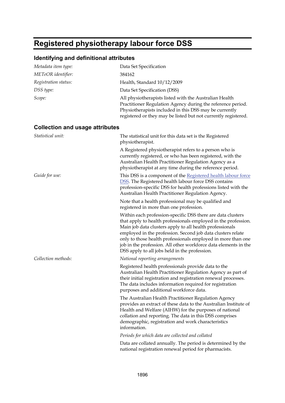# **Registered physiotherapy labour force DSS**

| Metadata item type:                    | Data Set Specification                                                                                                                                                                                                                                                                                                                                                                                                                       |
|----------------------------------------|----------------------------------------------------------------------------------------------------------------------------------------------------------------------------------------------------------------------------------------------------------------------------------------------------------------------------------------------------------------------------------------------------------------------------------------------|
| METeOR identifier:                     | 384162                                                                                                                                                                                                                                                                                                                                                                                                                                       |
| Registration status:                   | Health, Standard 10/12/2009                                                                                                                                                                                                                                                                                                                                                                                                                  |
| DSS type:                              | Data Set Specification (DSS)                                                                                                                                                                                                                                                                                                                                                                                                                 |
| Scope:                                 | All physiotherapists listed with the Australian Health<br>Practitioner Regulation Agency during the reference period.<br>Physiotherapists included in this DSS may be currently<br>registered or they may be listed but not currently registered.                                                                                                                                                                                            |
| <b>Collection and usage attributes</b> |                                                                                                                                                                                                                                                                                                                                                                                                                                              |
| Statistical unit:                      | The statistical unit for this data set is the Registered<br>physiotherapist.                                                                                                                                                                                                                                                                                                                                                                 |
|                                        | A Registered physiotherapist refers to a person who is<br>currently registered, or who has been registered, with the<br>Australian Health Practitioner Regulation Agency as a<br>physiotherapist at any time during the reference period.                                                                                                                                                                                                    |
| Guide for use:                         | This DSS is a component of the Registered health labour force<br><b>DSS.</b> The Registered health labour force DSS contains<br>profession-specific DSS for health professions listed with the<br>Australian Health Practitioner Regulation Agency.                                                                                                                                                                                          |
|                                        | Note that a health professional may be qualified and<br>registered in more than one profession.                                                                                                                                                                                                                                                                                                                                              |
|                                        | Within each profession-specific DSS there are data clusters<br>that apply to health professionals employed in the profession.<br>Main job data clusters apply to all health professionals<br>employed in the profession. Second job data clusters relate<br>only to those health professionals employed in more than one<br>job in the profession. All other workforce data elements in the<br>DSS apply to all jobs held in the profession. |
| Collection methods:                    | National reporting arrangements                                                                                                                                                                                                                                                                                                                                                                                                              |
|                                        | Registered health professionals provide data to the<br>Australian Health Practitioner Regulation Agency as part of<br>their initial registration and registration renewal processes.<br>The data includes information required for registration<br>purposes and additional workforce data.                                                                                                                                                   |
|                                        | The Australian Health Practitioner Regulation Agency<br>provides an extract of these data to the Australian Institute of<br>Health and Welfare (AIHW) for the purposes of national<br>collation and reporting. The data in this DSS comprises<br>demographic, registration and work characteristics<br>information.                                                                                                                          |
|                                        | Periods for which data are collected and collated                                                                                                                                                                                                                                                                                                                                                                                            |
|                                        | Data are collated annually. The period is determined by the<br>national registration renewal period for pharmacists.                                                                                                                                                                                                                                                                                                                         |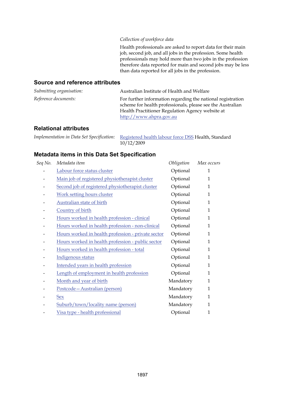#### *Collection of workforce data*

Health professionals are asked to report data for their main job, second job, and all jobs in the profession. Some health professionals may hold more than two jobs in the profession therefore data reported for main and second jobs may be less than data reported for all jobs in the profession.

### **Source and reference attributes**

| Submitting organisation: | Australian Institute of Health and Welfare                                                                                                                                                               |
|--------------------------|----------------------------------------------------------------------------------------------------------------------------------------------------------------------------------------------------------|
| Reference documents:     | For further information regarding the national registration<br>scheme for health professionals, please see the Australian<br>Health Practitioner Regulation Agency website at<br>http://www.ahpra.gov.au |

### **Relational attributes**

| Implementation in Data Set Specification: Registered health labour force DSS Health, Standard |
|-----------------------------------------------------------------------------------------------|
| 10/12/2009                                                                                    |

| Seq No. | Metadata item                                      | Obligation | Max occurs  |
|---------|----------------------------------------------------|------------|-------------|
|         | Labour force status cluster                        | Optional   | 1           |
|         | Main job of registered physiotherapist cluster     | Optional   | 1           |
|         | Second job of registered physiotherapist cluster   | Optional   | 1           |
|         | Work setting hours cluster                         | Optional   | 1           |
|         | <b>Australian state of birth</b>                   | Optional   | $\mathbf 1$ |
|         | Country of birth                                   | Optional   | $\mathbf 1$ |
|         | Hours worked in health profession - clinical       | Optional   | 1           |
|         | Hours worked in health profession - non-clinical   | Optional   | 1           |
|         | Hours worked in health profession - private sector | Optional   | 1           |
|         | Hours worked in health profession - public sector  | Optional   | $\mathbf 1$ |
|         | Hours worked in health profession - total          | Optional   | 1           |
|         | Indigenous status                                  | Optional   | 1           |
|         | Intended years in health profession                | Optional   | 1           |
|         | Length of employment in health profession          | Optional   | $\mathbf 1$ |
|         | Month and year of birth                            | Mandatory  | $\mathbf 1$ |
|         | Postcode-Australian (person)                       | Mandatory  | $\mathbf 1$ |
|         | <b>Sex</b>                                         | Mandatory  | 1           |
|         | Suburb/town/locality name (person)                 | Mandatory  | $\mathbf 1$ |
|         | Visa type - health professional                    | Optional   | 1           |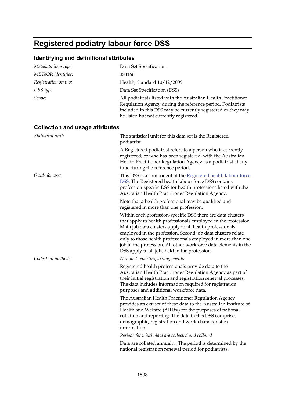## **Registered podiatry labour force DSS**

| Metadata item type:                    | Data Set Specification                                                                                                                                                                                                                                                                                                                                                                                                                       |
|----------------------------------------|----------------------------------------------------------------------------------------------------------------------------------------------------------------------------------------------------------------------------------------------------------------------------------------------------------------------------------------------------------------------------------------------------------------------------------------------|
| METeOR identifier:                     | 384166                                                                                                                                                                                                                                                                                                                                                                                                                                       |
| Registration status:                   | Health, Standard 10/12/2009                                                                                                                                                                                                                                                                                                                                                                                                                  |
| DSS type:                              | Data Set Specification (DSS)                                                                                                                                                                                                                                                                                                                                                                                                                 |
| Scope:                                 | All podiatrists listed with the Australian Health Practitioner<br>Regulation Agency during the reference period. Podiatrists<br>included in this DSS may be currently registered or they may<br>be listed but not currently registered.                                                                                                                                                                                                      |
| <b>Collection and usage attributes</b> |                                                                                                                                                                                                                                                                                                                                                                                                                                              |
| Statistical unit:                      | The statistical unit for this data set is the Registered<br>podiatrist.                                                                                                                                                                                                                                                                                                                                                                      |
|                                        | A Registered podiatrist refers to a person who is currently<br>registered, or who has been registered, with the Australian<br>Health Practitioner Regulation Agency as a podiatrist at any<br>time during the reference period.                                                                                                                                                                                                              |
| Guide for use:                         | This DSS is a component of the Registered health labour force<br>DSS. The Registered health labour force DSS contains<br>profession-specific DSS for health professions listed with the<br>Australian Health Practitioner Regulation Agency.                                                                                                                                                                                                 |
|                                        | Note that a health professional may be qualified and<br>registered in more than one profession.                                                                                                                                                                                                                                                                                                                                              |
|                                        | Within each profession-specific DSS there are data clusters<br>that apply to health professionals employed in the profession.<br>Main job data clusters apply to all health professionals<br>employed in the profession. Second job data clusters relate<br>only to those health professionals employed in more than one<br>job in the profession. All other workforce data elements in the<br>DSS apply to all jobs held in the profession. |
| Collection methods:                    | National reporting arrangements                                                                                                                                                                                                                                                                                                                                                                                                              |
|                                        | Registered health professionals provide data to the<br>Australian Health Practitioner Regulation Agency as part of<br>their initial registration and registration renewal processes.<br>The data includes information required for registration<br>purposes and additional workforce data.                                                                                                                                                   |
|                                        | The Australian Health Practitioner Regulation Agency<br>provides an extract of these data to the Australian Institute of<br>Health and Welfare (AIHW) for the purposes of national<br>collation and reporting. The data in this DSS comprises<br>demographic, registration and work characteristics<br>information.                                                                                                                          |
|                                        | Periods for which data are collected and collated                                                                                                                                                                                                                                                                                                                                                                                            |
|                                        | Data are collated annually. The period is determined by the<br>national registration renewal period for podiatrists.                                                                                                                                                                                                                                                                                                                         |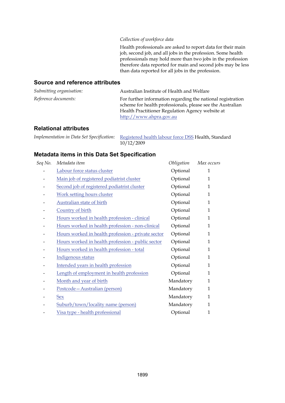#### *Collection of workforce data*

Health professionals are asked to report data for their main job, second job, and all jobs in the profession. Some health professionals may hold more than two jobs in the profession therefore data reported for main and second jobs may be less than data reported for all jobs in the profession.

### **Source and reference attributes**

| Submitting organisation:    | Australian Institute of Health and Welfare                                                                                                                                                               |
|-----------------------------|----------------------------------------------------------------------------------------------------------------------------------------------------------------------------------------------------------|
| <i>Reference documents:</i> | For further information regarding the national registration<br>scheme for health professionals, please see the Australian<br>Health Practitioner Regulation Agency website at<br>http://www.ahpra.gov.au |

### **Relational attributes**

| Implementation in Data Set Specification: Registered health labour force DSS Health, Standard |
|-----------------------------------------------------------------------------------------------|
| 10/12/2009                                                                                    |

| Seq No. | Metadata item                                      | Obligation | Max occurs   |
|---------|----------------------------------------------------|------------|--------------|
|         | Labour force status cluster                        | Optional   | 1            |
|         | Main job of registered podiatrist cluster          | Optional   | 1            |
|         | Second job of registered podiatrist cluster        | Optional   | 1            |
|         | <b>Work setting hours cluster</b>                  | Optional   | 1            |
|         | <b>Australian state of birth</b>                   | Optional   | 1            |
|         | Country of birth                                   | Optional   | $\mathbf 1$  |
|         | Hours worked in health profession - clinical       | Optional   | $\mathbf{1}$ |
|         | Hours worked in health profession - non-clinical   | Optional   | 1            |
|         | Hours worked in health profession - private sector | Optional   | 1            |
|         | Hours worked in health profession - public sector  | Optional   | 1            |
|         | Hours worked in health profession - total          | Optional   | $\mathbf 1$  |
|         | Indigenous status                                  | Optional   | 1            |
|         | Intended years in health profession                | Optional   | 1            |
|         | Length of employment in health profession          | Optional   | 1            |
|         | Month and year of birth                            | Mandatory  | 1            |
|         | Postcode-Australian (person)                       | Mandatory  | $\mathbf 1$  |
|         | <b>Sex</b>                                         | Mandatory  | 1            |
|         | Suburb/town/locality name (person)                 | Mandatory  | $\mathbf 1$  |
|         | Visa type - health professional                    | Optional   | 1            |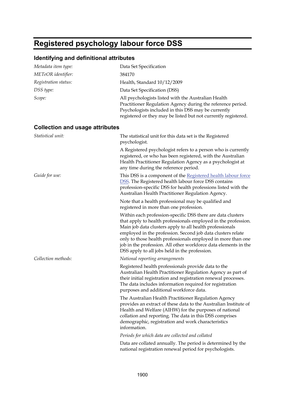## **Registered psychology labour force DSS**

| Metadata item type:                    | Data Set Specification                                                                                                                                                                                                                                                                                                                                                                                                                       |
|----------------------------------------|----------------------------------------------------------------------------------------------------------------------------------------------------------------------------------------------------------------------------------------------------------------------------------------------------------------------------------------------------------------------------------------------------------------------------------------------|
| METeOR identifier:                     | 384170                                                                                                                                                                                                                                                                                                                                                                                                                                       |
| Registration status:                   | Health, Standard 10/12/2009                                                                                                                                                                                                                                                                                                                                                                                                                  |
| DSS type:                              | Data Set Specification (DSS)                                                                                                                                                                                                                                                                                                                                                                                                                 |
| Scope:                                 | All psychologists listed with the Australian Health<br>Practitioner Regulation Agency during the reference period.<br>Psychologists included in this DSS may be currently<br>registered or they may be listed but not currently registered.                                                                                                                                                                                                  |
| <b>Collection and usage attributes</b> |                                                                                                                                                                                                                                                                                                                                                                                                                                              |
| Statistical unit:                      | The statistical unit for this data set is the Registered<br>psychologist.                                                                                                                                                                                                                                                                                                                                                                    |
|                                        | A Registered psychologist refers to a person who is currently<br>registered, or who has been registered, with the Australian<br>Health Practitioner Regulation Agency as a psychologist at<br>any time during the reference period.                                                                                                                                                                                                          |
| Guide for use:                         | This DSS is a component of the Registered health labour force<br>DSS. The Registered health labour force DSS contains<br>profession-specific DSS for health professions listed with the<br>Australian Health Practitioner Regulation Agency.                                                                                                                                                                                                 |
|                                        | Note that a health professional may be qualified and<br>registered in more than one profession.                                                                                                                                                                                                                                                                                                                                              |
|                                        | Within each profession-specific DSS there are data clusters<br>that apply to health professionals employed in the profession.<br>Main job data clusters apply to all health professionals<br>employed in the profession. Second job data clusters relate<br>only to those health professionals employed in more than one<br>job in the profession. All other workforce data elements in the<br>DSS apply to all jobs held in the profession. |
| Collection methods:                    | National reporting arrangements                                                                                                                                                                                                                                                                                                                                                                                                              |
|                                        | Registered health professionals provide data to the<br>Australian Health Practitioner Regulation Agency as part of<br>their initial registration and registration renewal processes.<br>The data includes information required for registration<br>purposes and additional workforce data.                                                                                                                                                   |
|                                        | The Australian Health Practitioner Regulation Agency<br>provides an extract of these data to the Australian Institute of<br>Health and Welfare (AIHW) for the purposes of national<br>collation and reporting. The data in this DSS comprises<br>demographic, registration and work characteristics<br>information.                                                                                                                          |
|                                        | Periods for which data are collected and collated                                                                                                                                                                                                                                                                                                                                                                                            |
|                                        | Data are collated annually. The period is determined by the<br>national registration renewal period for psychologists.                                                                                                                                                                                                                                                                                                                       |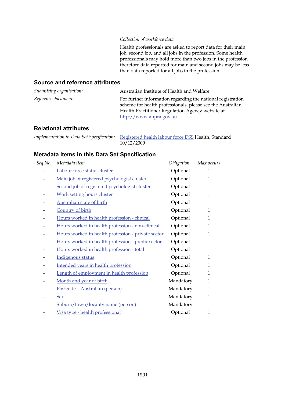#### *Collection of workforce data*

Health professionals are asked to report data for their main job, second job, and all jobs in the profession. Some health professionals may hold more than two jobs in the profession therefore data reported for main and second jobs may be less than data reported for all jobs in the profession.

### **Source and reference attributes**

| Submitting organisation: | Australian Institute of Health and Welfare                                                                                                                                                               |
|--------------------------|----------------------------------------------------------------------------------------------------------------------------------------------------------------------------------------------------------|
| Reference documents:     | For further information regarding the national registration<br>scheme for health professionals, please see the Australian<br>Health Practitioner Regulation Agency website at<br>http://www.ahpra.gov.au |

### **Relational attributes**

| Implementation in Data Set Specification: Registered health labour force DSS Health, Standard |
|-----------------------------------------------------------------------------------------------|
| 10/12/2009                                                                                    |

| Seq No. | Metadata item                                      | Obligation | Max occurs  |
|---------|----------------------------------------------------|------------|-------------|
|         | Labour force status cluster                        | Optional   | 1           |
|         | Main job of registered psychologist cluster        | Optional   | $\mathbf 1$ |
|         | Second job of registered psychologist cluster      | Optional   | 1           |
|         | Work setting hours cluster                         | Optional   | 1           |
|         | <b>Australian state of birth</b>                   | Optional   | $\mathbf 1$ |
|         | Country of birth                                   | Optional   | $\mathbf 1$ |
|         | Hours worked in health profession - clinical       | Optional   | 1           |
|         | Hours worked in health profession - non-clinical   | Optional   | 1           |
|         | Hours worked in health profession - private sector | Optional   | 1           |
|         | Hours worked in health profession - public sector  | Optional   | $\mathbf 1$ |
|         | Hours worked in health profession - total          | Optional   | 1           |
|         | Indigenous status                                  | Optional   | 1           |
|         | Intended years in health profession                | Optional   | 1           |
|         | Length of employment in health profession          | Optional   | $\mathbf 1$ |
|         | Month and year of birth                            | Mandatory  | $\mathbf 1$ |
|         | Postcode-Australian (person)                       | Mandatory  | $\mathbf 1$ |
|         | <b>Sex</b>                                         | Mandatory  | $\mathbf 1$ |
|         | Suburb/town/locality name (person)                 | Mandatory  | $\mathbf 1$ |
|         | Visa type - health professional                    | Optional   | 1           |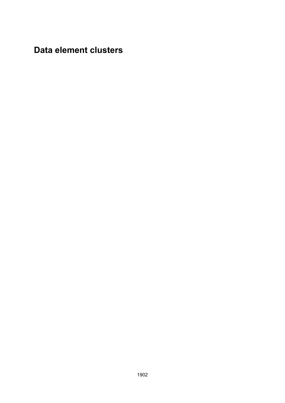**Data element clusters**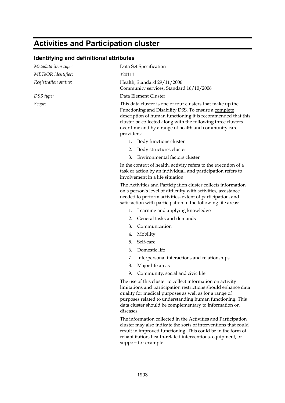## **Activities and Participation cluster**

### **Identifying and definitional attributes**

| Metadata item type:  | Data Set Specification                                                                                                                                                                                                                                                                                                     |
|----------------------|----------------------------------------------------------------------------------------------------------------------------------------------------------------------------------------------------------------------------------------------------------------------------------------------------------------------------|
| METeOR identifier:   | 320111                                                                                                                                                                                                                                                                                                                     |
| Registration status: | Health, Standard 29/11/2006<br>Community services, Standard 16/10/2006                                                                                                                                                                                                                                                     |
| DSS type:            | Data Element Cluster                                                                                                                                                                                                                                                                                                       |
| Scope:               | This data cluster is one of four clusters that make up the<br>Functioning and Disability DSS. To ensure a complete<br>description of human functioning it is recommended that this<br>cluster be collected along with the following three clusters<br>over time and by a range of health and community care<br>providers:  |
|                      | 1. Body functions cluster                                                                                                                                                                                                                                                                                                  |
|                      | 2. Body structures cluster                                                                                                                                                                                                                                                                                                 |
|                      | Environmental factors cluster<br>3.                                                                                                                                                                                                                                                                                        |
|                      | In the context of health, activity refers to the execution of a<br>task or action by an individual, and participation refers to<br>involvement in a life situation.                                                                                                                                                        |
|                      | The Activities and Participation cluster collects information<br>on a person's level of difficulty with activities, assistance<br>needed to perform activities, extent of participation, and<br>satisfaction with participation in the following life areas:                                                               |
|                      | 1. Learning and applying knowledge                                                                                                                                                                                                                                                                                         |
|                      | General tasks and demands<br>2.                                                                                                                                                                                                                                                                                            |
|                      | 3.<br>Communication                                                                                                                                                                                                                                                                                                        |
|                      | Mobility<br>4.                                                                                                                                                                                                                                                                                                             |
|                      | Self-care<br>5.                                                                                                                                                                                                                                                                                                            |
|                      | Domestic life<br>6.                                                                                                                                                                                                                                                                                                        |
|                      | Interpersonal interactions and relationships<br>7.                                                                                                                                                                                                                                                                         |
|                      | Major life areas<br>8.                                                                                                                                                                                                                                                                                                     |
|                      | Community, social and civic life<br>9.                                                                                                                                                                                                                                                                                     |
|                      | The use of this cluster to collect information on activity<br>limitations and participation restrictions should enhance data<br>quality for medical purposes as well as for a range of<br>purposes related to understanding human functioning. This<br>data cluster should be complementary to information on<br>diseases. |
|                      | The information collected in the Activities and Participation                                                                                                                                                                                                                                                              |

The information collected in the Activities and Participation cluster may also indicate the sorts of interventions that could result in improved functioning. This could be in the form of rehabilitation, health-related interventions, equipment, or support for example.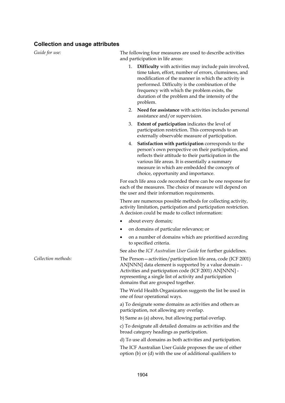### **Collection and usage attributes**

| Guide for use:      | The following four measures are used to describe activities<br>and participation in life areas:                                                                                                                                                                                                                                                |
|---------------------|------------------------------------------------------------------------------------------------------------------------------------------------------------------------------------------------------------------------------------------------------------------------------------------------------------------------------------------------|
|                     | 1.<br>Difficulty with activities may include pain involved,<br>time taken, effort, number of errors, clumsiness, and<br>modification of the manner in which the activity is<br>performed. Difficulty is the combination of the<br>frequency with which the problem exists, the<br>duration of the problem and the intensity of the<br>problem. |
|                     | Need for assistance with activities includes personal<br>2.<br>assistance and/or supervision.                                                                                                                                                                                                                                                  |
|                     | <b>Extent of participation</b> indicates the level of<br>3.<br>participation restriction. This corresponds to an<br>externally observable measure of participation.                                                                                                                                                                            |
|                     | Satisfaction with participation corresponds to the<br>4.<br>person's own perspective on their participation, and<br>reflects their attitude to their participation in the<br>various life areas. It is essentially a summary<br>measure in which are embedded the concepts of<br>choice, opportunity and importance.                           |
|                     | For each life area code recorded there can be one response for<br>each of the measures. The choice of measure will depend on<br>the user and their information requirements.                                                                                                                                                                   |
|                     | There are numerous possible methods for collecting activity,<br>activity limitation, participation and participation restriction.<br>A decision could be made to collect information:                                                                                                                                                          |
|                     | about every domain;<br>٠                                                                                                                                                                                                                                                                                                                       |
|                     | on domains of particular relevance; or                                                                                                                                                                                                                                                                                                         |
|                     | on a number of domains which are prioritised according<br>$\bullet$<br>to specified criteria.                                                                                                                                                                                                                                                  |
|                     | See also the ICF Australian User Guide for further guidelines.                                                                                                                                                                                                                                                                                 |
| Collection methods: | The Person - activities/participation life area, code (ICF 2001)<br>AN[NNN] data element is supported by a value domain -<br>Activities and participation code (ICF 2001) AN[NNN] -<br>representing a single list of activity and participation<br>domains that are grouped together.                                                          |
|                     | The World Health Organization suggests the list be used in<br>one of four operational ways.                                                                                                                                                                                                                                                    |
|                     | a) To designate some domains as activities and others as<br>participation, not allowing any overlap.                                                                                                                                                                                                                                           |
|                     | b) Same as (a) above, but allowing partial overlap.                                                                                                                                                                                                                                                                                            |
|                     | c) To designate all detailed domains as activities and the<br>broad category headings as participation.                                                                                                                                                                                                                                        |
|                     | d) To use all domains as both activities and participation.                                                                                                                                                                                                                                                                                    |
|                     | The ICF Australian User Guide proposes the use of either<br>option (b) or (d) with the use of additional qualifiers to                                                                                                                                                                                                                         |
|                     |                                                                                                                                                                                                                                                                                                                                                |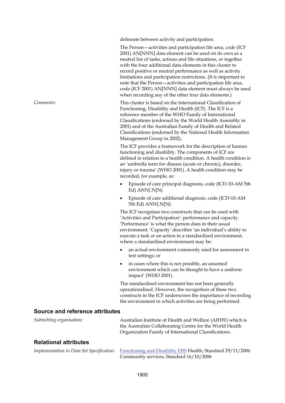delineate between activity and participation.

The Person—activities and participation life area, code (ICF 2001) AN[NNN] data element can be used on its own as a neutral list of tasks, actions and life situations, or together with the four additional data elements in this cluster to record positive or neutral performance as well as activity limitations and participation restrictions. (It is important to note that the Person—activities and participation life area, code (ICF 2001) AN[NNN] data element must always be used when recording any of the other four data elements.)

*Comments:* This cluster is based on the International Classification of Functioning, Disability and Health (ICF). The ICF is a reference member of the WHO Family of International Classifications (endorsed by the World Health Assembly in 2001) and of the Australian Family of Health and Related Classifications (endorsed by the National Health Information Management Group in 2002).

> The ICF provides a framework for the description of human functioning and disability. The components of ICF are defined in relation to a health condition. A health condition is an 'umbrella term for disease (acute or chronic), disorder, injury or trauma' (WHO 2001). A health condition may be recorded, for example, as:

- Episode of care principal diagnosis, code (ICD-10-AM 5th Ed) ANN{.N[N}
- Episode of care additional diagnosis, code (ICD-10-AM 5th Ed) ANN{.N[N}.

The ICF recognises two constructs that can be used with 'Activities and Participation': performance and capacity. 'Performance' is what the person does in their usual environment. 'Capacity' describes 'an individual's ability to execute a task or an action in a standardised environment, where a standardised environment may be:

- an actual environment commonly used for assessment in test settings; or
- in cases where this is not possible, an assumed environment which can be thought to have a uniform impact' (WHO 2001).

The standardised environment has not been generally operationalised. However, the recognition of these two constructs in the ICF underscores the importance of recording the environment in which activities are being performed.

### **Source and reference attributes**

| Submitting organisation:                  | Australian Institute of Health and Welfare (AIHW) which is<br>the Australian Collaborating Centre for the World Health |  |
|-------------------------------------------|------------------------------------------------------------------------------------------------------------------------|--|
| <b>Relational attributes</b>              | Organization Family of International Classifications.                                                                  |  |
| Implementation in Data Set Specification: | Functioning and Disability DSS Health, Standard 29/11/2006                                                             |  |

Community services, Standard 16/10/2006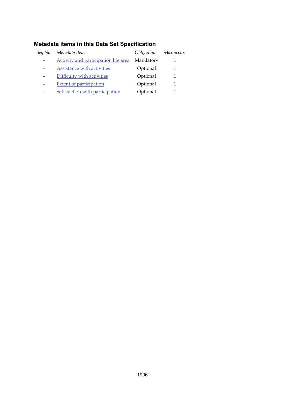| Seq No. | Metadata item                        | Obligation | Max occurs |
|---------|--------------------------------------|------------|------------|
|         | Activity and participation life area | Mandatory  |            |
|         | Assistance with activities           | Optional   |            |
|         | Difficulty with activities           | Optional   |            |
|         | <b>Extent of participation</b>       | Optional   |            |
|         | Satisfaction with participation      | Optional   |            |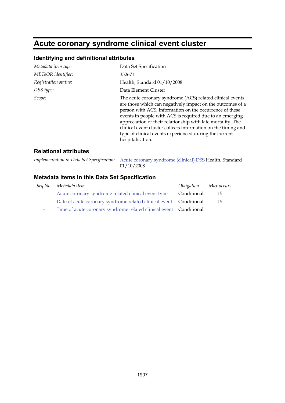## **Acute coronary syndrome clinical event cluster**

### **Identifying and definitional attributes**

| Metadata item type:  | Data Set Specification                                                                                                                                                                                                                                                                                                                                                                                                                                       |
|----------------------|--------------------------------------------------------------------------------------------------------------------------------------------------------------------------------------------------------------------------------------------------------------------------------------------------------------------------------------------------------------------------------------------------------------------------------------------------------------|
| METeOR identifier:   | 352671                                                                                                                                                                                                                                                                                                                                                                                                                                                       |
| Registration status: | Health, Standard 01/10/2008                                                                                                                                                                                                                                                                                                                                                                                                                                  |
| DSS type:            | Data Element Cluster                                                                                                                                                                                                                                                                                                                                                                                                                                         |
| Scope:               | The acute coronary syndrome (ACS) related clinical events<br>are those which can negatively impact on the outcomes of a<br>person with ACS. Information on the occurrence of these<br>events in people with ACS is required due to an emerging<br>appreciation of their relationship with late mortality. The<br>clinical event cluster collects information on the timing and<br>type of clinical events experienced during the current<br>hospitalisation. |

### **Relational attributes**

| Implementation in Data Set Specification: Acute coronary syndrome (clinical) DSS Health, Standard |             |  |
|---------------------------------------------------------------------------------------------------|-------------|--|
|                                                                                                   | 04.140.1000 |  |

01/10/2008

|                          | Seq No. Metadata item                                              | Obligation Max occurs |              |
|--------------------------|--------------------------------------------------------------------|-----------------------|--------------|
| $\sim$ $-$               | Acute coronary syndrome related clinical event type                | Conditional           | 15           |
| $\overline{\phantom{0}}$ | Date of acute coronary syndrome related clinical event Conditional |                       | 15           |
|                          | Time of acute coronary syndrome related clinical event Conditional |                       | $\mathbf{1}$ |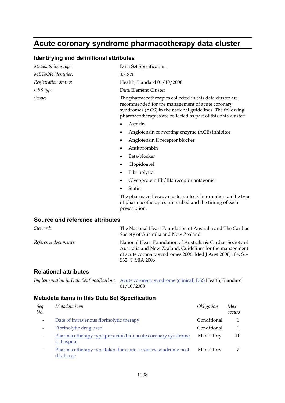### **Acute coronary syndrome pharmacotherapy data cluster**

### **Identifying and definitional attributes**

| Metadata item type:             | Data Set Specification                                                                                                                                                                                                                     |
|---------------------------------|--------------------------------------------------------------------------------------------------------------------------------------------------------------------------------------------------------------------------------------------|
| METeOR identifier:              | 351876                                                                                                                                                                                                                                     |
| Registration status:            | Health, Standard 01/10/2008                                                                                                                                                                                                                |
| DSS type:                       | Data Element Cluster                                                                                                                                                                                                                       |
| Scope:                          | The pharmacotherapies collected in this data cluster are<br>recommended for the management of acute coronary<br>syndromes (ACS) in the national guidelines. The following<br>pharmacotherapies are collected as part of this data cluster: |
|                                 | Aspirin                                                                                                                                                                                                                                    |
|                                 | Angiotensin converting enzyme (ACE) inhibitor<br>٠                                                                                                                                                                                         |
|                                 | Angiotensin II receptor blocker<br>٠                                                                                                                                                                                                       |
|                                 | Antithrombin<br>$\bullet$                                                                                                                                                                                                                  |
|                                 | Beta-blocker<br>٠                                                                                                                                                                                                                          |
|                                 | Clopidogrel<br>٠                                                                                                                                                                                                                           |
|                                 | Fibrinolytic<br>٠                                                                                                                                                                                                                          |
|                                 | Glycoprotein IIb/IIIa receptor antagonist<br>٠                                                                                                                                                                                             |
|                                 | Statin                                                                                                                                                                                                                                     |
|                                 | The pharmacotherapy cluster collects information on the type<br>of pharmacotherapies prescribed and the timing of each<br>prescription.                                                                                                    |
| Source and reference attributes |                                                                                                                                                                                                                                            |
| Steward:                        | The National Heart Foundation of Australia and The Cardiac<br>Society of Australia and New Zealand                                                                                                                                         |
|                                 |                                                                                                                                                                                                                                            |

*Reference documents:* National Heart Foundation of Australia & Cardiac Society of Australia and New Zealand. Guidelines for the management of acute coronary syndromes 2006. Med J Aust 2006; 184; S1- S32. © MJA 2006

### **Relational attributes**

| Implementation in Data Set Specification: Acute coronary syndrome (clinical) DSS Health, Standard |            |  |  |
|---------------------------------------------------------------------------------------------------|------------|--|--|
|                                                                                                   | 01/10/2008 |  |  |

| Seq<br>No.               | Metadata item                                                              | Obligation  | Max<br>occurs |
|--------------------------|----------------------------------------------------------------------------|-------------|---------------|
| $\overline{\phantom{0}}$ | Date of intravenous fibrinolytic therapy                                   | Conditional |               |
| $\overline{\phantom{0}}$ | Fibrinolytic drug used                                                     | Conditional |               |
| $\overline{\phantom{0}}$ | Pharmacotherapy type prescribed for acute coronary syndrome<br>in hospital | Mandatory   | 10            |
|                          | Pharmacotherapy type taken for acute coronary syndrome post<br>discharge   | Mandatory   | ⇁             |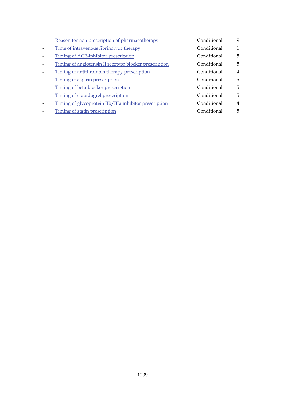| Reason for non prescription of pharmacotherapy         | Conditional | 9              |
|--------------------------------------------------------|-------------|----------------|
| Time of intravenous fibrinolytic therapy               | Conditional | $\mathbf{1}$   |
| Timing of ACE-inhibitor prescription                   | Conditional | 5              |
| Timing of angiotensin II receptor blocker prescription | Conditional | 5              |
| Timing of antithrombin therapy prescription            | Conditional | $\overline{4}$ |
| Timing of aspirin prescription                         | Conditional | 5              |
| Timing of beta-blocker prescription                    | Conditional | 5              |
| Timing of clopidogrel prescription                     | Conditional | 5              |
| Timing of glycoprotein IIb/IIIa inhibitor prescription | Conditional | 4              |
| Timing of statin prescription                          | Conditional | 5              |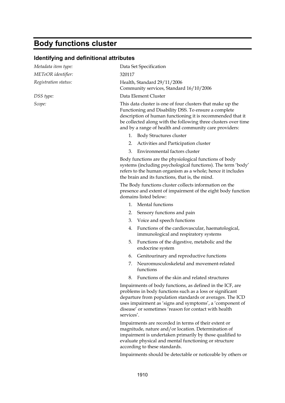# **Body functions cluster**

### **Identifying and definitional attributes**

| Metadata item type:  | Data Set Specification                                                                                                                                                                                                                                                                                               |  |  |
|----------------------|----------------------------------------------------------------------------------------------------------------------------------------------------------------------------------------------------------------------------------------------------------------------------------------------------------------------|--|--|
| METeOR identifier:   | 320117                                                                                                                                                                                                                                                                                                               |  |  |
| Registration status: | Health, Standard 29/11/2006<br>Community services, Standard 16/10/2006                                                                                                                                                                                                                                               |  |  |
| DSS type:            | Data Element Cluster                                                                                                                                                                                                                                                                                                 |  |  |
| Scope:               | This data cluster is one of four clusters that make up the<br>Functioning and Disability DSS. To ensure a complete<br>description of human functioning it is recommended that it<br>be collected along with the following three clusters over time<br>and by a range of health and community care providers:         |  |  |
|                      | 1. Body Structures cluster                                                                                                                                                                                                                                                                                           |  |  |
|                      | Activities and Participation cluster<br>2.                                                                                                                                                                                                                                                                           |  |  |
|                      | Environmental factors cluster<br>3.                                                                                                                                                                                                                                                                                  |  |  |
|                      | Body functions are the physiological functions of body<br>systems (including psychological functions). The term 'body'<br>refers to the human organism as a whole; hence it includes<br>the brain and its functions, that is, the mind.                                                                              |  |  |
|                      | The Body functions cluster collects information on the<br>presence and extent of impairment of the eight body function<br>domains listed below:                                                                                                                                                                      |  |  |
|                      | <b>Mental functions</b><br>1.                                                                                                                                                                                                                                                                                        |  |  |
|                      | 2.<br>Sensory functions and pain                                                                                                                                                                                                                                                                                     |  |  |
|                      | Voice and speech functions<br>3.                                                                                                                                                                                                                                                                                     |  |  |
|                      | Functions of the cardiovascular, haematological,<br>4.<br>immunological and respiratory systems                                                                                                                                                                                                                      |  |  |
|                      | Functions of the digestive, metabolic and the<br>5.<br>endocrine system                                                                                                                                                                                                                                              |  |  |
|                      | Genitourinary and reproductive functions<br>6.                                                                                                                                                                                                                                                                       |  |  |
|                      | Neuromusculoskeletal and movement-related<br>7.<br>functions                                                                                                                                                                                                                                                         |  |  |
|                      | Functions of the skin and related structures                                                                                                                                                                                                                                                                         |  |  |
|                      | Impairments of body functions, as defined in the ICF, are<br>problems in body functions such as a loss or significant<br>departure from population standards or averages. The ICD<br>uses impairment as 'signs and symptoms', a 'component of<br>disease' or sometimes 'reason for contact with health<br>services'. |  |  |
|                      | Impairments are recorded in terms of their extent or<br>magnitude, nature and/or location. Determination of<br>impairment is undertaken primarily by those qualified to<br>evaluate physical and mental functioning or structure                                                                                     |  |  |

according to these standards. Impairments should be detectable or noticeable by others or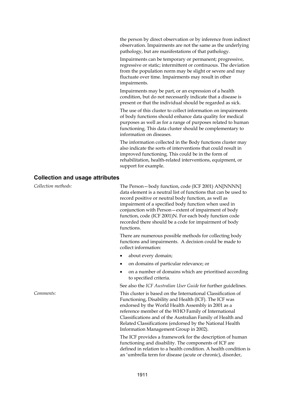the person by direct observation or by inference from indirect observation. Impairments are not the same as the underlying pathology, but are manifestations of that pathology.

Impairments can be temporary or permanent; progressive, regressive or static; intermittent or continuous. The deviation from the population norm may be slight or severe and may fluctuate over time. Impairments may result in other impairments.

Impairments may be part, or an expression of a health condition, but do not necessarily indicate that a disease is present or that the individual should be regarded as sick.

The use of this cluster to collect information on impairments of body functions should enhance data quality for medical purposes as well as for a range of purposes related to human functioning. This data cluster should be complementary to information on diseases.

The information collected in the Body functions cluster may also indicate the sorts of interventions that could result in improved functioning. This could be in the form of rehabilitation, health-related interventions, equipment, or support for example.

#### **Collection and usage attributes**

| Collection methods: | The Person-body function, code (ICF 2001) AN[NNNN]<br>data element is a neutral list of functions that can be used to<br>record positive or neutral body function, as well as<br>impairment of a specified body function when used in<br>conjunction with Person - extent of impairment of body<br>function, code (ICF 2001)N. For each body function code<br>recorded there should be a code for impairment of body<br>functions. |  |
|---------------------|------------------------------------------------------------------------------------------------------------------------------------------------------------------------------------------------------------------------------------------------------------------------------------------------------------------------------------------------------------------------------------------------------------------------------------|--|
|                     | There are numerous possible methods for collecting body<br>functions and impairments. A decision could be made to<br>collect information:                                                                                                                                                                                                                                                                                          |  |
|                     | about every domain;                                                                                                                                                                                                                                                                                                                                                                                                                |  |
|                     | on domains of particular relevance; or                                                                                                                                                                                                                                                                                                                                                                                             |  |
|                     | on a number of domains which are prioritised according<br>$\bullet$<br>to specified criteria.                                                                                                                                                                                                                                                                                                                                      |  |
|                     | See also the ICF Australian User Guide for further guidelines.                                                                                                                                                                                                                                                                                                                                                                     |  |
| Comments:           | This cluster is based on the International Classification of<br>Functioning, Disability and Health (ICF). The ICF was<br>endorsed by the World Health Assembly in 2001 as a<br>reference member of the WHO Family of International<br>Classifications and of the Australian Family of Health and<br>Related Classifications (endorsed by the National Health<br>Information Management Group in 2002).                             |  |

The ICF provides a framework for the description of human functioning and disability. The components of ICF are defined in relation to a health condition. A health condition is an 'umbrella term for disease (acute or chronic), disorder,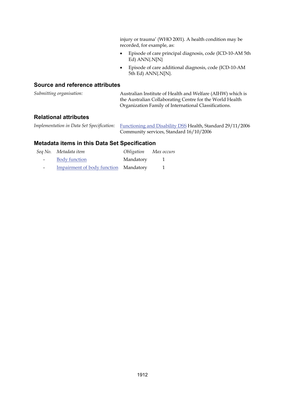injury or trauma' (WHO 2001). A health condition may be recorded, for example, as:

- Episode of care principal diagnosis, code (ICD-10-AM 5th Ed) ANN{.N[N}
- Episode of care additional diagnosis, code (ICD-10-AM 5th Ed) ANN{.N[N}.

#### **Source and reference attributes**

| Submitting organisation: | Australian Institute of Health and Welfare (AIHW) which is<br>the Australian Collaborating Centre for the World Health<br>Organization Family of International Classifications. |
|--------------------------|---------------------------------------------------------------------------------------------------------------------------------------------------------------------------------|
| Dolotional ottributog    |                                                                                                                                                                                 |

#### **Relational attributes**

| Implementation in Data Set Specification: Functioning and Disability DSS Health, Standard 29/11/2006 |
|------------------------------------------------------------------------------------------------------|
| Community services, Standard 16/10/2006                                                              |

|            | Seq No. Metadata item                 | Obligation | Max occurs |
|------------|---------------------------------------|------------|------------|
| $\sim 100$ | <b>Body function</b>                  | Mandatory  |            |
| $\sim$     | Impairment of body function Mandatory |            |            |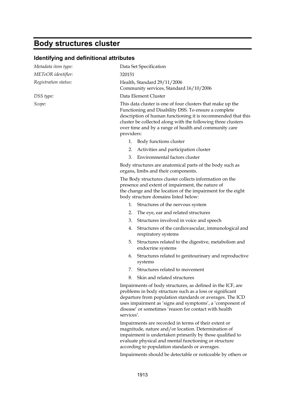## **Body structures cluster**

### **Identifying and definitional attributes**

| Metadata item type:  | Data Set Specification                                                 |                                                                                                                                                                                                                                                                                                             |
|----------------------|------------------------------------------------------------------------|-------------------------------------------------------------------------------------------------------------------------------------------------------------------------------------------------------------------------------------------------------------------------------------------------------------|
| METeOR identifier:   | 320151                                                                 |                                                                                                                                                                                                                                                                                                             |
| Registration status: | Health, Standard 29/11/2006<br>Community services, Standard 16/10/2006 |                                                                                                                                                                                                                                                                                                             |
| DSS type:            | Data Element Cluster                                                   |                                                                                                                                                                                                                                                                                                             |
| Scope:               | providers:                                                             | This data cluster is one of four clusters that make up the<br>Functioning and Disability DSS. To ensure a complete<br>description of human functioning it is recommended that this<br>cluster be collected along with the following three clusters<br>over time and by a range of health and community care |
|                      | 1.                                                                     | Body functions cluster                                                                                                                                                                                                                                                                                      |
|                      | 2.                                                                     | Activities and participation cluster                                                                                                                                                                                                                                                                        |
|                      | 3.                                                                     | Environmental factors cluster                                                                                                                                                                                                                                                                               |
|                      |                                                                        | Body structures are anatomical parts of the body such as<br>organs, limbs and their components.                                                                                                                                                                                                             |
|                      |                                                                        | The Body structures cluster collects information on the<br>presence and extent of impairment, the nature of<br>the change and the location of the impairment for the eight<br>body structure domains listed below:                                                                                          |
|                      |                                                                        | 1. Structures of the nervous system                                                                                                                                                                                                                                                                         |
|                      | 2.                                                                     | The eye, ear and related structures                                                                                                                                                                                                                                                                         |
|                      | 3.                                                                     | Structures involved in voice and speech                                                                                                                                                                                                                                                                     |
|                      | 4.                                                                     | Structures of the cardiovascular, immunological and<br>respiratory systems                                                                                                                                                                                                                                  |
|                      | 5.                                                                     | Structures related to the digestive, metabolism and<br>endocrine systems                                                                                                                                                                                                                                    |
|                      | 6.                                                                     | Structures related to genitourinary and reproductive<br>systems                                                                                                                                                                                                                                             |
|                      | 7.                                                                     | Structures related to movement                                                                                                                                                                                                                                                                              |
|                      | 8.                                                                     | Skin and related structures                                                                                                                                                                                                                                                                                 |
|                      | services'.                                                             | Impairments of body structures, as defined in the ICF, are<br>problems in body structure such as a loss or significant<br>departure from population standards or averages. The ICD<br>uses impairment as 'signs and symptoms', a 'component of<br>disease' or sometimes 'reason for contact with health     |
|                      |                                                                        | Impairments are recorded in terms of their extent or<br>magnitude, nature and/or location. Determination of<br>impairment is undertaken primarily by those qualified to                                                                                                                                     |

Impairments should be detectable or noticeable by others or

evaluate physical and mental functioning or structure according to population standards or averages.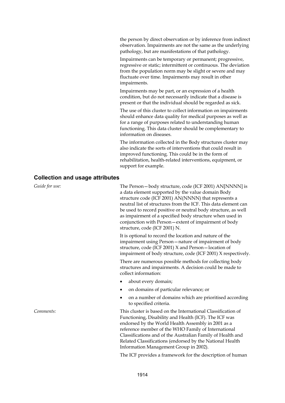the person by direct observation or by inference from indirect observation. Impairments are not the same as the underlying pathology, but are manifestations of that pathology.

Impairments can be temporary or permanent; progressive, regressive or static; intermittent or continuous. The deviation from the population norm may be slight or severe and may fluctuate over time. Impairments may result in other impairments.

Impairments may be part, or an expression of a health condition, but do not necessarily indicate that a disease is present or that the individual should be regarded as sick.

The use of this cluster to collect information on impairments should enhance data quality for medical purposes as well as for a range of purposes related to understanding human functioning. This data cluster should be complementary to information on diseases.

The information collected in the Body structures cluster may also indicate the sorts of interventions that could result in improved functioning. This could be in the form of rehabilitation, health-related interventions, equipment, or support for example.

#### **Collection and usage attributes**

| Guide for use: | The Person-body structure, code (ICF 2001) AN[NNNN] is<br>a data element supported by the value domain Body<br>structure code (ICF 2001) AN(NNNN) that represents a<br>neutral list of structures from the ICF. This data element can<br>be used to record positive or neutral body structure, as well<br>as impairment of a specified body structure when used in<br>conjunction with Person-extent of impairment of body<br>structure, code (ICF 2001) N. |  |  |
|----------------|-------------------------------------------------------------------------------------------------------------------------------------------------------------------------------------------------------------------------------------------------------------------------------------------------------------------------------------------------------------------------------------------------------------------------------------------------------------|--|--|
|                | It is optional to record the location and nature of the<br>impairment using Person-nature of impairment of body<br>structure, code (ICF 2001) X and Person-location of<br>impairment of body structure, code (ICF 2001) X respectively.                                                                                                                                                                                                                     |  |  |
|                | There are numerous possible methods for collecting body<br>structures and impairments. A decision could be made to<br>collect information:                                                                                                                                                                                                                                                                                                                  |  |  |
|                | about every domain;<br>٠                                                                                                                                                                                                                                                                                                                                                                                                                                    |  |  |
|                | on domains of particular relevance; or<br>٠                                                                                                                                                                                                                                                                                                                                                                                                                 |  |  |
|                | on a number of domains which are prioritised according<br>$\bullet$<br>to specified criteria.                                                                                                                                                                                                                                                                                                                                                               |  |  |
| Comments:      | This cluster is based on the International Classification of<br>Functioning, Disability and Health (ICF). The ICF was<br>endorsed by the World Health Assembly in 2001 as a<br>reference member of the WHO Family of International<br>Classifications and of the Australian Family of Health and<br>Related Classifications (endorsed by the National Health<br>Information Management Group in 2002).                                                      |  |  |

1914

The ICF provides a framework for the description of human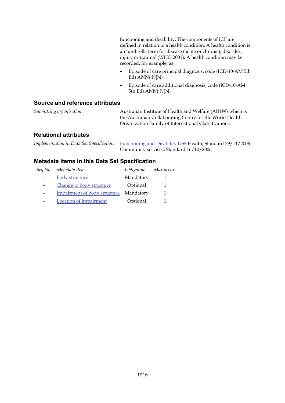functioning and disability. The components of ICF are defined in relation to a health condition. A health condition is an 'umbrella term for disease (acute or chronic), disorder, injury or trauma' (WHO 2001). A health condition may be recorded, for example, as:

- Episode of care principal diagnosis, code (ICD-10-AM 5th Ed) ANN{.N[N}
- Episode of care additional diagnosis, code (ICD-10-AM 5th Ed) ANN{.N[N}

### **Source and reference attributes**

| Submitting organisation: | Australian Institute of Health and Welfare (AIHW) which is |
|--------------------------|------------------------------------------------------------|
|                          | the Australian Collaborating Centre for the World Health   |
|                          | Organization Family of International Classifications.      |
|                          |                                                            |

### **Relational attributes**

*Implementation in Data Set Specification:* [Functioning and Disability DSS](#page-17-0) Health, Standard 29/11/2006 Community services, Standard 16/10/2006

| Seq No. | Metadata item                | Obligation | Max occurs |
|---------|------------------------------|------------|------------|
|         | <b>Body structure</b>        | Mandatory  |            |
|         | Change to body structure     | Optional   |            |
|         | Impairment of body structure | Mandatory  |            |
|         | Location of impairment       | Optional   |            |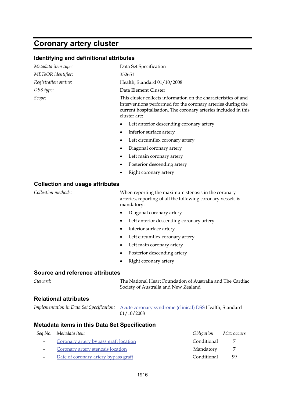## **Coronary artery cluster**

| Metadata item type:                           | Data Set Specification                                                                                                                                                                                             |  |  |  |
|-----------------------------------------------|--------------------------------------------------------------------------------------------------------------------------------------------------------------------------------------------------------------------|--|--|--|
| METeOR identifier:                            | 352651                                                                                                                                                                                                             |  |  |  |
| Registration status:                          | Health, Standard 01/10/2008                                                                                                                                                                                        |  |  |  |
| DSS type:                                     | Data Element Cluster                                                                                                                                                                                               |  |  |  |
| Scope:                                        | This cluster collects information on the characteristics of and<br>interventions performed for the coronary arteries during the<br>current hospitalisation. The coronary arteries included in this<br>cluster are: |  |  |  |
|                                               | Left anterior descending coronary artery<br>٠                                                                                                                                                                      |  |  |  |
|                                               | Inferior surface artery<br>٠                                                                                                                                                                                       |  |  |  |
|                                               | Left circumflex coronary artery<br>$\bullet$                                                                                                                                                                       |  |  |  |
|                                               | Diagonal coronary artery<br>٠                                                                                                                                                                                      |  |  |  |
|                                               | Left main coronary artery<br>٠                                                                                                                                                                                     |  |  |  |
|                                               | Posterior descending artery<br>$\bullet$                                                                                                                                                                           |  |  |  |
|                                               | Right coronary artery<br>٠                                                                                                                                                                                         |  |  |  |
|                                               |                                                                                                                                                                                                                    |  |  |  |
| <b>Collection and usage attributes</b>        |                                                                                                                                                                                                                    |  |  |  |
| Collection methods:                           | When reporting the maximum stenosis in the coronary<br>arteries, reporting of all the following coronary vessels is<br>mandatory:                                                                                  |  |  |  |
|                                               | Diagonal coronary artery<br>$\bullet$                                                                                                                                                                              |  |  |  |
|                                               | Left anterior descending coronary artery<br>$\bullet$                                                                                                                                                              |  |  |  |
|                                               | Inferior surface artery<br>٠                                                                                                                                                                                       |  |  |  |
|                                               | Left circumflex coronary artery<br>٠                                                                                                                                                                               |  |  |  |
|                                               | Left main coronary artery<br>$\bullet$                                                                                                                                                                             |  |  |  |
|                                               | Posterior descending artery<br>$\bullet$                                                                                                                                                                           |  |  |  |
|                                               | Right coronary artery<br>٠                                                                                                                                                                                         |  |  |  |
|                                               |                                                                                                                                                                                                                    |  |  |  |
| <b>Source and reference attributes</b>        |                                                                                                                                                                                                                    |  |  |  |
| Steward:                                      | The National Heart Foundation of Australia and The Cardiac<br>Society of Australia and New Zealand                                                                                                                 |  |  |  |
| <b>Relational attributes</b>                  |                                                                                                                                                                                                                    |  |  |  |
| Implementation in Data Set Specification:     | Acute coronary syndrome (clinical) DSS Health, Standard<br>01/10/2008                                                                                                                                              |  |  |  |
| Metadata items in this Data Set Specification |                                                                                                                                                                                                                    |  |  |  |
| Seq No. Metadata item                         | Obligation<br>Max occurs                                                                                                                                                                                           |  |  |  |

| Conditional |    |
|-------------|----|
| Mandatory   |    |
| Conditional | QQ |
|             |    |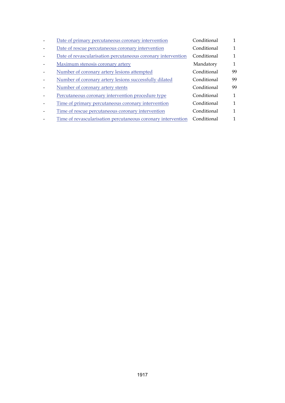| Date of primary percutaneous coronary intervention           | Conditional |    |
|--------------------------------------------------------------|-------------|----|
| Date of rescue percutaneous coronary intervention            | Conditional | 1  |
| Date of revascularisation percutaneous coronary intervention | Conditional |    |
| Maximum stenosis coronary artery                             | Mandatory   | 1  |
| Number of coronary artery lesions attempted                  | Conditional | 99 |
| Number of coronary artery lesions successfully dilated       | Conditional | 99 |
| Number of coronary artery stents                             | Conditional | 99 |
| Percutaneous coronary intervention procedure type            | Conditional | 1  |
| Time of primary percutaneous coronary intervention           | Conditional | 1  |
| Time of rescue percutaneous coronary intervention            | Conditional | 1  |
| Time of revascularisation percutaneous coronary intervention | Conditional |    |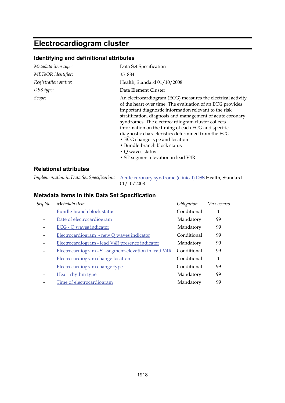## **Electrocardiogram cluster**

### **Identifying and definitional attributes**

| Metadata item type:  | Data Set Specification                                                                                                                                                                                                                                                                                                                                                                                                                                                                                                                        |  |
|----------------------|-----------------------------------------------------------------------------------------------------------------------------------------------------------------------------------------------------------------------------------------------------------------------------------------------------------------------------------------------------------------------------------------------------------------------------------------------------------------------------------------------------------------------------------------------|--|
| METeOR identifier:   | 351884                                                                                                                                                                                                                                                                                                                                                                                                                                                                                                                                        |  |
| Registration status: | Health, Standard 01/10/2008                                                                                                                                                                                                                                                                                                                                                                                                                                                                                                                   |  |
| DSS type:            | Data Element Cluster                                                                                                                                                                                                                                                                                                                                                                                                                                                                                                                          |  |
| Scope:               | An electrocardiogram (ECG) measures the electrical activity<br>of the heart over time. The evaluation of an ECG provides<br>important diagnostic information relevant to the risk<br>stratification, diagnosis and management of acute coronary<br>syndromes. The electrocardiogram cluster collects<br>information on the timing of each ECG and specific<br>diagnostic characteristics determined from the ECG:<br>• ECG change type and location<br>• Bundle-branch block status<br>• Q waves status<br>• ST-segment elevation in lead V4R |  |

### **Relational attributes**

*Implementation in Data Set Specification:* [Acute coronary syndrome \(clinical\) DSS](#page-1-0) Health, Standard  $01/10/2008$ 

| Seq No. | Metadata item                                        | Obligation  | Max occurs |
|---------|------------------------------------------------------|-------------|------------|
|         | <b>Bundle-branch block status</b>                    | Conditional | 1          |
|         | Date of electrocardiogram                            | Mandatory   | 99         |
|         | ECG - Q waves indicator                              | Mandatory   | 99         |
|         | Electrocardiogram - new Q waves indicator            | Conditional | 99         |
|         | Electrocardiogram - lead V4R presence indicator      | Mandatory   | 99         |
|         | Electrocardiogram - ST-segment-elevation in lead V4R | Conditional | 99         |
|         | Electrocardiogram change location                    | Conditional | 1          |
|         | Electrocardiogram change type                        | Conditional | 99         |
|         | Heart rhythm type                                    | Mandatory   | 99         |
|         | Time of electrocardiogram                            | Mandatory   | 99         |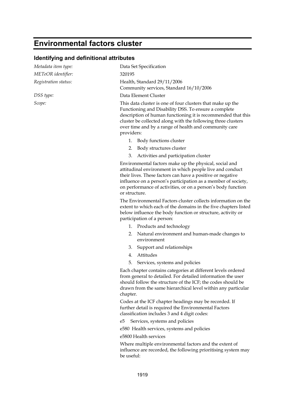## **Environmental factors cluster**

### **Identifying and definitional attributes**

| Metadata item type:  | Data Set Specification                                                                                                                                                                                                                                                                                                             |
|----------------------|------------------------------------------------------------------------------------------------------------------------------------------------------------------------------------------------------------------------------------------------------------------------------------------------------------------------------------|
| METeOR identifier:   | 320195                                                                                                                                                                                                                                                                                                                             |
| Registration status: | Health, Standard 29/11/2006<br>Community services, Standard 16/10/2006                                                                                                                                                                                                                                                             |
| DSS type:            | Data Element Cluster                                                                                                                                                                                                                                                                                                               |
| Scope:               | This data cluster is one of four clusters that make up the<br>Functioning and Disability DSS. To ensure a complete<br>description of human functioning it is recommended that this<br>cluster be collected along with the following three clusters<br>over time and by a range of health and community care<br>providers:          |
|                      | Body functions cluster<br>1.                                                                                                                                                                                                                                                                                                       |
|                      | 2. Body structures cluster                                                                                                                                                                                                                                                                                                         |
|                      | Activities and participation cluster<br>3.                                                                                                                                                                                                                                                                                         |
|                      | Environmental factors make up the physical, social and<br>attitudinal environment in which people live and conduct<br>their lives. These factors can have a positive or negative<br>influence on a person's participation as a member of society,<br>on performance of activities, or on a person's body function<br>or structure. |
|                      | The Environmental Factors cluster collects information on the<br>extent to which each of the domains in the five chapters listed<br>below influence the body function or structure, activity or<br>participation of a person:                                                                                                      |
|                      | 1. Products and technology                                                                                                                                                                                                                                                                                                         |
|                      | Natural environment and human-made changes to<br>2.<br>environment                                                                                                                                                                                                                                                                 |
|                      | Support and relationships<br>3.                                                                                                                                                                                                                                                                                                    |
|                      | Attitudes<br>4.                                                                                                                                                                                                                                                                                                                    |
|                      | 5.<br>Services, systems and policies                                                                                                                                                                                                                                                                                               |
|                      | Each chapter contains categories at different levels ordered<br>from general to detailed. For detailed information the user<br>should follow the structure of the ICF; the codes should be<br>drawn from the same hierarchical level within any particular<br>chapter.                                                             |
|                      | Codes at the ICF chapter headings may be recorded. If<br>further detail is required the Environmental Factors<br>classification includes 3 and 4 digit codes:                                                                                                                                                                      |
|                      | Services, systems and policies<br>e5                                                                                                                                                                                                                                                                                               |
|                      | e580 Health services, systems and policies                                                                                                                                                                                                                                                                                         |

e5800 Health services

Where multiple environmental factors and the extent of influence are recorded, the following prioritising system may be useful: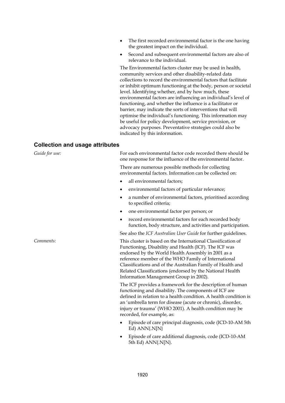- The first recorded environmental factor is the one having the greatest impact on the individual.
- Second and subsequent environmental factors are also of relevance to the individual.

The Environmental factors cluster may be used in health, community services and other disability-related data collections to record the environmental factors that facilitate or inhibit optimum functioning at the body, person or societal level. Identifying whether, and by how much, these environmental factors are influencing an individual's level of functioning, and whether the influence is a facilitator or barrier, may indicate the sorts of interventions that will optimise the individual's functioning. This information may be useful for policy development, service provision, or advocacy purposes. Preventative strategies could also be indicated by this information.

#### **Collection and usage attributes**

*Guide for use:* For each environmental factor code recorded there should be one response for the influence of the environmental factor.

> There are numerous possible methods for collecting environmental factors. Information can be collected on:

- all environmental factors;
- environmental factors of particular relevance;
- a number of environmental factors, prioritised according to specified criteria;
- one environmental factor per person; or
- record environmental factors for each recorded body function, body structure, and activities and participation.

See also the *ICF Australian User Guide* for further guidelines.

*Comments:* This cluster is based on the International Classification of Functioning, Disability and Health (ICF). The ICF was endorsed by the World Health Assembly in 2001 as a reference member of the WHO Family of International Classifications and of the Australian Family of Health and Related Classifications (endorsed by the National Health Information Management Group in 2002).

> The ICF provides a framework for the description of human functioning and disability. The components of ICF are defined in relation to a health condition. A health condition is an 'umbrella term for disease (acute or chronic), disorder, injury or trauma' (WHO 2001). A health condition may be recorded, for example, as:

- Episode of care principal diagnosis, code (ICD-10-AM 5th Ed) ANN{.N[N}
- Episode of care additional diagnosis, code (ICD-10-AM 5th Ed) ANN{.N[N}.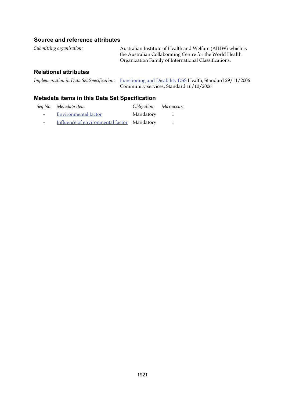#### **Source and reference attributes**

| Submitting organisation:     | Australian Institute of Health and Welfare (AIHW) which is |  |
|------------------------------|------------------------------------------------------------|--|
|                              | the Australian Collaborating Centre for the World Health   |  |
|                              | Organization Family of International Classifications.      |  |
| <b>Relational attributes</b> |                                                            |  |

*Implementation in Data Set Specification:* [Functioning and Disability DSS](#page-17-0) Health, Standard 29/11/2006 Community services, Standard 16/10/2006

|        | Seq No. Metadata item                       | Obligation Max occurs |  |
|--------|---------------------------------------------|-----------------------|--|
| $\sim$ | Environmental factor                        | Mandatory             |  |
| $\sim$ | Influence of environmental factor Mandatory |                       |  |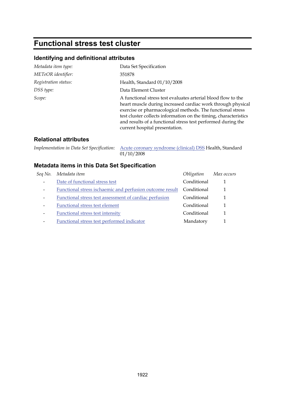# **Functional stress test cluster**

### **Identifying and definitional attributes**

| Metadata item type:  | Data Set Specification                                                                                                                                                                                                                                                                                                                                           |
|----------------------|------------------------------------------------------------------------------------------------------------------------------------------------------------------------------------------------------------------------------------------------------------------------------------------------------------------------------------------------------------------|
| METeOR identifier:   | 351878                                                                                                                                                                                                                                                                                                                                                           |
| Registration status: | Health, Standard 01/10/2008                                                                                                                                                                                                                                                                                                                                      |
| DSS type:            | Data Element Cluster                                                                                                                                                                                                                                                                                                                                             |
| Scope:               | A functional stress test evaluates arterial blood flow to the<br>heart muscle during increased cardiac work through physical<br>exercise or pharmacological methods. The functional stress<br>test cluster collects information on the timing, characteristics<br>and results of a functional stress test performed during the<br>current hospital presentation. |

### **Relational attributes**

*Implementation in Data Set Specification:* [Acute coronary syndrome \(clinical\) DSS](#page-1-0) Health, Standard 01/10/2008

| Seq No.                      | Metadata item                                             | Obligation  | Max occurs |
|------------------------------|-----------------------------------------------------------|-------------|------------|
| $\qquad \qquad \blacksquare$ | Date of functional stress test                            | Conditional |            |
| $\qquad \qquad \blacksquare$ | Functional stress is chaemic and perfusion outcome result | Conditional |            |
| $\qquad \qquad \blacksquare$ | Functional stress test assessment of cardiac perfusion    | Conditional |            |
| $\qquad \qquad$              | Functional stress test element                            | Conditional |            |
| $\qquad \qquad \blacksquare$ | Functional stress test intensity                          | Conditional |            |
| $\qquad \qquad \blacksquare$ | Functional stress test performed indicator                | Mandatory   |            |
|                              |                                                           |             |            |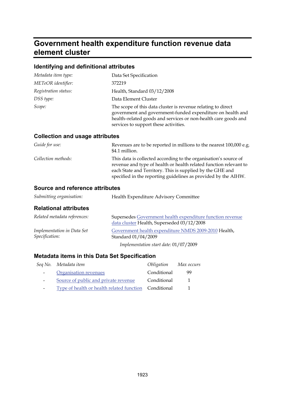# **Government health expenditure function revenue data element cluster**

## **Identifying and definitional attributes**

| Metadata item type:  | Data Set Specification                                                                                                                                                                                                                |
|----------------------|---------------------------------------------------------------------------------------------------------------------------------------------------------------------------------------------------------------------------------------|
| METeOR identifier:   | 372219                                                                                                                                                                                                                                |
| Registration status: | Health, Standard 03/12/2008                                                                                                                                                                                                           |
| DSS type:            | Data Element Cluster                                                                                                                                                                                                                  |
| Scope:               | The scope of this data cluster is revenue relating to direct<br>government and government-funded expenditure on health and<br>health-related goods and services or non-health care goods and<br>services to support these activities. |

#### **Collection and usage attributes**

| Guide for use:      | Revenues are to be reported in millions to the nearest 100,000 e.g.<br>\$4.1 million.                                                                                                                                                                                |
|---------------------|----------------------------------------------------------------------------------------------------------------------------------------------------------------------------------------------------------------------------------------------------------------------|
| Collection methods: | This data is collected according to the organisation's source of<br>revenue and type of health or health related function relevant to<br>each State and Territory. This is supplied by the GHE and<br>specified in the reporting guidelines as provided by the AIHW. |

# **Source and reference attributes**

| Submitting organisation:                     | Health Expenditure Advisory Committee                                                                   |  |
|----------------------------------------------|---------------------------------------------------------------------------------------------------------|--|
| <b>Relational attributes</b>                 |                                                                                                         |  |
| Related metadata references:                 | Supersedes Government health expenditure function revenue<br>data cluster Health, Superseded 03/12/2008 |  |
| Implementation in Data Set<br>Specification: | Government health expenditure NMDS 2009-2010 Health,<br>Standard 01/04/2009                             |  |
|                                              |                                                                                                         |  |

*Implementation start date:* 01/07/2009

|                          | Seq No. Metadata item                                 | Obligation Max occurs |              |
|--------------------------|-------------------------------------------------------|-----------------------|--------------|
| $\sim 100$               | Organisation revenues                                 | Conditional           | 99           |
| $\overline{\phantom{a}}$ | Source of public and private revenue                  | Conditional           | $\mathbf{1}$ |
| $\sim$ 100 $\mu$         | Type of health or health related function Conditional |                       |              |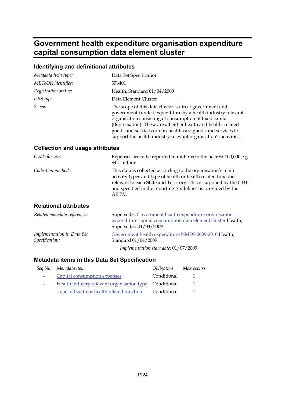# **Government health expenditure organisation expenditure capital consumption data element cluster**

# **Identifying and definitional attributes**

| Metadata item type:  | Data Set Specification                                                                                                                                                                                                                                                                                                                                                                |
|----------------------|---------------------------------------------------------------------------------------------------------------------------------------------------------------------------------------------------------------------------------------------------------------------------------------------------------------------------------------------------------------------------------------|
| METeOR identifier:   | 376401                                                                                                                                                                                                                                                                                                                                                                                |
| Registration status: | Health, Standard 01/04/2009                                                                                                                                                                                                                                                                                                                                                           |
| DSS type:            | Data Element Cluster                                                                                                                                                                                                                                                                                                                                                                  |
| Scope:               | The scope of this data cluster is direct government and<br>government-funded expenditure by a health industry relevant<br>organisation consisting of consumption of fixed capital<br>(depreciation). These are all either health and health-related<br>goods and services or non-health care goods and services to<br>support the health industry relevant organisation's activities. |

### **Collection and usage attributes**

| Guide for use:      | Expenses are to be reported in millions to the nearest 100,000 e.g.<br>\$4.1 million.                                                                                                                                                                                     |
|---------------------|---------------------------------------------------------------------------------------------------------------------------------------------------------------------------------------------------------------------------------------------------------------------------|
| Collection methods: | This data is collected according to the organisation's main<br>activity types and type of health or health related function<br>relevant to each State and Territory. This is supplied by the GHE<br>and specified in the reporting guidelines as provided by the<br>AIHW. |

#### **Relational attributes**

| Related metadata references:                 | Supersedes Government health expenditure organisation<br>expenditure capital consumption data element cluster Health,<br>Superseded 01/04/2009 |  |
|----------------------------------------------|------------------------------------------------------------------------------------------------------------------------------------------------|--|
| Implementation in Data Set<br>Specification: | Government health expenditure NMDS 2009-2010 Health,<br>Standard 01/04/2009                                                                    |  |
|                                              | Implementation start date: 01/07/2009                                                                                                          |  |

|                          | Seq No. Metadata item                                  | Obligation  | Max occurs |
|--------------------------|--------------------------------------------------------|-------------|------------|
| $\sim$ 100 $\mu$         | Capital consumption expenses                           | Conditional | -1         |
| $\overline{\phantom{0}}$ | Health industry relevant organisation type Conditional |             | -1         |
| -                        | Type of health or health related function              | Conditional |            |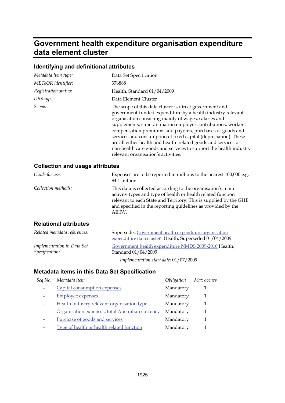# **Government health expenditure organisation expenditure data element cluster**

# **Identifying and definitional attributes**

| Metadata item type:  | Data Set Specification                                                                                                                                                                                                                                                                                                                                                                                                                                                                                                                                       |
|----------------------|--------------------------------------------------------------------------------------------------------------------------------------------------------------------------------------------------------------------------------------------------------------------------------------------------------------------------------------------------------------------------------------------------------------------------------------------------------------------------------------------------------------------------------------------------------------|
| METeOR identifier:   | 376888                                                                                                                                                                                                                                                                                                                                                                                                                                                                                                                                                       |
| Registration status: | Health, Standard 01/04/2009                                                                                                                                                                                                                                                                                                                                                                                                                                                                                                                                  |
| DSS type:            | Data Element Cluster                                                                                                                                                                                                                                                                                                                                                                                                                                                                                                                                         |
| Scope:               | The scope of this data cluster is direct government and<br>government-funded expenditure by a health industry relevant<br>organisation consisting mainly of wages, salaries and<br>supplements, superannuation employer contributions, workers<br>compensation premiums and payouts, purchases of goods and<br>services and consumption of fixed capital (depreciation). These<br>are all either health and health-related goods and services or<br>non-health care goods and services to support the health industry<br>relevant organisation's activities. |

### **Collection and usage attributes**

| Guide for use:               | Expenses are to be reported in millions to the nearest 100,000 e.g.<br>\$4.1 million.                                                                                                                                                                                     |
|------------------------------|---------------------------------------------------------------------------------------------------------------------------------------------------------------------------------------------------------------------------------------------------------------------------|
| Collection methods:          | This data is collected according to the organisation's main<br>activity types and type of health or health related function<br>relevant to each State and Territory. This is supplied by the GHE<br>and specified in the reporting guidelines as provided by the<br>AIHW. |
| <b>Dolational attributos</b> |                                                                                                                                                                                                                                                                           |

#### **Relational attributes**

| Related metadata references:                 | Supersedes Government health expenditure organisation<br>expenditure data cluster Health, Superseded 01/04/2009 |  |
|----------------------------------------------|-----------------------------------------------------------------------------------------------------------------|--|
| Implementation in Data Set<br>Specification: | Government health expenditure NMDS 2009-2010 Health,<br>Standard 01/04/2009                                     |  |
|                                              | Implementation start date: $01/07/2009$                                                                         |  |

| Seq No. Metadata item                            | Obligation | Max occurs |
|--------------------------------------------------|------------|------------|
| Capital consumption expenses                     | Mandatory  |            |
| <b>Employee expenses</b>                         | Mandatory  |            |
| Health industry relevant organisation type       | Mandatory  |            |
| Organisation expenses, total Australian currency | Mandatory  |            |
| Purchase of goods and services                   | Mandatory  |            |
| Type of health or health related function        | Mandatory  |            |
|                                                  |            |            |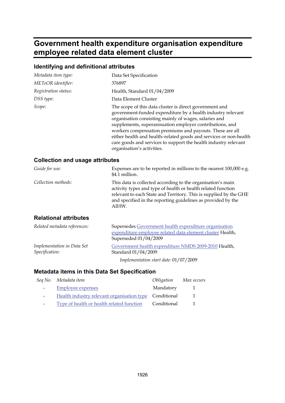# **Government health expenditure organisation expenditure employee related data element cluster**

## **Identifying and definitional attributes**

| Metadata item type:  | Data Set Specification                                                                                                                                                                                                                                                                                                                                                                                                                                                       |
|----------------------|------------------------------------------------------------------------------------------------------------------------------------------------------------------------------------------------------------------------------------------------------------------------------------------------------------------------------------------------------------------------------------------------------------------------------------------------------------------------------|
| METeOR identifier:   | 376897                                                                                                                                                                                                                                                                                                                                                                                                                                                                       |
| Registration status: | Health, Standard 01/04/2009                                                                                                                                                                                                                                                                                                                                                                                                                                                  |
| DSS type:            | Data Element Cluster                                                                                                                                                                                                                                                                                                                                                                                                                                                         |
| Scope:               | The scope of this data cluster is direct government and<br>government-funded expenditure by a health industry relevant<br>organisation consisting mainly of wages, salaries and<br>supplements, superannuation employer contributions, and<br>workers compensation premiums and payouts. These are all<br>either health and health-related goods and services or non-health<br>care goods and services to support the health industry relevant<br>organisation's activities. |

#### **Collection and usage attributes**

| Guide for use:               | Expenses are to be reported in millions to the nearest 100,000 e.g.<br>\$4.1 million.                                                                                                                                                                                     |
|------------------------------|---------------------------------------------------------------------------------------------------------------------------------------------------------------------------------------------------------------------------------------------------------------------------|
| Collection methods:          | This data is collected according to the organisation's main<br>activity types and type of health or health related function<br>relevant to each State and Territory. This is supplied by the GHE<br>and specified in the reporting guidelines as provided by the<br>AIHW. |
| <b>Relational attributes</b> |                                                                                                                                                                                                                                                                           |

| Related metadata references:                 | Supersedes Government health expenditure organisation<br>expenditure employee related data element cluster Health,<br>Superseded 01/04/2009 |
|----------------------------------------------|---------------------------------------------------------------------------------------------------------------------------------------------|
| Implementation in Data Set<br>Specification: | Government health expenditure NMDS 2009-2010 Health,<br>Standard 01/04/2009                                                                 |
|                                              | Implementation start date: $01/07/2009$                                                                                                     |

|            | Seq No. Metadata item                                  | Obligation  | Max occurs   |
|------------|--------------------------------------------------------|-------------|--------------|
| $\sim 100$ | <b>Employee expenses</b>                               | Mandatory   | $\mathbf{1}$ |
|            | Health industry relevant organisation type Conditional |             | -1           |
|            | Type of health or health related function              | Conditional |              |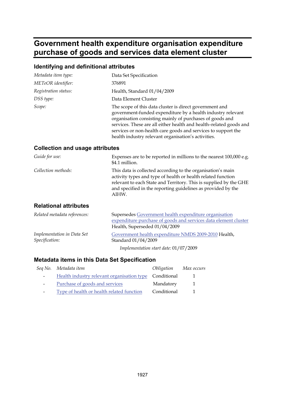# **Government health expenditure organisation expenditure purchase of goods and services data element cluster**

# **Identifying and definitional attributes**

| Metadata item type:  | Data Set Specification                                                                                                                                                                                                                                                                                                                                                           |
|----------------------|----------------------------------------------------------------------------------------------------------------------------------------------------------------------------------------------------------------------------------------------------------------------------------------------------------------------------------------------------------------------------------|
| METeOR identifier:   | 376891                                                                                                                                                                                                                                                                                                                                                                           |
| Registration status: | Health, Standard 01/04/2009                                                                                                                                                                                                                                                                                                                                                      |
| DSS type:            | Data Element Cluster                                                                                                                                                                                                                                                                                                                                                             |
| Scope:               | The scope of this data cluster is direct government and<br>government-funded expenditure by a health industry relevant<br>organisation consisting mainly of purchases of goods and<br>services. These are all either health and health-related goods and<br>services or non-health care goods and services to support the<br>health industry relevant organisation's activities. |

#### **Collection and usage attributes**

| Guide for use:      | Expenses are to be reported in millions to the nearest 100,000 e.g.<br>\$4.1 million.                                                                                                                                                                                     |
|---------------------|---------------------------------------------------------------------------------------------------------------------------------------------------------------------------------------------------------------------------------------------------------------------------|
| Collection methods: | This data is collected according to the organisation's main<br>activity types and type of health or health related function<br>relevant to each State and Territory. This is supplied by the GHE<br>and specified in the reporting guidelines as provided by the<br>AIHW. |

#### **Relational attributes**

| Related metadata references:                 | Supersedes Government health expenditure organisation<br>expenditure purchase of goods and services data element cluster<br>Health, Superseded 01/04/2009 |  |
|----------------------------------------------|-----------------------------------------------------------------------------------------------------------------------------------------------------------|--|
| Implementation in Data Set<br>Specification: | Government health expenditure NMDS 2009-2010 Health,<br>Standard 01/04/2009                                                                               |  |
|                                              | Implementation start date: 01/07/2009                                                                                                                     |  |

|                          | Seq No. Metadata item                                  | <i>Obligation</i> | Max occurs |
|--------------------------|--------------------------------------------------------|-------------------|------------|
| $\sim$                   | Health industry relevant organisation type Conditional |                   |            |
| $\overline{\phantom{0}}$ | Purchase of goods and services                         | Mandatory         | -1         |
| -                        | Type of health or health related function              | Conditional       |            |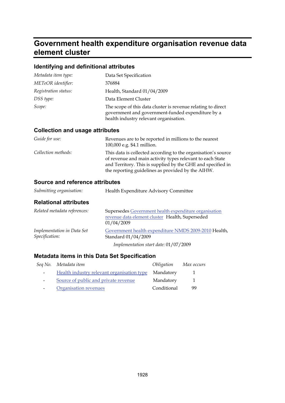# **Government health expenditure organisation revenue data element cluster**

## **Identifying and definitional attributes**

| Metadata item type:  | Data Set Specification                                                                                                                                      |
|----------------------|-------------------------------------------------------------------------------------------------------------------------------------------------------------|
| METeOR identifier:   | 376884                                                                                                                                                      |
| Registration status: | Health, Standard 01/04/2009                                                                                                                                 |
| DSS type:            | Data Element Cluster                                                                                                                                        |
| Scope:               | The scope of this data cluster is revenue relating to direct<br>government and government-funded expenditure by a<br>health industry relevant organisation. |

#### **Collection and usage attributes**

| Guide for use:      | Revenues are to be reported in millions to the nearest<br>100,000 e.g. \$4.1 million.                                                                                                                                                          |
|---------------------|------------------------------------------------------------------------------------------------------------------------------------------------------------------------------------------------------------------------------------------------|
| Collection methods: | This data is collected according to the organisation's source<br>of revenue and main activity types relevant to each State<br>and Territory. This is supplied by the GHE and specified in<br>the reporting guidelines as provided by the AIHW. |

#### **Source and reference attributes**

| Submitting organisation:                     | Health Expenditure Advisory Committee                                                                                  |
|----------------------------------------------|------------------------------------------------------------------------------------------------------------------------|
| <b>Relational attributes</b>                 |                                                                                                                        |
| Related metadata references:                 | Supersedes Government health expenditure organisation<br>revenue data element cluster Health, Superseded<br>01/04/2009 |
| Implementation in Data Set<br>Specification: | Government health expenditure NMDS 2009-2010 Health,<br>Standard 01/04/2009                                            |
|                                              | Implementation start date: 01/07/2009                                                                                  |

|   | Seq No. Metadata item                      | <i>Obligation</i> | Max occurs |
|---|--------------------------------------------|-------------------|------------|
|   | Health industry relevant organisation type | Mandatory         |            |
|   | Source of public and private revenue       | Mandatory         | 1          |
| - | Organisation revenues                      | Conditional       | 99         |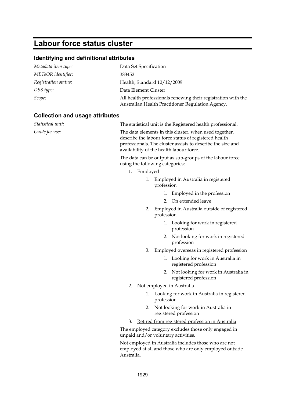# **Labour force status cluster**

# **Identifying and definitional attributes**

| Metadata item type:  | Data Set Specification                                                                                             |
|----------------------|--------------------------------------------------------------------------------------------------------------------|
| METeOR identifier:   | 383452                                                                                                             |
| Registration status: | Health, Standard 10/12/2009                                                                                        |
| DSS type:            | Data Element Cluster                                                                                               |
| Scope:               | All health professionals renewing their registration with the<br>Australian Health Practitioner Regulation Agency. |

# **Collection and usage attributes**

| Statistical unit: | The statistical unit is the Registered health professional.                                                                                                                                                                |
|-------------------|----------------------------------------------------------------------------------------------------------------------------------------------------------------------------------------------------------------------------|
| Guide for use:    | The data elements in this cluster, when used together,<br>describe the labour force status of registered health<br>professionals. The cluster assists to describe the size and<br>availability of the health labour force. |
|                   | The data can be output as sub-groups of the labour force<br>using the following categories:                                                                                                                                |
|                   | 1. Employed                                                                                                                                                                                                                |
|                   | Employed in Australia in registered<br>1.<br>profession                                                                                                                                                                    |
|                   | Employed in the profession<br>1.                                                                                                                                                                                           |
|                   | 2. On extended leave                                                                                                                                                                                                       |
|                   | Employed in Australia outside of registered<br>2.<br>profession                                                                                                                                                            |
|                   | 1. Looking for work in registered<br>profession                                                                                                                                                                            |
|                   | 2. Not looking for work in registered<br>profession                                                                                                                                                                        |
|                   | 3.<br>Employed overseas in registered profession                                                                                                                                                                           |
|                   | 1. Looking for work in Australia in<br>registered profession                                                                                                                                                               |
|                   | Not looking for work in Australia in<br>2.<br>registered profession                                                                                                                                                        |
|                   | Not employed in Australia<br>2.                                                                                                                                                                                            |
|                   | Looking for work in Australia in registered<br>1.<br>profession                                                                                                                                                            |
|                   | Not looking for work in Australia in<br>2.<br>registered profession                                                                                                                                                        |
|                   | Retired from registered profession in Australia<br>3.                                                                                                                                                                      |
|                   | The employed category excludes those only engaged in<br>unpaid and/or voluntary activities.                                                                                                                                |
|                   | Not employed in Australia includes those who are not<br>employed at all and those who are only employed outside<br>Australia.                                                                                              |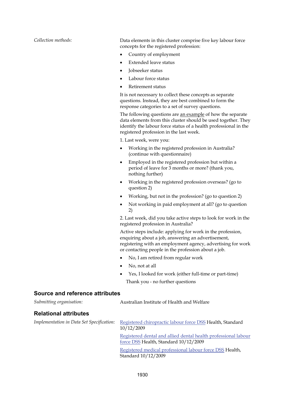*Collection methods:* Data elements in this cluster comprise five key labour force concepts for the registered profession:

- Country of employment
- Extended leave status
- Jobseeker status
- Labour force status
- Retirement status

It is not necessary to collect these concepts as separate questions. Instead, they are best combined to form the response categories to a set of survey questions.

The following questions are an example of how the separate data elements from this cluster should be used together. They identify the labour force status of a health professional in the registered profession in the last week.

1. Last week, were you:

- Working in the registered profession in Australia? (continue with questionnaire)
- Employed in the registered profession but within a period of leave for 3 months or more? (thank you, nothing further)
- Working in the registered profession overseas? (go to question 2)
- Working, but not in the profession? (go to question 2)
- Not working in paid employment at all? (go to question 2)

2. Last week, did you take active steps to look for work in the registered profession in Australia?

Active steps include: applying for work in the profession, enquiring about a job, answering an advertisement, registering with an employment agency, advertising for work or contacting people in the profession about a job.

- No, I am retired from regular work
- No, not at all
- Yes, I looked for work (either full-time or part-time)

Thank you - no further questions

#### **Source and reference attributes**

| Registered chiropractic labour force DSS Health, Standard      |
|----------------------------------------------------------------|
| Registered dental and allied dental health professional labour |
|                                                                |
| Registered medical professional labour force DSS Health,       |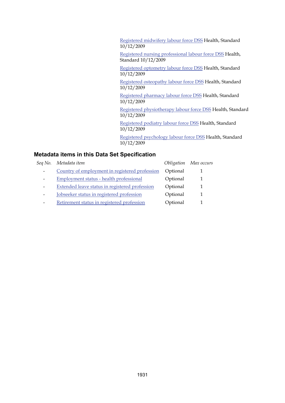[Registered midwifery labour force DSS](#page-38-0) Health, Standard 10/12/2009 [Registered nursing professional labour force DSS](#page-40-0) Health, Standard 10/12/2009 [Registered optometry labour force DSS](#page-42-0) Health, Standard 10/12/2009 [Registered osteopathy labour force DSS](#page-44-0) Health, Standard 10/12/2009 [Registered pharmacy labour force DSS](#page-46-0) Health, Standard 10/12/2009 [Registered physiotherapy labour force DSS](#page-48-0) Health, Standard 10/12/2009 [Registered podiatry labour force DSS](#page-50-0) Health, Standard 10/12/2009 [Registered psychology labour force DSS](#page-52-0) Health, Standard 10/12/2009

|                 | Seq No. Metadata item                          |          | Obligation Max occurs |
|-----------------|------------------------------------------------|----------|-----------------------|
|                 | Country of employment in registered profession | Optional |                       |
|                 | Employment status - health professional        | Optional |                       |
|                 | Extended leave status in registered profession | Optional |                       |
| $\qquad \qquad$ | Jobseeker status in registered profession      | Optional |                       |
|                 | Retirement status in registered profession     | Optional |                       |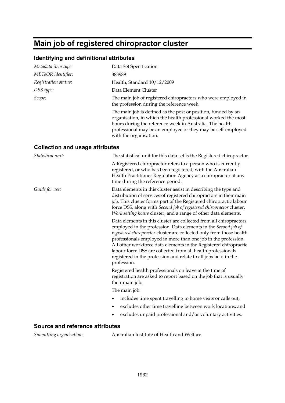# **Main job of registered chiropractor cluster**

#### **Identifying and definitional attributes**

| Metadata item type:                    | Data Set Specification                                                                                                                                                                                                                                                                                                                                                                                                                                                                               |
|----------------------------------------|------------------------------------------------------------------------------------------------------------------------------------------------------------------------------------------------------------------------------------------------------------------------------------------------------------------------------------------------------------------------------------------------------------------------------------------------------------------------------------------------------|
| METeOR identifier:                     | 383989                                                                                                                                                                                                                                                                                                                                                                                                                                                                                               |
| Registration status:                   | Health, Standard 10/12/2009                                                                                                                                                                                                                                                                                                                                                                                                                                                                          |
| DSS type:                              | Data Element Cluster                                                                                                                                                                                                                                                                                                                                                                                                                                                                                 |
| Scope:                                 | The main job of registered chiropractors who were employed in<br>the profession during the reference week.                                                                                                                                                                                                                                                                                                                                                                                           |
|                                        | The main job is defined as the post or position, funded by an<br>organisation, in which the health professional worked the most<br>hours during the reference week in Australia. The health<br>professional may be an employee or they may be self-employed<br>with the organisation.                                                                                                                                                                                                                |
| <b>Collection and usage attributes</b> |                                                                                                                                                                                                                                                                                                                                                                                                                                                                                                      |
| Statistical unit:                      | The statistical unit for this data set is the Registered chiropractor.                                                                                                                                                                                                                                                                                                                                                                                                                               |
|                                        | A Registered chiropractor refers to a person who is currently<br>registered, or who has been registered, with the Australian<br>Health Practitioner Regulation Agency as a chiropractor at any<br>time during the reference period.                                                                                                                                                                                                                                                                  |
| Guide for use:                         | Data elements in this cluster assist in describing the type and<br>distribution of services of registered chiropractors in their main<br>job. This cluster forms part of the Registered chiropractic labour<br>force DSS, along with Second job of registered chiropractor cluster,<br><i>Work setting hours cluster, and a range of other data elements.</i>                                                                                                                                        |
|                                        | Data elements in this cluster are collected from all chiropractors<br>employed in the profession. Data elements in the Second job of<br>registered chiropractor cluster are collected only from those health<br>professionals employed in more than one job in the profession.<br>All other workforce data elements in the Registered chiropractic<br>labour force DSS are collected from all health professionals<br>registered in the profession and relate to all jobs held in the<br>profession. |
|                                        | Registered health professionals on leave at the time of<br>registration are asked to report based on the job that is usually<br>their main job.                                                                                                                                                                                                                                                                                                                                                      |
|                                        | The main job:                                                                                                                                                                                                                                                                                                                                                                                                                                                                                        |
|                                        | includes time spent travelling to home visits or calls out;                                                                                                                                                                                                                                                                                                                                                                                                                                          |
|                                        | excludes other time travelling between work locations; and<br>٠                                                                                                                                                                                                                                                                                                                                                                                                                                      |
|                                        | excludes unpaid professional and/or voluntary activities.                                                                                                                                                                                                                                                                                                                                                                                                                                            |
|                                        |                                                                                                                                                                                                                                                                                                                                                                                                                                                                                                      |

#### **Source and reference attributes**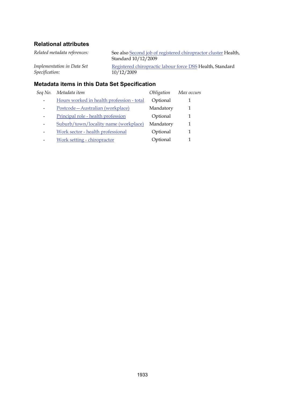| <b>Metadata items in this Data Set Specification</b> |                                                                                       |  |
|------------------------------------------------------|---------------------------------------------------------------------------------------|--|
| Implementation in Data Set<br>Specification:         | Registered chiropractic labour force DSS Health, Standard<br>10/12/2009               |  |
| Related metadata references:                         | See also Second job of registered chiropractor cluster Health,<br>Standard 10/12/2009 |  |

# *Seq No. Metadata item Obligation Max occurs* - Hours worked in health profession - total Optional 1 - Postcode—Australian (workplace) Mandatory 1 - Principal role - health profession **Optional** 1 - Suburb/town/locality name (workplace) Mandatory 1 - Work sector - health professional Optional 1 - Work setting - chiropractor Cptional 1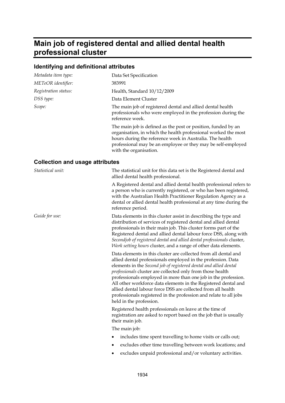# **Main job of registered dental and allied dental health professional cluster**

# **Identifying and definitional attributes**

| Metadata item type:                    | Data Set Specification                                                                                                                                                                                                                                                                                                                                                                                                                                                                                                                                                 |
|----------------------------------------|------------------------------------------------------------------------------------------------------------------------------------------------------------------------------------------------------------------------------------------------------------------------------------------------------------------------------------------------------------------------------------------------------------------------------------------------------------------------------------------------------------------------------------------------------------------------|
| METeOR identifier:                     | 383991                                                                                                                                                                                                                                                                                                                                                                                                                                                                                                                                                                 |
| Registration status:                   | Health, Standard 10/12/2009                                                                                                                                                                                                                                                                                                                                                                                                                                                                                                                                            |
| DSS type:                              | Data Element Cluster                                                                                                                                                                                                                                                                                                                                                                                                                                                                                                                                                   |
| Scope:                                 | The main job of registered dental and allied dental health<br>professionals who were employed in the profession during the<br>reference week.                                                                                                                                                                                                                                                                                                                                                                                                                          |
|                                        | The main job is defined as the post or position, funded by an<br>organisation, in which the health professional worked the most<br>hours during the reference week in Australia. The health<br>professional may be an employee or they may be self-employed<br>with the organisation.                                                                                                                                                                                                                                                                                  |
| <b>Collection and usage attributes</b> |                                                                                                                                                                                                                                                                                                                                                                                                                                                                                                                                                                        |
| Statistical unit:                      | The statistical unit for this data set is the Registered dental and<br>allied dental health professional.                                                                                                                                                                                                                                                                                                                                                                                                                                                              |
|                                        | A Registered dental and allied dental health professional refers to<br>a person who is currently registered, or who has been registered,<br>with the Australian Health Practitioner Regulation Agency as a<br>dental or allied dental health professional at any time during the<br>reference period.                                                                                                                                                                                                                                                                  |
| Guide for use:                         | Data elements in this cluster assist in describing the type and<br>distribution of services of registered dental and allied dental<br>professionals in their main job. This cluster forms part of the<br>Registered dental and allied dental labour force DSS, along with<br>Secondjob of registered dental and allied dental professionals cluster,<br>Work setting hours cluster, and a range of other data elements.                                                                                                                                                |
|                                        | Data elements in this cluster are collected from all dental and<br>allied dental professionals employed in the profession. Data<br>elements in the Second job of registered dental and allied dental<br>professionals cluster are collected only from those health<br>professionals employed in more than one job in the profession.<br>All other workforce data elements in the Registered dental and<br>allied dental labour force DSS are collected from all health<br>professionals registered in the profession and relate to all jobs<br>held in the profession. |
|                                        | Registered health professionals on leave at the time of<br>registration are asked to report based on the job that is usually<br>their main job.                                                                                                                                                                                                                                                                                                                                                                                                                        |
|                                        | The main job:                                                                                                                                                                                                                                                                                                                                                                                                                                                                                                                                                          |
|                                        | includes time spent travelling to home visits or calls out;                                                                                                                                                                                                                                                                                                                                                                                                                                                                                                            |
|                                        | excludes other time travelling between work locations; and                                                                                                                                                                                                                                                                                                                                                                                                                                                                                                             |

excludes unpaid professional and/or voluntary activities.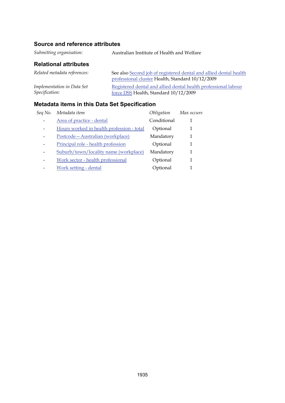# **Source and reference attributes**

*Submitting organisation:* Australian Institute of Health and Welfare

## **Relational attributes**

| Related metadata references: | See also Second job of registered dental and allied dental health |
|------------------------------|-------------------------------------------------------------------|
|                              | professional cluster Health, Standard 10/12/2009                  |
| Implementation in Data Set   | Registered dental and allied dental health professional labour    |
| <i>Specification:</i>        | force DSS Health, Standard 10/12/2009                             |

| Seq No. | Metadata item                             | Obligation  | Max occurs |
|---------|-------------------------------------------|-------------|------------|
|         | Area of practice - dental                 | Conditional |            |
|         | Hours worked in health profession - total | Optional    | 1          |
|         | Postcode - Australian (workplace)         | Mandatory   | 1          |
|         | Principal role - health profession        | Optional    |            |
|         | Suburb/town/locality name (workplace)     | Mandatory   | 1          |
| -       | Work sector - health professional         | Optional    | 1          |
|         | Work setting - dental                     | Optional    |            |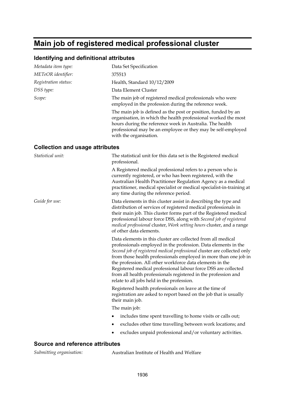# **Main job of registered medical professional cluster**

#### **Identifying and definitional attributes**

| Data Set Specification                                                                                                                                                                                                                                                                                                                                                                                                                                                                                                       |
|------------------------------------------------------------------------------------------------------------------------------------------------------------------------------------------------------------------------------------------------------------------------------------------------------------------------------------------------------------------------------------------------------------------------------------------------------------------------------------------------------------------------------|
| 375513                                                                                                                                                                                                                                                                                                                                                                                                                                                                                                                       |
| Health, Standard 10/12/2009                                                                                                                                                                                                                                                                                                                                                                                                                                                                                                  |
| Data Element Cluster                                                                                                                                                                                                                                                                                                                                                                                                                                                                                                         |
| The main job of registered medical professionals who were<br>employed in the profession during the reference week.                                                                                                                                                                                                                                                                                                                                                                                                           |
| The main job is defined as the post or position, funded by an<br>organisation, in which the health professional worked the most<br>hours during the reference week in Australia. The health<br>professional may be an employee or they may be self-employed<br>with the organisation.                                                                                                                                                                                                                                        |
| <b>Collection and usage attributes</b>                                                                                                                                                                                                                                                                                                                                                                                                                                                                                       |
| The statistical unit for this data set is the Registered medical<br>professional.                                                                                                                                                                                                                                                                                                                                                                                                                                            |
| A Registered medical professional refers to a person who is<br>currently registered, or who has been registered, with the<br>Australian Health Practitioner Regulation Agency as a medical<br>practitioner, medical specialist or medical specialist-in-training at<br>any time during the reference period.                                                                                                                                                                                                                 |
| Data elements in this cluster assist in describing the type and<br>distribution of services of registered medical professionals in<br>their main job. This cluster forms part of the Registered medical<br>professional labour force DSS, along with Second job of registered<br><i>medical professional cluster, Work setting hours cluster, and a range</i><br>of other data elements.                                                                                                                                     |
| Data elements in this cluster are collected from all medical<br>professionals employed in the profession. Data elements in the<br>Second job of registered medical professional cluster are collected only<br>from those health professionals employed in more than one job in<br>the profession. All other workforce data elements in the<br>Registered medical professional labour force DSS are collected<br>from all health professionals registered in the profession and<br>relate to all jobs held in the profession. |
| Registered health professionals on leave at the time of<br>registration are asked to report based on the job that is usually<br>their main job.                                                                                                                                                                                                                                                                                                                                                                              |
| The main job:                                                                                                                                                                                                                                                                                                                                                                                                                                                                                                                |
| includes time spent travelling to home visits or calls out;                                                                                                                                                                                                                                                                                                                                                                                                                                                                  |
| excludes other time travelling between work locations; and<br>٠                                                                                                                                                                                                                                                                                                                                                                                                                                                              |
| excludes unpaid professional and/or voluntary activities.                                                                                                                                                                                                                                                                                                                                                                                                                                                                    |
|                                                                                                                                                                                                                                                                                                                                                                                                                                                                                                                              |

### **Source and reference attributes**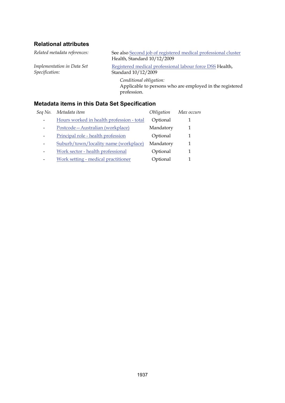*Implementation in Data Set Specification:*

*Related metadata references:* See also [Second job of registered medical professional cluster](#page-110-0) Health, Standard 10/12/2009

> [Registered medical professional labour force DSS](#page-36-0) Health, Standard 10/12/2009

*Conditional obligation:* Applicable to persons who are employed in the registered profession.

| Seq No. | Metadata item                             | Obligation | Max occurs |
|---------|-------------------------------------------|------------|------------|
|         | Hours worked in health profession - total | Optional   |            |
|         | Postcode-Australian (workplace)           | Mandatory  |            |
|         | Principal role - health profession        | Optional   |            |
|         | Suburb/town/locality name (workplace)     | Mandatory  |            |
|         | Work sector - health professional         | Optional   |            |
|         | Work setting - medical practitioner       | Optional   |            |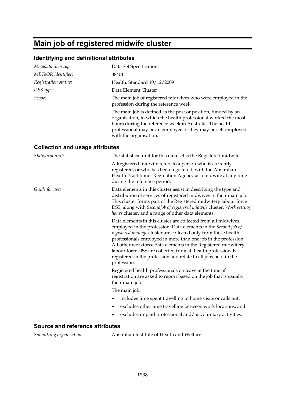# **Main job of registered midwife cluster**

#### **Identifying and definitional attributes**

| Metadata item type:                    | Data Set Specification                                                                                                                                                                                                                                                                                                                                                                                                                                                                  |
|----------------------------------------|-----------------------------------------------------------------------------------------------------------------------------------------------------------------------------------------------------------------------------------------------------------------------------------------------------------------------------------------------------------------------------------------------------------------------------------------------------------------------------------------|
| METeOR identifier:                     | 384011                                                                                                                                                                                                                                                                                                                                                                                                                                                                                  |
| Registration status:                   | Health, Standard 10/12/2009                                                                                                                                                                                                                                                                                                                                                                                                                                                             |
| DSS type:                              | Data Element Cluster                                                                                                                                                                                                                                                                                                                                                                                                                                                                    |
| Scope:                                 | The main job of registered midwives who were employed in the<br>profession during the reference week.                                                                                                                                                                                                                                                                                                                                                                                   |
|                                        | The main job is defined as the post or position, funded by an<br>organisation, in which the health professional worked the most<br>hours during the reference week in Australia. The health<br>professional may be an employee or they may be self-employed<br>with the organisation.                                                                                                                                                                                                   |
| <b>Collection and usage attributes</b> |                                                                                                                                                                                                                                                                                                                                                                                                                                                                                         |
| Statistical unit:                      | The statistical unit for this data set is the Registered midwife.                                                                                                                                                                                                                                                                                                                                                                                                                       |
|                                        | A Registered midwife refers to a person who is currently<br>registered, or who has been registered, with the Australian<br>Health Practitioner Regulation Agency as a midwife at any time<br>during the reference period.                                                                                                                                                                                                                                                               |
| Guide for use:                         | Data elements in this cluster assist in describing the type and<br>distribution of services of registered midwives in their main job.<br>This cluster forms part of the Registered midwifery labour force<br>DSS, along with Secondjob of registered midwife cluster, Work setting<br>hours cluster, and a range of other data elements.                                                                                                                                                |
|                                        | Data elements in this cluster are collected from all midwives<br>employed in the profession. Data elements in the Second job of<br>registered midwife cluster are collected only from those health<br>professionals employed in more than one job in the profession.<br>All other workforce data elements in the Registered midwifery<br>labour force DSS are collected from all health professionals<br>registered in the profession and relate to all jobs held in the<br>profession. |
|                                        | Registered health professionals on leave at the time of<br>registration are asked to report based on the job that is usually<br>their main job.                                                                                                                                                                                                                                                                                                                                         |
|                                        | The main job:                                                                                                                                                                                                                                                                                                                                                                                                                                                                           |
|                                        | includes time spent travelling to home visits or calls out;                                                                                                                                                                                                                                                                                                                                                                                                                             |
|                                        | excludes other time travelling between work locations; and                                                                                                                                                                                                                                                                                                                                                                                                                              |
|                                        | excludes unpaid professional and/or voluntary activities.                                                                                                                                                                                                                                                                                                                                                                                                                               |
|                                        |                                                                                                                                                                                                                                                                                                                                                                                                                                                                                         |

## **Source and reference attributes**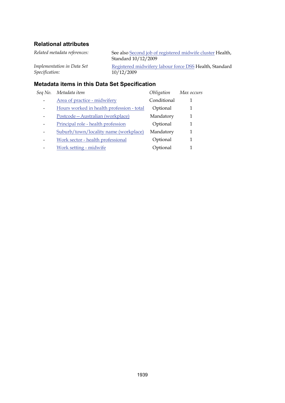| Matadata itama in thio Data Cat Cnaoification |                                                                                    |  |  |
|-----------------------------------------------|------------------------------------------------------------------------------------|--|--|
| Implementation in Data Set<br>Specification:  | Registered midwifery labour force DSS Health, Standard<br>10/12/2009               |  |  |
| Related metadata references:                  | See also Second job of registered midwife cluster Health,<br>Standard $10/12/2009$ |  |  |

| Sea No.                  | Metadata item                             | Obligation  | Max occurs |
|--------------------------|-------------------------------------------|-------------|------------|
|                          | Area of practice - midwifery              | Conditional |            |
|                          | Hours worked in health profession - total | Optional    | 1          |
|                          | Postcode-Australian (workplace)           | Mandatory   | 1          |
|                          | Principal role - health profession        | Optional    | 1          |
| $\overline{\phantom{0}}$ | Suburb/town/locality name (workplace)     | Mandatory   | 1          |
|                          | Work sector - health professional         | Optional    | 1          |
|                          | Work setting - midwife                    | Optional    | 1          |
|                          |                                           |             |            |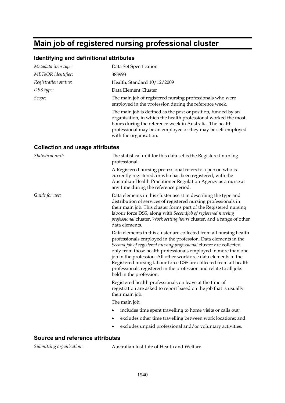# **Main job of registered nursing professional cluster**

#### **Identifying and definitional attributes**

| Metadata item type:                    | Data Set Specification                                                                                                                                                                                                                                                                                                                                                                                                                                                                                                 |
|----------------------------------------|------------------------------------------------------------------------------------------------------------------------------------------------------------------------------------------------------------------------------------------------------------------------------------------------------------------------------------------------------------------------------------------------------------------------------------------------------------------------------------------------------------------------|
| METeOR identifier:                     | 383993                                                                                                                                                                                                                                                                                                                                                                                                                                                                                                                 |
| Registration status:                   | Health, Standard 10/12/2009                                                                                                                                                                                                                                                                                                                                                                                                                                                                                            |
| DSS type:                              | Data Element Cluster                                                                                                                                                                                                                                                                                                                                                                                                                                                                                                   |
| Scope:                                 | The main job of registered nursing professionals who were<br>employed in the profession during the reference week.                                                                                                                                                                                                                                                                                                                                                                                                     |
|                                        | The main job is defined as the post or position, funded by an<br>organisation, in which the health professional worked the most<br>hours during the reference week in Australia. The health<br>professional may be an employee or they may be self-employed<br>with the organisation.                                                                                                                                                                                                                                  |
| <b>Collection and usage attributes</b> |                                                                                                                                                                                                                                                                                                                                                                                                                                                                                                                        |
| Statistical unit:                      | The statistical unit for this data set is the Registered nursing<br>professional.                                                                                                                                                                                                                                                                                                                                                                                                                                      |
|                                        | A Registered nursing professional refers to a person who is<br>currently registered, or who has been registered, with the<br>Australian Health Practitioner Regulation Agency as a nurse at<br>any time during the reference period.                                                                                                                                                                                                                                                                                   |
| Guide for use:                         | Data elements in this cluster assist in describing the type and<br>distribution of services of registered nursing professionals in<br>their main job. This cluster forms part of the Registered nursing<br>labour force DSS, along with Secondjob of registered nursing<br>professional cluster, Work setting hours cluster, and a range of other<br>data elements.                                                                                                                                                    |
|                                        | Data elements in this cluster are collected from all nursing health<br>professionals employed in the profession. Data elements in the<br>Second job of registered nursing professional cluster are collected<br>only from those health professionals employed in more than one<br>job in the profession. All other workforce data elements in the<br>Registered nursing labour force DSS are collected from all health<br>professionals registered in the profession and relate to all jobs<br>held in the profession. |
|                                        | Registered health professionals on leave at the time of<br>registration are asked to report based on the job that is usually<br>their main job.                                                                                                                                                                                                                                                                                                                                                                        |
|                                        | The main job:                                                                                                                                                                                                                                                                                                                                                                                                                                                                                                          |
|                                        | includes time spent travelling to home visits or calls out;                                                                                                                                                                                                                                                                                                                                                                                                                                                            |
|                                        | excludes other time travelling between work locations; and                                                                                                                                                                                                                                                                                                                                                                                                                                                             |
|                                        | excludes unpaid professional and/or voluntary activities.                                                                                                                                                                                                                                                                                                                                                                                                                                                              |
| <b>Source and reference attributes</b> |                                                                                                                                                                                                                                                                                                                                                                                                                                                                                                                        |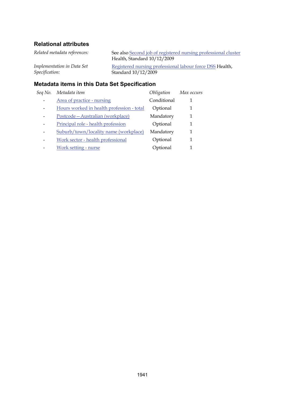| Related metadata references:                                                                                   | See also Second job of registered nursing professional cluster<br>Health, Standard 10/12/2009 |  |  |
|----------------------------------------------------------------------------------------------------------------|-----------------------------------------------------------------------------------------------|--|--|
| Implementation in Data Set<br><i>Specification:</i>                                                            | Registered nursing professional labour force DSS Health,<br>Standard $10/12/2009$             |  |  |
| RAILE ALEXANDER DE L'ARRIVA DE LA CARACTER DE L'ARRIVA DE L'ARRIVA DE L'ARRIVA DE L'ARRIVA DE L'ARRIVA DE L'AR |                                                                                               |  |  |

| Seq No. | Metadata item                             | Obligation  | Max occurs |
|---------|-------------------------------------------|-------------|------------|
|         | Area of practice - nursing                | Conditional |            |
|         | Hours worked in health profession - total | Optional    | 1          |
|         | Postcode-Australian (workplace)           | Mandatory   | 1          |
|         | Principal role - health profession        | Optional    | 1          |
|         | Suburb/town/locality name (workplace)     | Mandatory   | 1          |
|         | Work sector - health professional         | Optional    | 1          |
|         | Work setting - nurse                      | Optional    |            |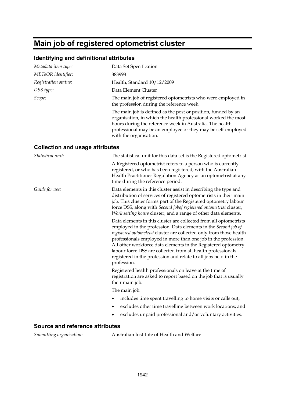# **Main job of registered optometrist cluster**

#### **Identifying and definitional attributes**

| Data Set Specification                                                                                                                                                                                                                                                                                                                                                                                                                                                                          |
|-------------------------------------------------------------------------------------------------------------------------------------------------------------------------------------------------------------------------------------------------------------------------------------------------------------------------------------------------------------------------------------------------------------------------------------------------------------------------------------------------|
| 383998                                                                                                                                                                                                                                                                                                                                                                                                                                                                                          |
| Health, Standard 10/12/2009                                                                                                                                                                                                                                                                                                                                                                                                                                                                     |
| Data Element Cluster                                                                                                                                                                                                                                                                                                                                                                                                                                                                            |
| The main job of registered optometrists who were employed in<br>the profession during the reference week.                                                                                                                                                                                                                                                                                                                                                                                       |
| The main job is defined as the post or position, funded by an<br>organisation, in which the health professional worked the most<br>hours during the reference week in Australia. The health<br>professional may be an employee or they may be self-employed<br>with the organisation.                                                                                                                                                                                                           |
| <b>Collection and usage attributes</b>                                                                                                                                                                                                                                                                                                                                                                                                                                                          |
| The statistical unit for this data set is the Registered optometrist.                                                                                                                                                                                                                                                                                                                                                                                                                           |
| A Registered optometrist refers to a person who is currently<br>registered, or who has been registered, with the Australian<br>Health Practitioner Regulation Agency as an optometrist at any<br>time during the reference period.                                                                                                                                                                                                                                                              |
| Data elements in this cluster assist in describing the type and<br>distribution of services of registered optometrists in their main<br>job. This cluster forms part of the Registered optometry labour<br>force DSS, along with Second jobof registered optometrist cluster,<br><i>Work setting hours cluster, and a range of other data elements.</i>                                                                                                                                         |
| Data elements in this cluster are collected from all optometrists<br>employed in the profession. Data elements in the Second job of<br>registered optometrist cluster are collected only from those health<br>professionals employed in more than one job in the profession.<br>All other workforce data elements in the Registered optometry<br>labour force DSS are collected from all health professionals<br>registered in the profession and relate to all jobs held in the<br>profession. |
| Registered health professionals on leave at the time of<br>registration are asked to report based on the job that is usually<br>their main job.                                                                                                                                                                                                                                                                                                                                                 |
| The main job:                                                                                                                                                                                                                                                                                                                                                                                                                                                                                   |
| includes time spent travelling to home visits or calls out;                                                                                                                                                                                                                                                                                                                                                                                                                                     |
| excludes other time travelling between work locations; and                                                                                                                                                                                                                                                                                                                                                                                                                                      |
| excludes unpaid professional and/or voluntary activities.                                                                                                                                                                                                                                                                                                                                                                                                                                       |
|                                                                                                                                                                                                                                                                                                                                                                                                                                                                                                 |

#### **Source and reference attributes**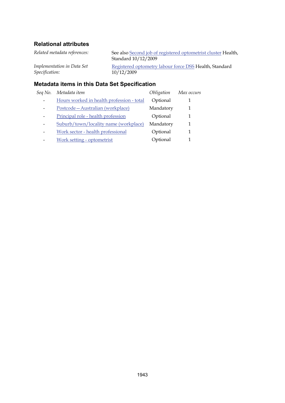| <b>Metadata items in this Data Set Specification</b> |                                                                                      |  |
|------------------------------------------------------|--------------------------------------------------------------------------------------|--|
| Implementation in Data Set<br>Specification:         | Registered optometry labour force DSS Health, Standard<br>10/12/2009                 |  |
| Related metadata references:                         | See also Second job of registered optometrist cluster Health,<br>Standard 10/12/2009 |  |

# *Seq No. Metadata item Obligation Max occurs* - Hours worked in health profession - total Optional 1 - Postcode—Australian (workplace) Mandatory 1 - Principal role - health profession Cptional 1 - Suburb/town/locality name (workplace) Mandatory 1 - Work sector - health professional Optional 1 - Work setting - optometrist Cptional 1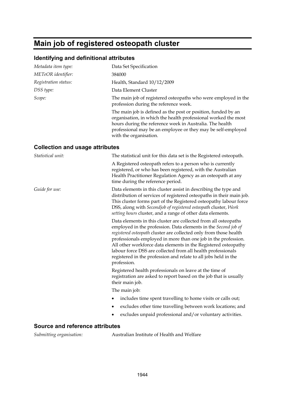# **Main job of registered osteopath cluster**

#### **Identifying and definitional attributes**

| Metadata item type:                    | Data Set Specification                                                                                                                                                                                                                                                                                                                                                                                                                                                                       |
|----------------------------------------|----------------------------------------------------------------------------------------------------------------------------------------------------------------------------------------------------------------------------------------------------------------------------------------------------------------------------------------------------------------------------------------------------------------------------------------------------------------------------------------------|
| METeOR identifier:                     | 384000                                                                                                                                                                                                                                                                                                                                                                                                                                                                                       |
| Registration status:                   | Health, Standard 10/12/2009                                                                                                                                                                                                                                                                                                                                                                                                                                                                  |
| DSS type:                              | Data Element Cluster                                                                                                                                                                                                                                                                                                                                                                                                                                                                         |
| Scope:                                 | The main job of registered osteopaths who were employed in the<br>profession during the reference week.                                                                                                                                                                                                                                                                                                                                                                                      |
|                                        | The main job is defined as the post or position, funded by an<br>organisation, in which the health professional worked the most<br>hours during the reference week in Australia. The health<br>professional may be an employee or they may be self-employed<br>with the organisation.                                                                                                                                                                                                        |
| <b>Collection and usage attributes</b> |                                                                                                                                                                                                                                                                                                                                                                                                                                                                                              |
| Statistical unit:                      | The statistical unit for this data set is the Registered osteopath.                                                                                                                                                                                                                                                                                                                                                                                                                          |
|                                        | A Registered osteopath refers to a person who is currently<br>registered, or who has been registered, with the Australian<br>Health Practitioner Regulation Agency as an osteopath at any<br>time during the reference period.                                                                                                                                                                                                                                                               |
| Guide for use:                         | Data elements in this cluster assist in describing the type and<br>distribution of services of registered osteopaths in their main job.<br>This cluster forms part of the Registered osteopathy labour force<br>DSS, along with Secondjob of registered osteopath cluster, Work<br>setting hours cluster, and a range of other data elements.                                                                                                                                                |
|                                        | Data elements in this cluster are collected from all osteopaths<br>employed in the profession. Data elements in the Second job of<br>registered osteopath cluster are collected only from those health<br>professionals employed in more than one job in the profession.<br>All other workforce data elements in the Registered osteopathy<br>labour force DSS are collected from all health professionals<br>registered in the profession and relate to all jobs held in the<br>profession. |
|                                        | Registered health professionals on leave at the time of<br>registration are asked to report based on the job that is usually<br>their main job.                                                                                                                                                                                                                                                                                                                                              |
|                                        | The main job:                                                                                                                                                                                                                                                                                                                                                                                                                                                                                |
|                                        | includes time spent travelling to home visits or calls out;                                                                                                                                                                                                                                                                                                                                                                                                                                  |
|                                        | excludes other time travelling between work locations; and                                                                                                                                                                                                                                                                                                                                                                                                                                   |
|                                        | excludes unpaid professional and/or voluntary activities.                                                                                                                                                                                                                                                                                                                                                                                                                                    |
|                                        |                                                                                                                                                                                                                                                                                                                                                                                                                                                                                              |

#### **Source and reference attributes**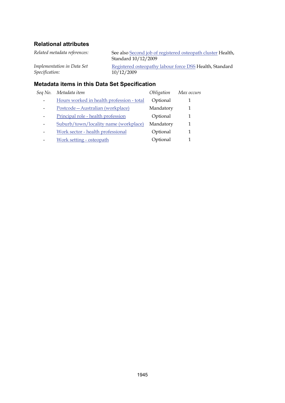| <b>Metadata items in this Data Set Specification</b> |                                                                                    |  |
|------------------------------------------------------|------------------------------------------------------------------------------------|--|
| Implementation in Data Set<br>Specification:         | Registered osteopathy labour force DSS Health, Standard<br>10/12/2009              |  |
| Related metadata references:                         | See also Second job of registered osteopath cluster Health,<br>Standard 10/12/2009 |  |

# *Seq No. Metadata item Obligation Max occurs* - Hours worked in health profession - total Optional 1 - Postcode—Australian (workplace) Mandatory 1 - Principal role - health profession Cptional 1 - Suburb/town/locality name (workplace) Mandatory 1 - Work sector - health professional Optional 1 - Work setting - osteopath Cptional 1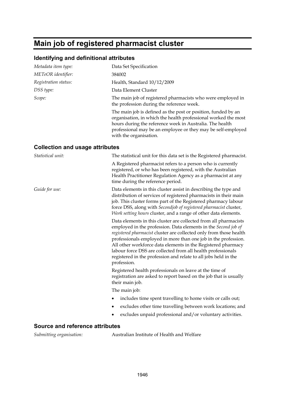# **Main job of registered pharmacist cluster**

#### **Identifying and definitional attributes**

| Data Set Specification                                                                                                                                                                                                                                                                                                                                                                                                                                                                       |
|----------------------------------------------------------------------------------------------------------------------------------------------------------------------------------------------------------------------------------------------------------------------------------------------------------------------------------------------------------------------------------------------------------------------------------------------------------------------------------------------|
| 384002                                                                                                                                                                                                                                                                                                                                                                                                                                                                                       |
| Health, Standard 10/12/2009                                                                                                                                                                                                                                                                                                                                                                                                                                                                  |
| Data Element Cluster                                                                                                                                                                                                                                                                                                                                                                                                                                                                         |
| The main job of registered pharmacists who were employed in<br>the profession during the reference week.                                                                                                                                                                                                                                                                                                                                                                                     |
| The main job is defined as the post or position, funded by an<br>organisation, in which the health professional worked the most<br>hours during the reference week in Australia. The health<br>professional may be an employee or they may be self-employed<br>with the organisation.                                                                                                                                                                                                        |
| <b>Collection and usage attributes</b>                                                                                                                                                                                                                                                                                                                                                                                                                                                       |
| The statistical unit for this data set is the Registered pharmacist.                                                                                                                                                                                                                                                                                                                                                                                                                         |
| A Registered pharmacist refers to a person who is currently<br>registered, or who has been registered, with the Australian<br>Health Practitioner Regulation Agency as a pharmacist at any<br>time during the reference period.                                                                                                                                                                                                                                                              |
| Data elements in this cluster assist in describing the type and<br>distribution of services of registered pharmacists in their main<br>job. This cluster forms part of the Registered pharmacy labour<br>force DSS, along with Secondjob of registered pharmacist cluster,<br>Work setting hours cluster, and a range of other data elements.                                                                                                                                                |
| Data elements in this cluster are collected from all pharmacists<br>employed in the profession. Data elements in the Second job of<br>registered pharmacist cluster are collected only from those health<br>professionals employed in more than one job in the profession.<br>All other workforce data elements in the Registered pharmacy<br>labour force DSS are collected from all health professionals<br>registered in the profession and relate to all jobs held in the<br>profession. |
| Registered health professionals on leave at the time of<br>registration are asked to report based on the job that is usually<br>their main job.                                                                                                                                                                                                                                                                                                                                              |
| The main job:                                                                                                                                                                                                                                                                                                                                                                                                                                                                                |
| includes time spent travelling to home visits or calls out;                                                                                                                                                                                                                                                                                                                                                                                                                                  |
| excludes other time travelling between work locations; and                                                                                                                                                                                                                                                                                                                                                                                                                                   |
| excludes unpaid professional and/or voluntary activities.                                                                                                                                                                                                                                                                                                                                                                                                                                    |
|                                                                                                                                                                                                                                                                                                                                                                                                                                                                                              |

#### **Source and reference attributes**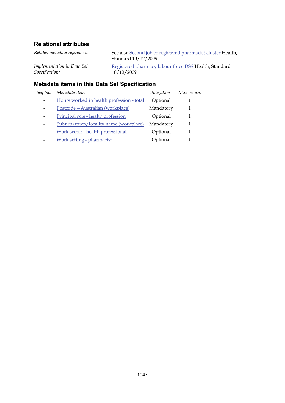| <b>Metadata items in this Data Set Specification</b> |                                                                                     |  |
|------------------------------------------------------|-------------------------------------------------------------------------------------|--|
| Implementation in Data Set<br>Specification:         | Registered pharmacy labour force DSS Health, Standard<br>10/12/2009                 |  |
| Related metadata references:                         | See also Second job of registered pharmacist cluster Health,<br>Standard 10/12/2009 |  |

# *Seq No. Metadata item Obligation Max occurs* - Hours worked in health profession - total Optional 1 - Postcode—Australian (workplace) Mandatory 1 - Principal role - health profession Cptional 1 - Suburb/town/locality name (workplace) Mandatory 1 - Work sector - health professional Optional 1 - Work setting - pharmacist Cptional 1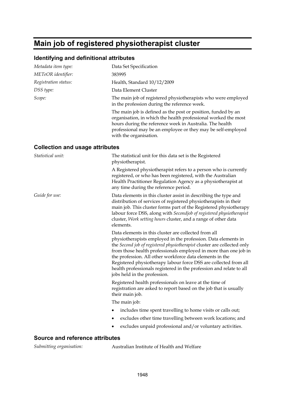# **Main job of registered physiotherapist cluster**

#### **Identifying and definitional attributes**

| Metadata item type:                    | Data Set Specification                                                                                                                                                                                                                                                                                                                                                                                                                                                                                      |
|----------------------------------------|-------------------------------------------------------------------------------------------------------------------------------------------------------------------------------------------------------------------------------------------------------------------------------------------------------------------------------------------------------------------------------------------------------------------------------------------------------------------------------------------------------------|
| METeOR identifier:                     | 383995                                                                                                                                                                                                                                                                                                                                                                                                                                                                                                      |
| Registration status:                   | Health, Standard 10/12/2009                                                                                                                                                                                                                                                                                                                                                                                                                                                                                 |
| DSS type:                              | Data Element Cluster                                                                                                                                                                                                                                                                                                                                                                                                                                                                                        |
| Scope:                                 | The main job of registered physiotherapists who were employed<br>in the profession during the reference week.                                                                                                                                                                                                                                                                                                                                                                                               |
|                                        | The main job is defined as the post or position, funded by an<br>organisation, in which the health professional worked the most<br>hours during the reference week in Australia. The health<br>professional may be an employee or they may be self-employed<br>with the organisation.                                                                                                                                                                                                                       |
| <b>Collection and usage attributes</b> |                                                                                                                                                                                                                                                                                                                                                                                                                                                                                                             |
| Statistical unit:                      | The statistical unit for this data set is the Registered<br>physiotherapist.                                                                                                                                                                                                                                                                                                                                                                                                                                |
|                                        | A Registered physiotherapist refers to a person who is currently<br>registered, or who has been registered, with the Australian<br>Health Practitioner Regulation Agency as a physiotherapist at<br>any time during the reference period.                                                                                                                                                                                                                                                                   |
| Guide for use:                         | Data elements in this cluster assist in describing the type and<br>distribution of services of registered physiotherapists in their<br>main job. This cluster forms part of the Registered physiotherapy<br>labour force DSS, along with Secondjob of registered physiotherapist<br>cluster, Work setting hours cluster, and a range of other data<br>elements.                                                                                                                                             |
|                                        | Data elements in this cluster are collected from all<br>physiotherapists employed in the profession. Data elements in<br>the Second job of registered physiotherapist cluster are collected only<br>from those health professionals employed in more than one job in<br>the profession. All other workforce data elements in the<br>Registered physiotherapy labour force DSS are collected from all<br>health professionals registered in the profession and relate to all<br>jobs held in the profession. |
|                                        | Registered health professionals on leave at the time of<br>registration are asked to report based on the job that is usually<br>their main job.                                                                                                                                                                                                                                                                                                                                                             |
|                                        | The main job:                                                                                                                                                                                                                                                                                                                                                                                                                                                                                               |
|                                        | includes time spent travelling to home visits or calls out;                                                                                                                                                                                                                                                                                                                                                                                                                                                 |
|                                        | excludes other time travelling between work locations; and<br>٠                                                                                                                                                                                                                                                                                                                                                                                                                                             |
|                                        | excludes unpaid professional and/or voluntary activities.                                                                                                                                                                                                                                                                                                                                                                                                                                                   |
| <b>Source and reference attributes</b> |                                                                                                                                                                                                                                                                                                                                                                                                                                                                                                             |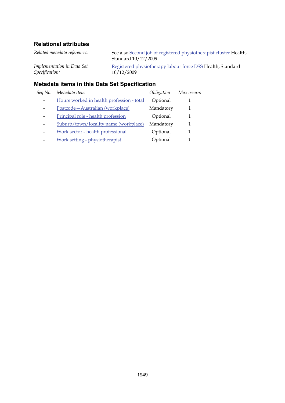| <b>Metadata items in this Data Set Specification</b> |                                                                                          |  |
|------------------------------------------------------|------------------------------------------------------------------------------------------|--|
| Implementation in Data Set<br>Specification:         | Registered physiotherapy labour force DSS Health, Standard<br>10/12/2009                 |  |
| Related metadata references:                         | See also Second job of registered physiotherapist cluster Health,<br>Standard 10/12/2009 |  |

| Seq No. | Metadata item                             | Obligation | Max occurs |
|---------|-------------------------------------------|------------|------------|
|         | Hours worked in health profession - total | Optional   |            |
|         | Postcode - Australian (workplace)         | Mandatory  | 1          |
|         | Principal role - health profession        | Optional   | 1          |
|         | Suburb/town/locality name (workplace)     | Mandatory  | 1          |
|         | Work sector - health professional         | Optional   | 1          |
|         | Work setting - physiotherapist            | Optional   |            |
|         |                                           |            |            |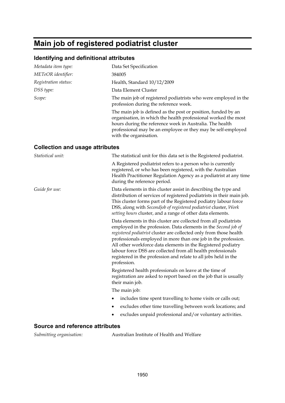# **Main job of registered podiatrist cluster**

## **Identifying and definitional attributes**

| Metadata item type:                    | Data Set Specification                                                                                                                                                                                                                                                                                                                                                                                                                                                                       |
|----------------------------------------|----------------------------------------------------------------------------------------------------------------------------------------------------------------------------------------------------------------------------------------------------------------------------------------------------------------------------------------------------------------------------------------------------------------------------------------------------------------------------------------------|
| METeOR identifier:                     | 384005                                                                                                                                                                                                                                                                                                                                                                                                                                                                                       |
| Registration status:                   | Health, Standard 10/12/2009                                                                                                                                                                                                                                                                                                                                                                                                                                                                  |
| DSS type:                              | Data Element Cluster                                                                                                                                                                                                                                                                                                                                                                                                                                                                         |
| Scope:                                 | The main job of registered podiatrists who were employed in the<br>profession during the reference week.                                                                                                                                                                                                                                                                                                                                                                                     |
|                                        | The main job is defined as the post or position, funded by an<br>organisation, in which the health professional worked the most<br>hours during the reference week in Australia. The health<br>professional may be an employee or they may be self-employed<br>with the organisation.                                                                                                                                                                                                        |
| <b>Collection and usage attributes</b> |                                                                                                                                                                                                                                                                                                                                                                                                                                                                                              |
| Statistical unit:                      | The statistical unit for this data set is the Registered podiatrist.                                                                                                                                                                                                                                                                                                                                                                                                                         |
|                                        | A Registered podiatrist refers to a person who is currently<br>registered, or who has been registered, with the Australian<br>Health Practitioner Regulation Agency as a podiatrist at any time<br>during the reference period.                                                                                                                                                                                                                                                              |
| Guide for use:                         | Data elements in this cluster assist in describing the type and<br>distribution of services of registered podiatrists in their main job.<br>This cluster forms part of the Registered podiatry labour force<br>DSS, along with Secondjob of registered podiatrist cluster, Work<br>setting hours cluster, and a range of other data elements.                                                                                                                                                |
|                                        | Data elements in this cluster are collected from all podiatrists<br>employed in the profession. Data elements in the Second job of<br>registered podiatrist cluster are collected only from those health<br>professionals employed in more than one job in the profession.<br>All other workforce data elements in the Registered podiatry<br>labour force DSS are collected from all health professionals<br>registered in the profession and relate to all jobs held in the<br>profession. |
|                                        | Registered health professionals on leave at the time of<br>registration are asked to report based on the job that is usually<br>their main job.                                                                                                                                                                                                                                                                                                                                              |
|                                        | The main job:                                                                                                                                                                                                                                                                                                                                                                                                                                                                                |
|                                        | includes time spent travelling to home visits or calls out;                                                                                                                                                                                                                                                                                                                                                                                                                                  |
|                                        | excludes other time travelling between work locations; and<br>٠                                                                                                                                                                                                                                                                                                                                                                                                                              |
|                                        | excludes unpaid professional and/or voluntary activities.                                                                                                                                                                                                                                                                                                                                                                                                                                    |

#### **Source and reference attributes**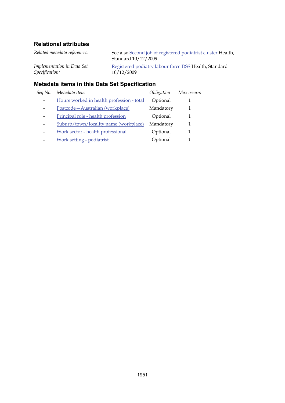| <b>Metadata items in this Data Set Specification</b> |                                                                                     |  |  |
|------------------------------------------------------|-------------------------------------------------------------------------------------|--|--|
| Implementation in Data Set<br>Specification:         | Registered podiatry labour force DSS Health, Standard<br>10/12/2009                 |  |  |
| Related metadata references:                         | See also Second job of registered podiatrist cluster Health,<br>Standard 10/12/2009 |  |  |

# *Seq No. Metadata item Obligation Max occurs* - Hours worked in health profession - total Optional 1 - Postcode—Australian (workplace) Mandatory 1 - Principal role - health profession Cptional 1 - Suburb/town/locality name (workplace) Mandatory 1 - Work sector - health professional Optional 1

- Work setting - podiatrist Cptional 1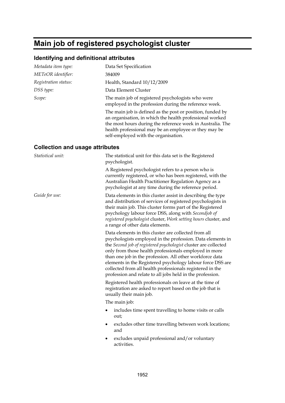# **Main job of registered psychologist cluster**

# **Identifying and definitional attributes**

| Metadata item type:                    | Data Set Specification                                                                                                                                                                                                                                                                                                                                                                                                                                                                             |
|----------------------------------------|----------------------------------------------------------------------------------------------------------------------------------------------------------------------------------------------------------------------------------------------------------------------------------------------------------------------------------------------------------------------------------------------------------------------------------------------------------------------------------------------------|
| METeOR identifier:                     | 384009                                                                                                                                                                                                                                                                                                                                                                                                                                                                                             |
| Registration status:                   | Health, Standard 10/12/2009                                                                                                                                                                                                                                                                                                                                                                                                                                                                        |
| DSS type:                              | Data Element Cluster                                                                                                                                                                                                                                                                                                                                                                                                                                                                               |
| Scope:                                 | The main job of registered psychologists who were<br>employed in the profession during the reference week.                                                                                                                                                                                                                                                                                                                                                                                         |
|                                        | The main job is defined as the post or position, funded by<br>an organisation, in which the health professional worked<br>the most hours during the reference week in Australia. The<br>health professional may be an employee or they may be<br>self-employed with the organisation.                                                                                                                                                                                                              |
| <b>Collection and usage attributes</b> |                                                                                                                                                                                                                                                                                                                                                                                                                                                                                                    |
| Statistical unit:                      | The statistical unit for this data set is the Registered<br>psychologist.                                                                                                                                                                                                                                                                                                                                                                                                                          |
|                                        | A Registered psychologist refers to a person who is<br>currently registered, or who has been registered, with the<br>Australian Health Practitioner Regulation Agency as a<br>psychologist at any time during the reference period.                                                                                                                                                                                                                                                                |
| Guide for use:                         | Data elements in this cluster assist in describing the type<br>and distribution of services of registered psychologists in<br>their main job. This cluster forms part of the Registered<br>psychology labour force DSS, along with Secondjob of<br>registered psychologist cluster, Work setting hours cluster, and<br>a range of other data elements.                                                                                                                                             |
|                                        | Data elements in this cluster are collected from all<br>psychologists employed in the profession. Data elements in<br>the Second job of registered psychologist cluster are collected<br>only from those health professionals employed in more<br>than one job in the profession. All other workforce data<br>elements in the Registered psychology labour force DSS are<br>collected from all health professionals registered in the<br>profession and relate to all jobs held in the profession. |
|                                        | Registered health professionals on leave at the time of<br>registration are asked to report based on the job that is<br>usually their main job.                                                                                                                                                                                                                                                                                                                                                    |
|                                        | The main job:                                                                                                                                                                                                                                                                                                                                                                                                                                                                                      |
|                                        | includes time spent travelling to home visits or calls<br>out;                                                                                                                                                                                                                                                                                                                                                                                                                                     |
|                                        | excludes other time travelling between work locations;<br>and                                                                                                                                                                                                                                                                                                                                                                                                                                      |
|                                        | excludes unpaid professional and/or voluntary<br>activities.                                                                                                                                                                                                                                                                                                                                                                                                                                       |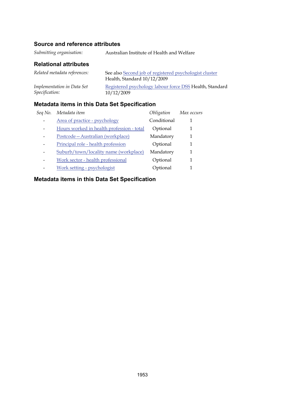### **Source and reference attributes**

### **Relational attributes**

| Related metadata references: | See also Second job of registered psychologist cluster<br>Health, Standard 10/12/2009 |  |
|------------------------------|---------------------------------------------------------------------------------------|--|
| Implementation in Data Set   | Registered psychology labour force DSS Health, Standard                               |  |
| Specification:               | 10/12/2009                                                                            |  |

# **Metadata items in this Data Set Specification**

| Seq No. | Metadata item                             | Obligation  | Max occurs |
|---------|-------------------------------------------|-------------|------------|
|         | Area of practice - psychology             | Conditional |            |
|         | Hours worked in health profession - total | Optional    | 1          |
|         | Postcode - Australian (workplace)         | Mandatory   |            |
|         | Principal role - health profession        | Optional    |            |
|         | Suburb/town/locality name (workplace)     | Mandatory   | 1          |
| -       | Work sector - health professional         | Optional    | 1          |
|         | Work setting - psychologist               | Optional    |            |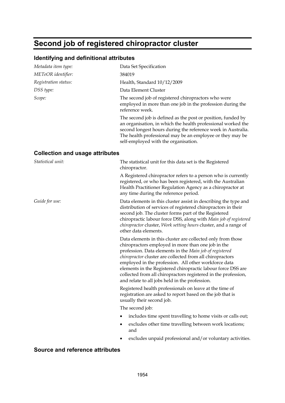# <span id="page-106-0"></span>**Second job of registered chiropractor cluster**

#### **Identifying and definitional attributes**

| Metadata item type:                    | Data Set Specification                                                                                                                                                                                                                                                                                                                                                                                                                                                                |
|----------------------------------------|---------------------------------------------------------------------------------------------------------------------------------------------------------------------------------------------------------------------------------------------------------------------------------------------------------------------------------------------------------------------------------------------------------------------------------------------------------------------------------------|
| METeOR identifier:                     | 384019                                                                                                                                                                                                                                                                                                                                                                                                                                                                                |
| Registration status:                   | Health, Standard 10/12/2009                                                                                                                                                                                                                                                                                                                                                                                                                                                           |
| DSS type:                              | Data Element Cluster                                                                                                                                                                                                                                                                                                                                                                                                                                                                  |
| Scope:                                 | The second job of registered chiropractors who were<br>employed in more than one job in the profession during the<br>reference week.                                                                                                                                                                                                                                                                                                                                                  |
|                                        | The second job is defined as the post or position, funded by<br>an organisation, in which the health professional worked the<br>second longest hours during the reference week in Australia.<br>The health professional may be an employee or they may be<br>self-employed with the organisation.                                                                                                                                                                                     |
| <b>Collection and usage attributes</b> |                                                                                                                                                                                                                                                                                                                                                                                                                                                                                       |
| Statistical unit:                      | The statistical unit for this data set is the Registered<br>chiropractor.                                                                                                                                                                                                                                                                                                                                                                                                             |
|                                        | A Registered chiropractor refers to a person who is currently<br>registered, or who has been registered, with the Australian<br>Health Practitioner Regulation Agency as a chiropractor at<br>any time during the reference period.                                                                                                                                                                                                                                                   |
| Guide for use:                         | Data elements in this cluster assist in describing the type and<br>distribution of services of registered chiropractors in their<br>second job. The cluster forms part of the Registered<br>chiropractic labour force DSS, along with Main job of registered<br><i>chiropractor cluster, Work setting hours cluster, and a range of</i><br>other data elements.                                                                                                                       |
|                                        | Data elements in this cluster are collected only from those<br>chiropractors employed in more than one job in the<br>profession. Data elements in the Main job of registered<br>chiropractor cluster are collected from all chiropractors<br>employed in the profession. All other workforce data<br>elements in the Registered chiropractic labour force DSS are<br>collected from all chiropractors registered in the profession,<br>and relate to all jobs held in the profession. |
|                                        | Registered health professionals on leave at the time of<br>registration are asked to report based on the job that is<br>usually their second job.                                                                                                                                                                                                                                                                                                                                     |
|                                        | The second job:                                                                                                                                                                                                                                                                                                                                                                                                                                                                       |

- includes time spent travelling to home visits or calls out;
- excludes other time travelling between work locations; and
- excludes unpaid professional and/or voluntary activities.

#### **Source and reference attributes**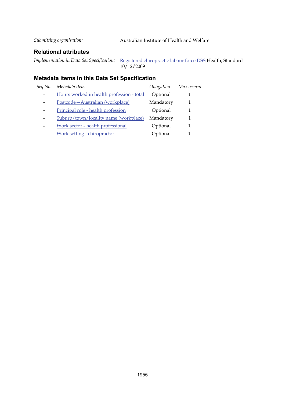*Submitting organisation:* Australian Institute of Health and Welfare

#### **Relational attributes**

*Implementation in Data Set Specification:* [Registered chiropractic labour force DSS](#page-30-0) Health, Standard 10/12/2009

| Seq No. | Metadata item                             | Obligation | Max occurs |
|---------|-------------------------------------------|------------|------------|
|         | Hours worked in health profession - total | Optional   |            |
|         | Postcode - Australian (workplace)         | Mandatory  |            |
|         | Principal role - health profession        | Optional   |            |
|         | Suburb/town/locality name (workplace)     | Mandatory  |            |
|         | Work sector - health professional         | Optional   |            |
|         | Work setting - chiropractor               | Optional   |            |
|         |                                           |            |            |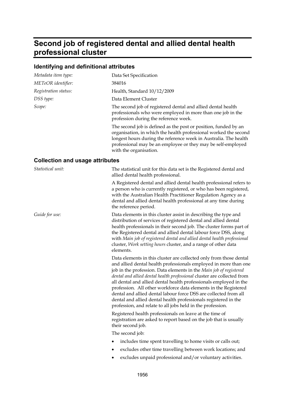# **Second job of registered dental and allied dental health professional cluster**

## **Identifying and definitional attributes**

| Metadata item type:                    | Data Set Specification                                                                                                                                                                                                                                                                                                                                                                                                                                                                                                                                                                                                               |
|----------------------------------------|--------------------------------------------------------------------------------------------------------------------------------------------------------------------------------------------------------------------------------------------------------------------------------------------------------------------------------------------------------------------------------------------------------------------------------------------------------------------------------------------------------------------------------------------------------------------------------------------------------------------------------------|
| METeOR identifier:                     | 384016                                                                                                                                                                                                                                                                                                                                                                                                                                                                                                                                                                                                                               |
| Registration status:                   | Health, Standard 10/12/2009                                                                                                                                                                                                                                                                                                                                                                                                                                                                                                                                                                                                          |
| DSS type:                              | Data Element Cluster                                                                                                                                                                                                                                                                                                                                                                                                                                                                                                                                                                                                                 |
| Scope:                                 | The second job of registered dental and allied dental health<br>professionals who were employed in more than one job in the<br>profession during the reference week.                                                                                                                                                                                                                                                                                                                                                                                                                                                                 |
|                                        | The second job is defined as the post or position, funded by an<br>organisation, in which the health professional worked the second<br>longest hours during the reference week in Australia. The health<br>professional may be an employee or they may be self-employed<br>with the organisation.                                                                                                                                                                                                                                                                                                                                    |
| <b>Collection and usage attributes</b> |                                                                                                                                                                                                                                                                                                                                                                                                                                                                                                                                                                                                                                      |
| Statistical unit:                      | The statistical unit for this data set is the Registered dental and<br>allied dental health professional.                                                                                                                                                                                                                                                                                                                                                                                                                                                                                                                            |
|                                        | A Registered dental and allied dental health professional refers to<br>a person who is currently registered, or who has been registered,<br>with the Australian Health Practitioner Regulation Agency as a<br>dental and allied dental health professional at any time during<br>the reference period.                                                                                                                                                                                                                                                                                                                               |
| Guide for use:                         | Data elements in this cluster assist in describing the type and<br>distribution of services of registered dental and allied dental<br>health professionals in their second job. The cluster forms part of<br>the Registered dental and allied dental labour force DSS, along<br>with Main job of registered dental and allied dental health professional<br>cluster, Work setting hours cluster, and a range of other data<br>elements.                                                                                                                                                                                              |
|                                        | Data elements in this cluster are collected only from those dental<br>and allied dental health professionals employed in more than one<br>job in the profession. Data elements in the Main job of registered<br>dental and allied dental health professional cluster are collected from<br>all dental and allied dental health professionals employed in the<br>profession. All other workforce data elements in the Registered<br>dental and allied dental labour force DSS are collected from all<br>dental and allied dental health professionals registered in the<br>profession, and relate to all jobs held in the profession. |
|                                        | Registered health professionals on leave at the time of<br>registration are asked to report based on the job that is usually<br>their second job.                                                                                                                                                                                                                                                                                                                                                                                                                                                                                    |
|                                        | The second job:                                                                                                                                                                                                                                                                                                                                                                                                                                                                                                                                                                                                                      |
|                                        | includes time spent travelling to home visits or calls out;<br>٠                                                                                                                                                                                                                                                                                                                                                                                                                                                                                                                                                                     |
|                                        | excludes other time travelling between work locations; and                                                                                                                                                                                                                                                                                                                                                                                                                                                                                                                                                                           |

excludes unpaid professional and/or voluntary activities.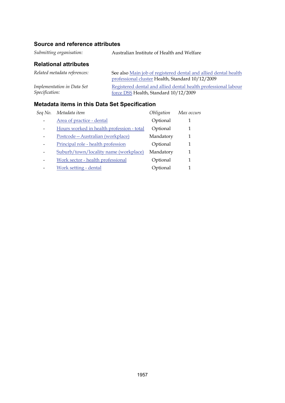## **Source and reference attributes**

*Submitting organisation:* Australian Institute of Health and Welfare

## **Relational attributes**

| Related metadata references: | See also Main job of registered dental and allied dental health |
|------------------------------|-----------------------------------------------------------------|
|                              | professional cluster Health, Standard 10/12/2009                |
| Implementation in Data Set   | Registered dental and allied dental health professional labour  |
| <i>Specification:</i>        | force DSS Health, Standard 10/12/2009                           |

| Sea No. | Metadata item                             | Obligation | Max occurs |
|---------|-------------------------------------------|------------|------------|
|         | Area of practice - dental                 | Optional   |            |
|         | Hours worked in health profession - total | Optional   | 1          |
|         | Postcode-Australian (workplace)           | Mandatory  | 1          |
|         | Principal role - health profession        | Optional   | 1          |
|         | Suburb/town/locality name (workplace)     | Mandatory  | 1          |
|         | Work sector - health professional         | Optional   | 1          |
|         | Work setting - dental                     | Optional   |            |
|         |                                           |            |            |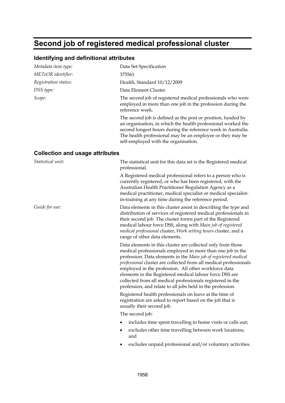# **Second job of registered medical professional cluster**

#### **Identifying and definitional attributes**

| Metadata item type:                    | Data Set Specification                                                                                                                                                                                                                                                                                                                                                                                                                                                                                           |
|----------------------------------------|------------------------------------------------------------------------------------------------------------------------------------------------------------------------------------------------------------------------------------------------------------------------------------------------------------------------------------------------------------------------------------------------------------------------------------------------------------------------------------------------------------------|
| METeOR identifier:                     | 375561                                                                                                                                                                                                                                                                                                                                                                                                                                                                                                           |
| Registration status:                   | Health, Standard 10/12/2009                                                                                                                                                                                                                                                                                                                                                                                                                                                                                      |
| DSS type:                              | Data Element Cluster                                                                                                                                                                                                                                                                                                                                                                                                                                                                                             |
| Scope:                                 | The second job of registered medical professionals who were<br>employed in more than one job in the profession during the<br>reference week.                                                                                                                                                                                                                                                                                                                                                                     |
|                                        | The second job is defined as the post or position, funded by<br>an organisation, in which the health professional worked the<br>second longest hours during the reference week in Australia.<br>The health professional may be an employee or they may be<br>self-employed with the organisation.                                                                                                                                                                                                                |
| <b>Collection and usage attributes</b> |                                                                                                                                                                                                                                                                                                                                                                                                                                                                                                                  |
| Statistical unit:                      | The statistical unit for this data set is the Registered medical<br>professional.                                                                                                                                                                                                                                                                                                                                                                                                                                |
|                                        | A Registered medical professional refers to a person who is<br>currently registered, or who has been registered, with the<br>Australian Health Practitioner Regulation Agency as a<br>medical practitioner, medical specialist or medical specialist-<br>in-training at any time during the reference period.                                                                                                                                                                                                    |
| Guide for use:                         | Data elements in this cluster assist in describing the type and<br>distribution of services of registered medical professionals in<br>their second job. The cluster forms part of the Registered<br>medical labour force DSS, along with Main job of registered<br>medical professional cluster, Work setting hours cluster, and a<br>range of other data elements.                                                                                                                                              |
|                                        | Data elements in this cluster are collected only from those<br>medical professionals employed in more than one job in the<br>profession. Data elements in the Main job of registered medical<br>professional cluster are collected from all medical professionals<br>employed in the profession. All other workforce data<br>elements in the Registered medical labour force DSS are<br>collected from all medical professionals registered in the<br>profession, and relate to all jobs held in the profession. |
|                                        | Registered health professionals on leave at the time of<br>registration are asked to report based on the job that is                                                                                                                                                                                                                                                                                                                                                                                             |

usually their second job. The second job:

- includes time spent travelling to home visits or calls out;
- excludes other time travelling between work locations; and
- excludes unpaid professional and/or voluntary activities.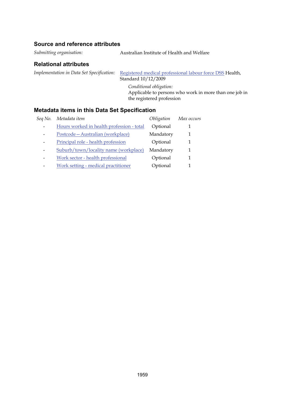### **Source and reference attributes**

*Submitting organisation:* Australian Institute of Health and Welfare

#### **Relational attributes**

*Implementation in Data Set Specification:* [Registered medical professional labour force DSS](#page-36-0) Health, Standard 10/12/2009

> *Conditional obligation:* Applicable to persons who work in more than one job in the registered profession

| Sea No. | Metadata item                             | Obligation | Max occurs |
|---------|-------------------------------------------|------------|------------|
|         | Hours worked in health profession - total | Optional   |            |
|         | Postcode - Australian (workplace)         | Mandatory  |            |
|         | Principal role - health profession        | Optional   |            |
|         | Suburb/town/locality name (workplace)     | Mandatory  |            |
|         | Work sector - health professional         | Optional   |            |
|         | Work setting - medical practitioner       | Optional   |            |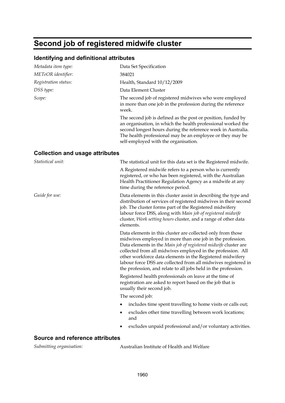# **Second job of registered midwife cluster**

#### **Identifying and definitional attributes**

| Metadata item type:                    | Data Set Specification                                                                                                                                                                                                                                                                            |  |  |
|----------------------------------------|---------------------------------------------------------------------------------------------------------------------------------------------------------------------------------------------------------------------------------------------------------------------------------------------------|--|--|
| METeOR identifier:                     | 384021                                                                                                                                                                                                                                                                                            |  |  |
| Registration status:                   | Health, Standard 10/12/2009                                                                                                                                                                                                                                                                       |  |  |
| DSS type:                              | Data Element Cluster                                                                                                                                                                                                                                                                              |  |  |
| Scope:                                 | The second job of registered midwives who were employed<br>in more than one job in the profession during the reference<br>week.                                                                                                                                                                   |  |  |
|                                        | The second job is defined as the post or position, funded by<br>an organisation, in which the health professional worked the<br>second longest hours during the reference week in Australia.<br>The health professional may be an employee or they may be<br>self-employed with the organisation. |  |  |
| <b>Collection and usage attributes</b> |                                                                                                                                                                                                                                                                                                   |  |  |
| Statistical unit:                      | The statistical unit for this data set is the Registered midwife.                                                                                                                                                                                                                                 |  |  |
|                                        | A Registered midwife refers to a person who is currently<br>registered, or who has been registered, with the Australian<br>Health Practitioner Regulation Agency as a midwife at any<br>time during the reference period.                                                                         |  |  |

*Guide for use:* Data elements in this cluster assist in describing the type and distribution of services of registered midwives in their second job. The cluster forms part of the Registered midwifery labour force DSS, along with *Main job of registered midwife*  cluster, *Work setting hours* cluster, and a range of other data elements.

> Data elements in this cluster are collected only from those midwives employed in more than one job in the profession. Data elements in the *Main job of registered midwife* cluster are collected from all midwives employed in the profession. All other workforce data elements in the Registered midwifery labour force DSS are collected from all midwives registered in the profession, and relate to all jobs held in the profession.

Registered health professionals on leave at the time of registration are asked to report based on the job that is usually their second job.

The second job:

- includes time spent travelling to home visits or calls out;
- excludes other time travelling between work locations; and
- excludes unpaid professional and/or voluntary activities.

#### **Source and reference attributes**

*Submitting organisation:*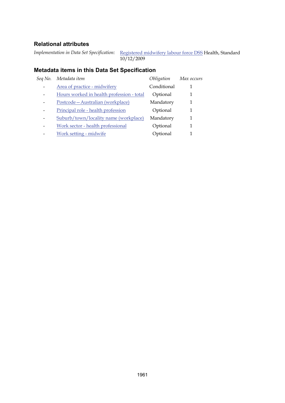*Implementation in Data Set Specification:* [Registered midwifery labour force DSS](#page-38-0) Health, Standard 10/12/2009

| Seq No. | Metadata item                             | Obligation  | Max occurs |
|---------|-------------------------------------------|-------------|------------|
|         | Area of practice - midwifery              | Conditional |            |
|         | Hours worked in health profession - total | Optional    |            |
|         | Postcode - Australian (workplace)         | Mandatory   |            |
|         | Principal role - health profession        | Optional    | 1          |
|         | Suburb/town/locality name (workplace)     | Mandatory   | 1          |
|         | Work sector - health professional         | Optional    |            |
|         | Work setting - midwife                    | Optional    |            |
|         |                                           |             |            |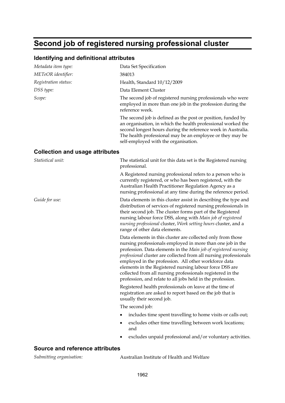# **Second job of registered nursing professional cluster**

## **Identifying and definitional attributes**

| Metadata item type:                    | Data Set Specification                                                                                                                                                                                                                                                                                                                                                                                                                                                                                           |
|----------------------------------------|------------------------------------------------------------------------------------------------------------------------------------------------------------------------------------------------------------------------------------------------------------------------------------------------------------------------------------------------------------------------------------------------------------------------------------------------------------------------------------------------------------------|
| METeOR identifier:                     | 384013                                                                                                                                                                                                                                                                                                                                                                                                                                                                                                           |
| Registration status:                   | Health, Standard 10/12/2009                                                                                                                                                                                                                                                                                                                                                                                                                                                                                      |
| DSS type:                              | Data Element Cluster                                                                                                                                                                                                                                                                                                                                                                                                                                                                                             |
| Scope:                                 | The second job of registered nursing professionals who were<br>employed in more than one job in the profession during the<br>reference week.                                                                                                                                                                                                                                                                                                                                                                     |
|                                        | The second job is defined as the post or position, funded by<br>an organisation, in which the health professional worked the<br>second longest hours during the reference week in Australia.<br>The health professional may be an employee or they may be<br>self-employed with the organisation.                                                                                                                                                                                                                |
| <b>Collection and usage attributes</b> |                                                                                                                                                                                                                                                                                                                                                                                                                                                                                                                  |
| Statistical unit:                      | The statistical unit for this data set is the Registered nursing<br>professional.                                                                                                                                                                                                                                                                                                                                                                                                                                |
|                                        | A Registered nursing professional refers to a person who is<br>currently registered, or who has been registered, with the<br>Australian Health Practitioner Regulation Agency as a<br>nursing professional at any time during the reference period.                                                                                                                                                                                                                                                              |
| Guide for use:                         | Data elements in this cluster assist in describing the type and<br>distribution of services of registered nursing professionals in<br>their second job. The cluster forms part of the Registered<br>nursing labour force DSS, along with Main job of registered<br>nursing professional cluster, Work setting hours cluster, and a<br>range of other data elements.                                                                                                                                              |
|                                        | Data elements in this cluster are collected only from those<br>nursing professionals employed in more than one job in the<br>profession. Data elements in the Main job of registered nursing<br>professional cluster are collected from all nursing professionals<br>employed in the profession. All other workforce data<br>elements in the Registered nursing labour force DSS are<br>collected from all nursing professionals registered in the<br>profession, and relate to all jobs held in the profession. |
|                                        | Registered health professionals on leave at the time of<br>registration are asked to report based on the job that is<br>usually their second job.                                                                                                                                                                                                                                                                                                                                                                |
|                                        | The second job:                                                                                                                                                                                                                                                                                                                                                                                                                                                                                                  |
|                                        | includes time spent travelling to home visits or calls out;<br>٠                                                                                                                                                                                                                                                                                                                                                                                                                                                 |
|                                        | excludes other time travelling between work locations;<br>and                                                                                                                                                                                                                                                                                                                                                                                                                                                    |
|                                        | excludes unpaid professional and/or voluntary activities.                                                                                                                                                                                                                                                                                                                                                                                                                                                        |

## **Source and reference attributes**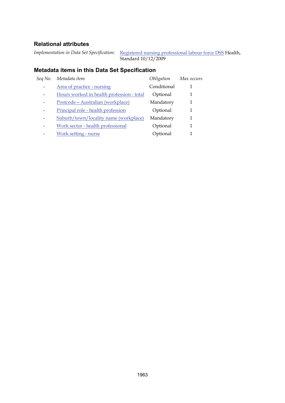*Implementation in Data Set Specification:* [Registered nursing professional labour force DSS](#page-40-0) Health, Standard 10/12/2009

| Seq No. | Metadata item                             | Obligation  | Max occurs |
|---------|-------------------------------------------|-------------|------------|
|         | Area of practice - nursing                | Conditional |            |
|         | Hours worked in health profession - total | Optional    |            |
|         | Postcode-Australian (workplace)           | Mandatory   | 1          |
|         | Principal role - health profession        | Optional    | 1          |
|         | Suburb/town/locality name (workplace)     | Mandatory   | 1          |
|         | Work sector - health professional         | Optional    | 1          |
|         | Work setting - nurse                      | Optional    |            |
|         |                                           |             |            |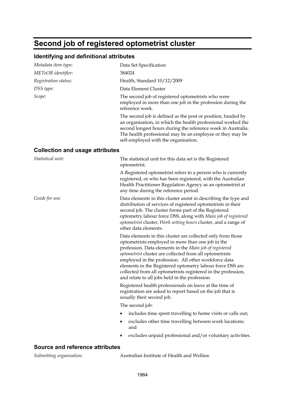# **Second job of registered optometrist cluster**

## **Identifying and definitional attributes**

| Metadata item type:                    | Data Set Specification                                                                                                                                                                                                                                                                                                                                                                                                                                                         |
|----------------------------------------|--------------------------------------------------------------------------------------------------------------------------------------------------------------------------------------------------------------------------------------------------------------------------------------------------------------------------------------------------------------------------------------------------------------------------------------------------------------------------------|
| METeOR identifier:                     | 384024                                                                                                                                                                                                                                                                                                                                                                                                                                                                         |
| Registration status:                   | Health, Standard 10/12/2009                                                                                                                                                                                                                                                                                                                                                                                                                                                    |
| DSS type:                              | Data Element Cluster                                                                                                                                                                                                                                                                                                                                                                                                                                                           |
| Scope:                                 | The second job of registered optometrists who were<br>employed in more than one job in the profession during the<br>reference week.                                                                                                                                                                                                                                                                                                                                            |
|                                        | The second job is defined as the post or position, funded by<br>an organisation, in which the health professional worked the<br>second longest hours during the reference week in Australia.<br>The health professional may be an employee or they may be<br>self-employed with the organisation.                                                                                                                                                                              |
| <b>Collection and usage attributes</b> |                                                                                                                                                                                                                                                                                                                                                                                                                                                                                |
| Statistical unit:                      | The statistical unit for this data set is the Registered<br>optometrist.                                                                                                                                                                                                                                                                                                                                                                                                       |
|                                        | A Registered optometrist refers to a person who is currently<br>registered, or who has been registered, with the Australian<br>Health Practitioner Regulation Agency as an optometrist at<br>any time during the reference period.                                                                                                                                                                                                                                             |
| Guide for use:                         | Data elements in this cluster assist in describing the type and<br>distribution of services of registered optometrists in their<br>second job. The cluster forms part of the Registered<br>optometry labour force DSS, along with Main job of registered<br>optometrist cluster, Work setting hours cluster, and a range of<br>other data elements.                                                                                                                            |
|                                        | Data elements in this cluster are collected only from those<br>optometrists employed in more than one job in the<br>profession. Data elements in the Main job of registered<br>optometrist cluster are collected from all optometrists<br>employed in the profession. All other workforce data<br>elements in the Registered optometry labour force DSS are<br>collected from all optometrists registered in the profession,<br>and relate to all jobs held in the profession. |
|                                        | Registered health professionals on leave at the time of<br>registration are asked to report based on the job that is<br>usually their second job.                                                                                                                                                                                                                                                                                                                              |
|                                        | The second job:                                                                                                                                                                                                                                                                                                                                                                                                                                                                |
|                                        | includes time spent travelling to home visits or calls out;                                                                                                                                                                                                                                                                                                                                                                                                                    |
|                                        | excludes other time travelling between work locations;<br>and                                                                                                                                                                                                                                                                                                                                                                                                                  |
|                                        | excludes unpaid professional and/or voluntary activities.                                                                                                                                                                                                                                                                                                                                                                                                                      |
|                                        |                                                                                                                                                                                                                                                                                                                                                                                                                                                                                |

#### **Source and reference attributes**

*Submitting organisation:* Australian Institute of Health and Welfare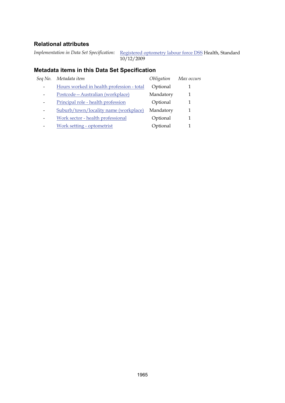*Implementation in Data Set Specification:* [Registered optometry labour force DSS](#page-42-0) Health, Standard 10/12/2009

| Seq No.                  | Metadata item                             | Obligation | Max occurs |
|--------------------------|-------------------------------------------|------------|------------|
|                          | Hours worked in health profession - total | Optional   |            |
|                          | Postcode - Australian (workplace)         | Mandatory  |            |
|                          | Principal role - health profession        | Optional   |            |
|                          | Suburb/town/locality name (workplace)     | Mandatory  |            |
| $\overline{\phantom{0}}$ | Work sector - health professional         | Optional   |            |
|                          | Work setting - optometrist                | Optional   |            |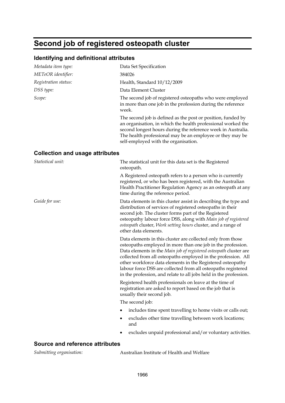# **Second job of registered osteopath cluster**

### **Identifying and definitional attributes**

| Metadata item type:                    | Data Set Specification                                                                                                                                                                                                                                                                                                                                                                                                                                               |
|----------------------------------------|----------------------------------------------------------------------------------------------------------------------------------------------------------------------------------------------------------------------------------------------------------------------------------------------------------------------------------------------------------------------------------------------------------------------------------------------------------------------|
| METeOR identifier:                     | 384026                                                                                                                                                                                                                                                                                                                                                                                                                                                               |
| Registration status:                   | Health, Standard 10/12/2009                                                                                                                                                                                                                                                                                                                                                                                                                                          |
| DSS type:                              | Data Element Cluster                                                                                                                                                                                                                                                                                                                                                                                                                                                 |
| Scope:                                 | The second job of registered osteopaths who were employed<br>in more than one job in the profession during the reference<br>week.                                                                                                                                                                                                                                                                                                                                    |
|                                        | The second job is defined as the post or position, funded by<br>an organisation, in which the health professional worked the<br>second longest hours during the reference week in Australia.<br>The health professional may be an employee or they may be<br>self-employed with the organisation.                                                                                                                                                                    |
| <b>Collection and usage attributes</b> |                                                                                                                                                                                                                                                                                                                                                                                                                                                                      |
| Statistical unit:                      | The statistical unit for this data set is the Registered<br>osteopath.                                                                                                                                                                                                                                                                                                                                                                                               |
|                                        | A Registered osteopath refers to a person who is currently<br>registered, or who has been registered, with the Australian<br>Health Practitioner Regulation Agency as an osteopath at any<br>time during the reference period.                                                                                                                                                                                                                                       |
| Guide for use:                         | Data elements in this cluster assist in describing the type and<br>distribution of services of registered osteopaths in their<br>second job. The cluster forms part of the Registered<br>osteopathy labour force DSS, along with Main job of registered<br>osteopath cluster, Work setting hours cluster, and a range of<br>other data elements.                                                                                                                     |
|                                        | Data elements in this cluster are collected only from those<br>osteopaths employed in more than one job in the profession.<br>Data elements in the Main job of registered osteopath cluster are<br>collected from all osteopaths employed in the profession. All<br>other workforce data elements in the Registered osteopathy<br>labour force DSS are collected from all osteopaths registered<br>in the profession, and relate to all jobs held in the profession. |
|                                        | Registered health professionals on leave at the time of<br>registration are asked to report based on the job that is<br>usually their second job.                                                                                                                                                                                                                                                                                                                    |
|                                        | The second job:                                                                                                                                                                                                                                                                                                                                                                                                                                                      |
|                                        | includes time spent travelling to home visits or calls out;                                                                                                                                                                                                                                                                                                                                                                                                          |
|                                        |                                                                                                                                                                                                                                                                                                                                                                                                                                                                      |

- excludes other time travelling between work locations; and
- excludes unpaid professional and/or voluntary activities.

#### **Source and reference attributes**

*Submitting organisation:* Australian Institute of Health and Welfare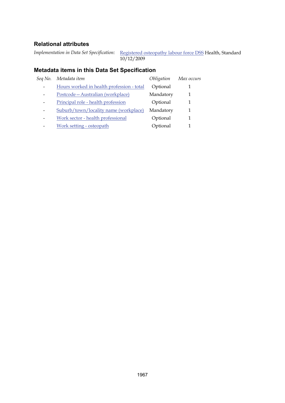*Implementation in Data Set Specification:* [Registered osteopathy labour force DSS](#page-44-0) Health, Standard 10/12/2009

| Sea No. | Metadata item                             | Obligation | Max occurs |
|---------|-------------------------------------------|------------|------------|
|         | Hours worked in health profession - total | Optional   |            |
|         | Postcode-Australian (workplace)           | Mandatory  |            |
|         | Principal role - health profession        | Optional   |            |
|         | Suburb/town/locality name (workplace)     | Mandatory  |            |
|         | Work sector - health professional         | Optional   |            |
|         | Work setting - osteopath                  | Optional   |            |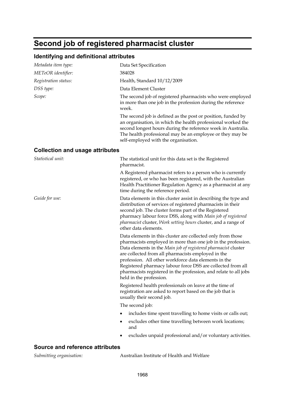# **Second job of registered pharmacist cluster**

## **Identifying and definitional attributes**

| Metadata item type:                    | Data Set Specification                                                                                                                                                                                                                                                                                                                                                                                                                                                    |
|----------------------------------------|---------------------------------------------------------------------------------------------------------------------------------------------------------------------------------------------------------------------------------------------------------------------------------------------------------------------------------------------------------------------------------------------------------------------------------------------------------------------------|
| METeOR identifier:                     | 384028                                                                                                                                                                                                                                                                                                                                                                                                                                                                    |
| Registration status:                   | Health, Standard 10/12/2009                                                                                                                                                                                                                                                                                                                                                                                                                                               |
| DSS type:                              | Data Element Cluster                                                                                                                                                                                                                                                                                                                                                                                                                                                      |
| Scope:                                 | The second job of registered pharmacists who were employed<br>in more than one job in the profession during the reference<br>week.                                                                                                                                                                                                                                                                                                                                        |
|                                        | The second job is defined as the post or position, funded by<br>an organisation, in which the health professional worked the<br>second longest hours during the reference week in Australia.<br>The health professional may be an employee or they may be<br>self-employed with the organisation.                                                                                                                                                                         |
| <b>Collection and usage attributes</b> |                                                                                                                                                                                                                                                                                                                                                                                                                                                                           |
| Statistical unit:                      | The statistical unit for this data set is the Registered<br>pharmacist.                                                                                                                                                                                                                                                                                                                                                                                                   |
|                                        | A Registered pharmacist refers to a person who is currently<br>registered, or who has been registered, with the Australian<br>Health Practitioner Regulation Agency as a pharmacist at any<br>time during the reference period.                                                                                                                                                                                                                                           |
| Guide for use:                         | Data elements in this cluster assist in describing the type and<br>distribution of services of registered pharmacists in their<br>second job. The cluster forms part of the Registered<br>pharmacy labour force DSS, along with Main job of registered<br>pharmacist cluster, Work setting hours cluster, and a range of<br>other data elements.                                                                                                                          |
|                                        | Data elements in this cluster are collected only from those<br>pharmacists employed in more than one job in the profession.<br>Data elements in the Main job of registered pharmacist cluster<br>are collected from all pharmacists employed in the<br>profession. All other workforce data elements in the<br>Registered pharmacy labour force DSS are collected from all<br>pharmacists registered in the profession, and relate to all jobs<br>held in the profession. |
|                                        | Registered health professionals on leave at the time of<br>registration are asked to report based on the job that is<br>usually their second job.                                                                                                                                                                                                                                                                                                                         |
|                                        | The second job:                                                                                                                                                                                                                                                                                                                                                                                                                                                           |
|                                        | includes time spent travelling to home visits or calls out;<br>٠                                                                                                                                                                                                                                                                                                                                                                                                          |
|                                        | excludes other time travelling between work locations;<br>and                                                                                                                                                                                                                                                                                                                                                                                                             |
|                                        | excludes unpaid professional and/or voluntary activities.                                                                                                                                                                                                                                                                                                                                                                                                                 |
|                                        |                                                                                                                                                                                                                                                                                                                                                                                                                                                                           |

#### **Source and reference attributes**

*Submitting organisation:* Australian Institute of Health and Welfare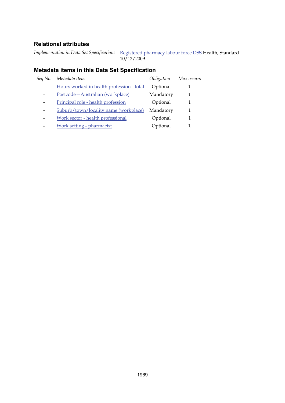*Implementation in Data Set Specification:* [Registered pharmacy labour force DSS](#page-46-0) Health, Standard 10/12/2009

| Seq No. | Metadata item                             | Obligation | Max occurs |
|---------|-------------------------------------------|------------|------------|
|         | Hours worked in health profession - total | Optional   |            |
|         | Postcode-Australian (workplace)           | Mandatory  |            |
|         | Principal role - health profession        | Optional   |            |
|         | Suburb/town/locality name (workplace)     | Mandatory  |            |
| -       | Work sector - health professional         | Optional   |            |
|         | Work setting - pharmacist                 | Optional   |            |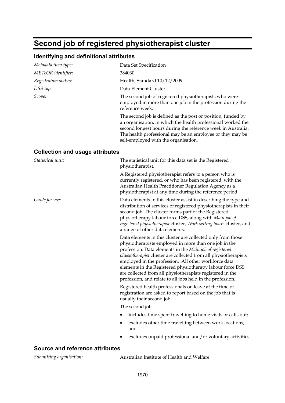# **Second job of registered physiotherapist cluster**

## **Identifying and definitional attributes**

| Metadata item type:                    | Data Set Specification                                                                                                                                                                                                                                                                                                                                                                                                                                                                             |
|----------------------------------------|----------------------------------------------------------------------------------------------------------------------------------------------------------------------------------------------------------------------------------------------------------------------------------------------------------------------------------------------------------------------------------------------------------------------------------------------------------------------------------------------------|
| METeOR identifier:                     | 384030                                                                                                                                                                                                                                                                                                                                                                                                                                                                                             |
| Registration status:                   | Health, Standard 10/12/2009                                                                                                                                                                                                                                                                                                                                                                                                                                                                        |
| DSS type:                              | Data Element Cluster                                                                                                                                                                                                                                                                                                                                                                                                                                                                               |
| Scope:                                 | The second job of registered physiotherapists who were<br>employed in more than one job in the profession during the<br>reference week.                                                                                                                                                                                                                                                                                                                                                            |
|                                        | The second job is defined as the post or position, funded by<br>an organisation, in which the health professional worked the<br>second longest hours during the reference week in Australia.<br>The health professional may be an employee or they may be<br>self-employed with the organisation.                                                                                                                                                                                                  |
| <b>Collection and usage attributes</b> |                                                                                                                                                                                                                                                                                                                                                                                                                                                                                                    |
| Statistical unit:                      | The statistical unit for this data set is the Registered<br>physiotherapist.                                                                                                                                                                                                                                                                                                                                                                                                                       |
|                                        | A Registered physiotherapist refers to a person who is<br>currently registered, or who has been registered, with the<br>Australian Health Practitioner Regulation Agency as a<br>physiotherapist at any time during the reference period.                                                                                                                                                                                                                                                          |
| Guide for use:                         | Data elements in this cluster assist in describing the type and<br>distribution of services of registered physiotherapists in their<br>second job. The cluster forms part of the Registered<br>physiotherapy labour force DSS, along with Main job of<br>registered physiotherapist cluster, Work setting hours cluster, and<br>a range of other data elements.                                                                                                                                    |
|                                        | Data elements in this cluster are collected only from those<br>physiotherapists employed in more than one job in the<br>profession. Data elements in the Main job of registered<br>physiotherapist cluster are collected from all physiotherapists<br>employed in the profession. All other workforce data<br>elements in the Registered physiotherapy labour force DSS<br>are collected from all physiotherapists registered in the<br>profession, and relate to all jobs held in the profession. |
|                                        | Registered health professionals on leave at the time of<br>registration are asked to report based on the job that is<br>usually their second job.                                                                                                                                                                                                                                                                                                                                                  |
|                                        | The second job:                                                                                                                                                                                                                                                                                                                                                                                                                                                                                    |
|                                        | includes time spent travelling to home visits or calls out;                                                                                                                                                                                                                                                                                                                                                                                                                                        |
|                                        | excludes other time travelling between work locations;<br>and                                                                                                                                                                                                                                                                                                                                                                                                                                      |
|                                        | excludes unpaid professional and/or voluntary activities.                                                                                                                                                                                                                                                                                                                                                                                                                                          |

## **Source and reference attributes**

| Submitting organisation:<br>Australian Institute of Health and Welfare |
|------------------------------------------------------------------------|
|------------------------------------------------------------------------|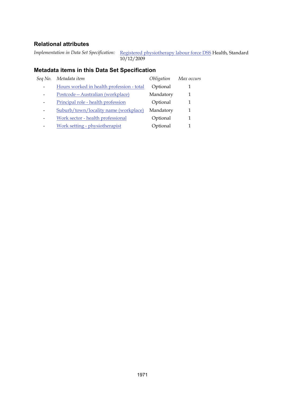*Implementation in Data Set Specification:* [Registered physiotherapy labour force DSS](#page-48-0) Health, Standard 10/12/2009

| Sea No. | Metadata item                             | Obligation | Max occurs |
|---------|-------------------------------------------|------------|------------|
|         | Hours worked in health profession - total | Optional   |            |
|         | Postcode - Australian (workplace)         | Mandatory  |            |
|         | Principal role - health profession        | Optional   |            |
|         | Suburb/town/locality name (workplace)     | Mandatory  |            |
|         | Work sector - health professional         | Optional   |            |
|         | Work setting - physiotherapist            | Optional   |            |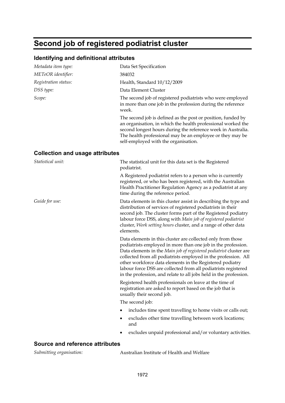# **Second job of registered podiatrist cluster**

## **Identifying and definitional attributes**

| Metadata item type:                    | Data Set Specification                                                                                                                                                                                                                                                                                                                                                                                                                                                 |
|----------------------------------------|------------------------------------------------------------------------------------------------------------------------------------------------------------------------------------------------------------------------------------------------------------------------------------------------------------------------------------------------------------------------------------------------------------------------------------------------------------------------|
| METeOR identifier:                     | 384032                                                                                                                                                                                                                                                                                                                                                                                                                                                                 |
| Registration status:                   | Health, Standard 10/12/2009                                                                                                                                                                                                                                                                                                                                                                                                                                            |
| DSS type:                              | Data Element Cluster                                                                                                                                                                                                                                                                                                                                                                                                                                                   |
| Scope:                                 | The second job of registered podiatrists who were employed<br>in more than one job in the profession during the reference<br>week.                                                                                                                                                                                                                                                                                                                                     |
|                                        | The second job is defined as the post or position, funded by<br>an organisation, in which the health professional worked the<br>second longest hours during the reference week in Australia.<br>The health professional may be an employee or they may be<br>self-employed with the organisation.                                                                                                                                                                      |
| <b>Collection and usage attributes</b> |                                                                                                                                                                                                                                                                                                                                                                                                                                                                        |
| Statistical unit:                      | The statistical unit for this data set is the Registered<br>podiatrist.                                                                                                                                                                                                                                                                                                                                                                                                |
|                                        | A Registered podiatrist refers to a person who is currently<br>registered, or who has been registered, with the Australian<br>Health Practitioner Regulation Agency as a podiatrist at any<br>time during the reference period.                                                                                                                                                                                                                                        |
| Guide for use:                         | Data elements in this cluster assist in describing the type and<br>distribution of services of registered podiatrists in their<br>second job. The cluster forms part of the Registered podiatry<br>labour force DSS, along with Main job of registered podiatrist<br>cluster, Work setting hours cluster, and a range of other data<br>elements.                                                                                                                       |
|                                        | Data elements in this cluster are collected only from those<br>podiatrists employed in more than one job in the profession.<br>Data elements in the Main job of registered podiatrist cluster are<br>collected from all podiatrists employed in the profession. All<br>other workforce data elements in the Registered podiatry<br>labour force DSS are collected from all podiatrists registered<br>in the profession, and relate to all jobs held in the profession. |
|                                        | Registered health professionals on leave at the time of<br>registration are asked to report based on the job that is<br>usually their second job.                                                                                                                                                                                                                                                                                                                      |
|                                        | The second job:                                                                                                                                                                                                                                                                                                                                                                                                                                                        |
|                                        | includes time spent travelling to home visits or calls out;                                                                                                                                                                                                                                                                                                                                                                                                            |
|                                        | excludes other time travelling between work locations;                                                                                                                                                                                                                                                                                                                                                                                                                 |

and excludes unpaid professional and/or voluntary activities.

#### **Source and reference attributes**

*Submitting organisation:* Australian Institute of Health and Welfare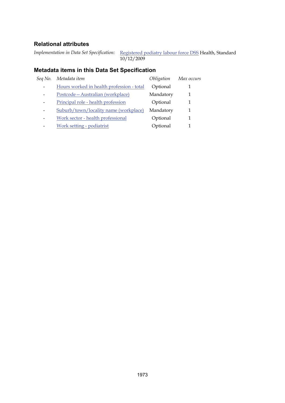*Implementation in Data Set Specification:* [Registered podiatry labour force DSS](#page-50-0) Health, Standard 10/12/2009

| Seq No. | Metadata item                             | Obligation | Max occurs |
|---------|-------------------------------------------|------------|------------|
|         | Hours worked in health profession - total | Optional   |            |
|         | Postcode-Australian (workplace)           | Mandatory  |            |
|         | Principal role - health profession        | Optional   |            |
|         | Suburb/town/locality name (workplace)     | Mandatory  |            |
| -       | Work sector - health professional         | Optional   |            |
|         | Work setting - podiatrist                 | Optional   |            |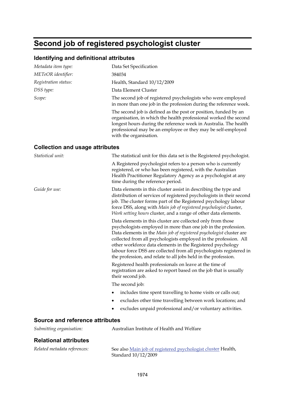# **Second job of registered psychologist cluster**

## **Identifying and definitional attributes**

| Metadata item type:                    | Data Set Specification                                                                                                                                                                                                                                                                                                                                                                                                                                                           |
|----------------------------------------|----------------------------------------------------------------------------------------------------------------------------------------------------------------------------------------------------------------------------------------------------------------------------------------------------------------------------------------------------------------------------------------------------------------------------------------------------------------------------------|
| METeOR identifier:                     | 384034                                                                                                                                                                                                                                                                                                                                                                                                                                                                           |
| Registration status:                   | Health, Standard 10/12/2009                                                                                                                                                                                                                                                                                                                                                                                                                                                      |
| DSS type:                              | Data Element Cluster                                                                                                                                                                                                                                                                                                                                                                                                                                                             |
| Scope:                                 | The second job of registered psychologists who were employed<br>in more than one job in the profession during the reference week.                                                                                                                                                                                                                                                                                                                                                |
|                                        | The second job is defined as the post or position, funded by an<br>organisation, in which the health professional worked the second<br>longest hours during the reference week in Australia. The health<br>professional may be an employee or they may be self-employed<br>with the organisation.                                                                                                                                                                                |
| <b>Collection and usage attributes</b> |                                                                                                                                                                                                                                                                                                                                                                                                                                                                                  |
| Statistical unit:                      | The statistical unit for this data set is the Registered psychologist.                                                                                                                                                                                                                                                                                                                                                                                                           |
|                                        | A Registered psychologist refers to a person who is currently<br>registered, or who has been registered, with the Australian<br>Health Practitioner Regulatory Agency as a psychologist at any<br>time during the reference period.                                                                                                                                                                                                                                              |
| Guide for use:                         | Data elements in this cluster assist in describing the type and<br>distribution of services of registered psychologists in their second<br>job. The cluster forms part of the Registered psychology labour<br>force DSS, along with Main job of registered psychologist cluster,<br>Work setting hours cluster, and a range of other data elements.                                                                                                                              |
|                                        | Data elements in this cluster are collected only from those<br>psychologists employed in more than one job in the profession.<br>Data elements in the Main job of registered psychologist cluster are<br>collected from all psychologists employed in the profession. All<br>other workforce data elements in the Registered psychology<br>labour force DSS are collected from all psychologists registered in<br>the profession, and relate to all jobs held in the profession. |
|                                        | Registered health professionals on leave at the time of<br>registration are asked to report based on the job that is usually<br>their second job.                                                                                                                                                                                                                                                                                                                                |
|                                        | The second job:                                                                                                                                                                                                                                                                                                                                                                                                                                                                  |
|                                        | includes time spent travelling to home visits or calls out;                                                                                                                                                                                                                                                                                                                                                                                                                      |
|                                        | excludes other time travelling between work locations; and                                                                                                                                                                                                                                                                                                                                                                                                                       |
|                                        | excludes unpaid professional and/or voluntary activities.                                                                                                                                                                                                                                                                                                                                                                                                                        |
| <b>Source and reference attributes</b> |                                                                                                                                                                                                                                                                                                                                                                                                                                                                                  |
| Submitting organisation:               | Australian Institute of Health and Welfare                                                                                                                                                                                                                                                                                                                                                                                                                                       |

### **Relational attributes**

| Related metadata references: | See also Main job of registered psychologist cluster Health, |
|------------------------------|--------------------------------------------------------------|
|                              | Standard $10/12/2009$                                        |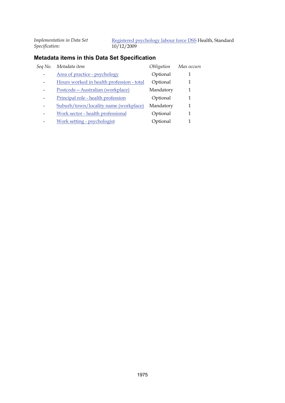*Implementation in Data Set Specification:*

[Registered psychology labour force DSS](#page-52-0) Health, Standard  $\frac{10}{12/2009}$ 

| Seq No. | Metadata item                             | Obligation | Max occurs |
|---------|-------------------------------------------|------------|------------|
|         | Area of practice - psychology             | Optional   |            |
|         | Hours worked in health profession - total | Optional   | 1          |
|         | Postcode - Australian (workplace)         | Mandatory  | 1          |
|         | Principal role - health profession        | Optional   | 1          |
|         | Suburb/town/locality name (workplace)     | Mandatory  | 1          |
|         | Work sector - health professional         | Optional   | 1          |
|         | Work setting - psychologist               | Optional   |            |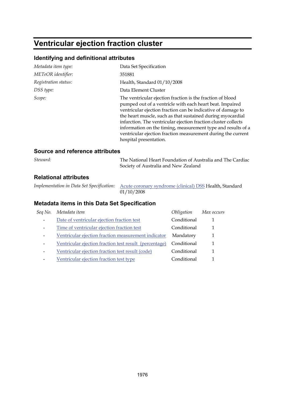# **Ventricular ejection fraction cluster**

### **Identifying and definitional attributes**

| Metadata item type:  | Data Set Specification                                                                                                                                                                                                                                                                                                                                                                                                                                                           |
|----------------------|----------------------------------------------------------------------------------------------------------------------------------------------------------------------------------------------------------------------------------------------------------------------------------------------------------------------------------------------------------------------------------------------------------------------------------------------------------------------------------|
| METeOR identifier:   | 351881                                                                                                                                                                                                                                                                                                                                                                                                                                                                           |
| Registration status: | Health, Standard 01/10/2008                                                                                                                                                                                                                                                                                                                                                                                                                                                      |
| DSS type:            | Data Element Cluster                                                                                                                                                                                                                                                                                                                                                                                                                                                             |
| Scope:               | The ventricular ejection fraction is the fraction of blood<br>pumped out of a ventricle with each heart beat. Impaired<br>ventricular ejection fraction can be indicative of damage to<br>the heart muscle, such as that sustained during myocardial<br>infarction. The ventricular ejection fraction cluster collects<br>information on the timing, measurement type and results of a<br>ventricular ejection fraction measurement during the current<br>hospital presentation. |

#### **Source and reference attributes**

| Steward: | The National Heart Foundation of Australia and The Cardiac |
|----------|------------------------------------------------------------|
|          | Society of Australia and New Zealand                       |

#### **Relational attributes**

*Implementation in Data Set Specification:* [Acute coronary syndrome \(clinical\) DSS](#page-1-0) Health, Standard  $01/10/2008$ 

| Seq No. | Metadata item                                          | Obligation  | Max occurs |
|---------|--------------------------------------------------------|-------------|------------|
|         | Date of ventricular ejection fraction test             | Conditional |            |
|         | Time of ventricular ejection fraction test             | Conditional | 1          |
|         | Ventricular ejection fraction measurement indicator    | Mandatory   |            |
|         | Ventricular ejection fraction test result (percentage) | Conditional | 1          |
|         | Ventricular ejection fraction test result (code)       | Conditional | 1          |
|         | Ventricular ejection fraction test type                | Conditional |            |
|         |                                                        |             |            |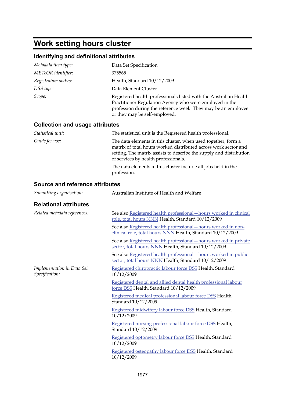# **Work setting hours cluster**

## **Identifying and definitional attributes**

| Metadata item type:  | Data Set Specification                                                                                                                                                                                                         |
|----------------------|--------------------------------------------------------------------------------------------------------------------------------------------------------------------------------------------------------------------------------|
| METeOR identifier:   | 375565                                                                                                                                                                                                                         |
| Registration status: | Health, Standard 10/12/2009                                                                                                                                                                                                    |
| DSS type:            | Data Element Cluster                                                                                                                                                                                                           |
| Scope:               | Registered health professionals listed with the Australian Health<br>Practitioner Regulation Agency who were employed in the<br>profession during the reference week. They may be an employee<br>or they may be self-employed. |
|                      |                                                                                                                                                                                                                                |

### **Collection and usage attributes**

| Statistical unit: | The statistical unit is the Registered health professional.                                                                                                                                                                                     |
|-------------------|-------------------------------------------------------------------------------------------------------------------------------------------------------------------------------------------------------------------------------------------------|
| Guide for use:    | The data elements in this cluster, when used together, form a<br>matrix of total hours worked distributed across work sector and<br>setting. The matrix assists to describe the supply and distribution<br>of services by health professionals. |
|                   |                                                                                                                                                                                                                                                 |

The data elements in this cluster include all jobs held in the profession.

## **Source and reference attributes**

| Submitting organisation:                     | Australian Institute of Health and Welfare                                                                                   |
|----------------------------------------------|------------------------------------------------------------------------------------------------------------------------------|
| <b>Relational attributes</b>                 |                                                                                                                              |
| Related metadata references:                 | See also Registered health professional - hours worked in clinical<br>role, total hours NNN Health, Standard 10/12/2009      |
|                                              | See also Registered health professional - hours worked in non-<br>clinical role, total hours NNN Health, Standard 10/12/2009 |
|                                              | See also Registered health professional - hours worked in private<br>sector, total hours NNN Health, Standard 10/12/2009     |
|                                              | See also Registered health professional - hours worked in public<br>sector, total hours NNN Health, Standard 10/12/2009      |
| Implementation in Data Set<br>Specification: | Registered chiropractic labour force DSS Health, Standard<br>10/12/2009                                                      |
|                                              | Registered dental and allied dental health professional labour<br>force DSS Health, Standard 10/12/2009                      |
|                                              | Registered medical professional labour force DSS Health,<br>Standard 10/12/2009                                              |
|                                              | Registered midwifery labour force DSS Health, Standard<br>10/12/2009                                                         |
|                                              | Registered nursing professional labour force DSS Health,<br>Standard $10/12/2009$                                            |
|                                              | Registered optometry labour force DSS Health, Standard<br>10/12/2009                                                         |
|                                              | Registered osteopathy labour force DSS Health, Standard<br>10/12/2009                                                        |
|                                              |                                                                                                                              |